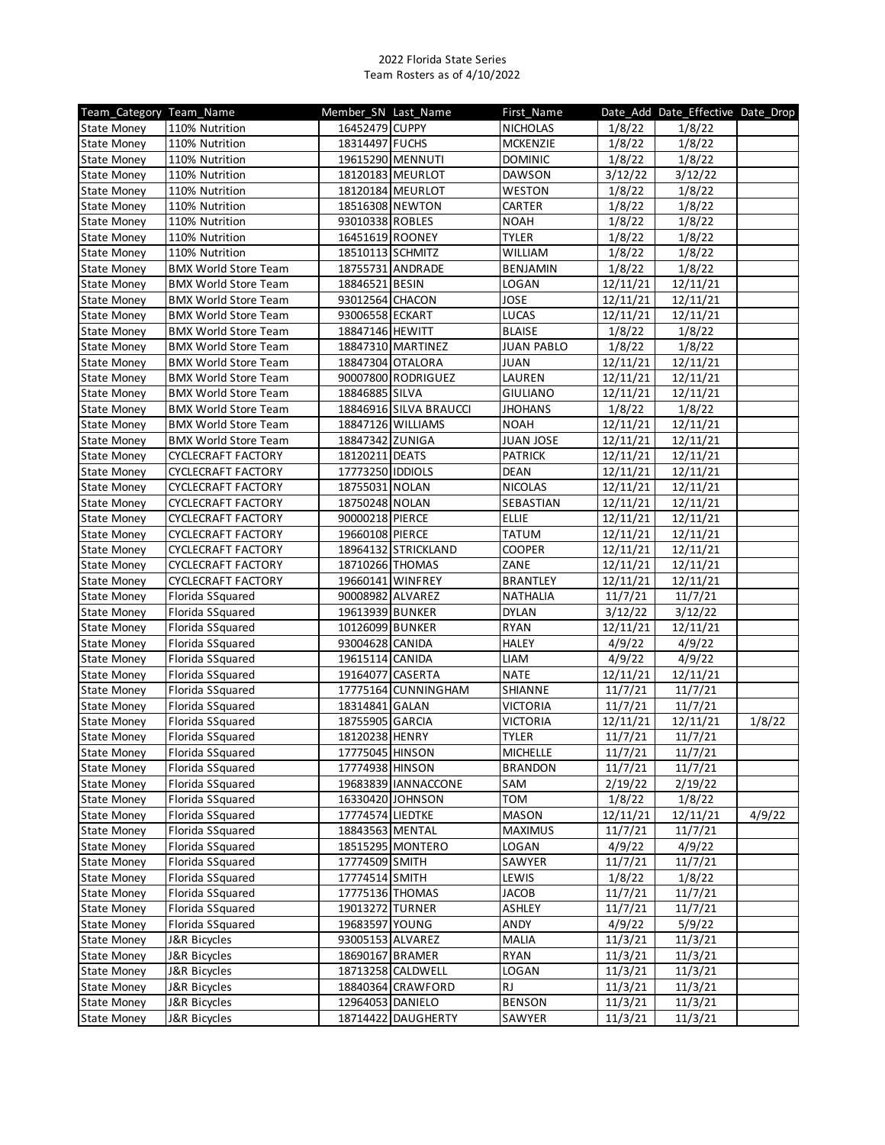| 16452479 CUPPY<br>1/8/22<br>110% Nutrition<br><b>NICHOLAS</b><br>1/8/22<br>State Money<br>18314497 FUCHS<br><b>MCKENZIE</b><br>1/8/22<br>1/8/22<br><b>State Money</b><br>110% Nutrition<br>19615290 MENNUTI<br><b>DOMINIC</b><br>1/8/22<br><b>State Money</b><br>110% Nutrition<br>1/8/22<br>3/12/22<br>18120183 MEURLOT<br><b>DAWSON</b><br>3/12/22<br>110% Nutrition<br>State Money<br>WESTON<br>1/8/22<br>110% Nutrition<br>18120184 MEURLOT<br>1/8/22<br><b>State Money</b><br>CARTER<br>1/8/22<br>110% Nutrition<br>18516308 NEWTON<br>1/8/22<br><b>State Money</b><br>93010338 ROBLES<br>1/8/22<br><b>State Money</b><br>110% Nutrition<br><b>NOAH</b><br>1/8/22<br>16451619 ROONEY<br><b>TYLER</b><br>1/8/22<br><b>State Money</b><br>110% Nutrition<br>1/8/22<br>1/8/22<br>18510113 SCHMITZ<br><b>WILLIAM</b><br>1/8/22<br>110% Nutrition<br>State Money<br>BENJAMIN<br>1/8/22<br><b>BMX World Store Team</b><br>18755731 ANDRADE<br>1/8/22<br><b>State Money</b><br>18846521 BESIN<br><b>LOGAN</b><br>12/11/21<br><b>BMX World Store Team</b><br>12/11/21<br><b>State Money</b><br><b>JOSE</b><br>12/11/21<br><b>State Money</b><br><b>BMX World Store Team</b><br>93012564 CHACON<br>12/11/21<br><b>BMX World Store Team</b><br>93006558 ECKART<br><b>LUCAS</b><br>12/11/21<br><b>State Money</b><br>12/11/21<br>1/8/22<br>1/8/22<br><b>BMX World Store Team</b><br>18847146 HEWITT<br><b>BLAISE</b><br>State Money<br>1/8/22<br><b>BMX World Store Team</b><br>18847310 MARTINEZ<br><b>JUAN PABLO</b><br>1/8/22<br><b>State Money</b><br><b>JUAN</b><br><b>BMX World Store Team</b><br>18847304 OTALORA<br>12/11/21<br>12/11/21<br><b>State Money</b><br>LAUREN<br><b>State Money</b><br><b>BMX World Store Team</b><br>90007800 RODRIGUEZ<br>12/11/21<br>12/11/21<br><b>BMX World Store Team</b><br>18846885 SILVA<br><b>GIULIANO</b><br>12/11/21<br><b>State Money</b><br>12/11/21<br>1/8/22<br>18846916 SILVA BRAUCCI<br><b>JHOHANS</b><br>1/8/22<br><b>BMX World Store Team</b><br>State Money<br>18847126 WILLIAMS<br><b>BMX World Store Team</b><br><b>NOAH</b><br>12/11/21<br>12/11/21<br><b>State Money</b><br>18847342 ZUNIGA<br><b>JUAN JOSE</b><br><b>BMX World Store Team</b><br>12/11/21<br>12/11/21<br><b>State Money</b><br>18120211 DEATS<br><b>PATRICK</b><br>12/11/21<br>12/11/21<br><b>State Money</b><br><b>CYCLECRAFT FACTORY</b><br>CYCLECRAFT FACTORY<br>17773250 IDDIOLS<br><b>DEAN</b><br>12/11/21<br><b>State Money</b><br>12/11/21<br>CYCLECRAFT FACTORY<br>18755031 NOLAN<br><b>NICOLAS</b><br>12/11/21<br>12/11/21<br><b>State Money</b><br>SEBASTIAN<br><b>CYCLECRAFT FACTORY</b><br>18750248 NOLAN<br>12/11/21<br>12/11/21<br><b>State Money</b><br>90000218 PIERCE<br><b>ELLIE</b><br><b>CYCLECRAFT FACTORY</b><br>12/11/21<br>12/11/21<br><b>State Money</b><br>TATUM<br>12/11/21<br><b>CYCLECRAFT FACTORY</b><br>19660108 PIERCE<br>12/11/21<br><b>State Money</b><br>CYCLECRAFT FACTORY<br>18964132 STRICKLAND<br><b>COOPER</b><br>12/11/21<br><b>State Money</b><br>12/11/21<br>CYCLECRAFT FACTORY<br>18710266 THOMAS<br>ZANE<br>12/11/21<br>12/11/21<br><b>State Money</b><br><b>BRANTLEY</b><br><b>CYCLECRAFT FACTORY</b><br>19660141 WINFREY<br>12/11/21<br>12/11/21<br><b>State Money</b><br><b>NATHALIA</b><br>11/7/21<br>11/7/21<br>Florida SSquared<br>90008982 ALVAREZ<br><b>State Money</b><br>Florida SSquared<br><b>DYLAN</b><br>3/12/22<br>19613939 BUNKER<br>3/12/22<br><b>State Money</b><br>Florida SSquared<br>10126099 BUNKER<br><b>RYAN</b><br>12/11/21<br><b>State Money</b><br>12/11/21<br>4/9/22<br>4/9/22<br>Florida SSquared<br>93004628 CANIDA<br><b>HALEY</b><br><b>State Money</b><br>LIAM<br>4/9/22<br>Florida SSquared<br>19615114 CANIDA<br>4/9/22<br><b>State Money</b><br>Florida SSquared<br><b>NATE</b><br>12/11/21<br>19164077 CASERTA<br>12/11/21<br><b>State Money</b><br>Florida SSquared<br>17775164 CUNNINGHAM<br>SHIANNE<br>11/7/21<br>11/7/21<br><b>State Money</b><br>Florida SSquared<br>18314841 GALAN<br><b>VICTORIA</b><br>11/7/21<br>11/7/21<br><b>State Money</b><br>18755905 GARCIA<br>12/11/21<br>Florida SSquared<br><b>VICTORIA</b><br>12/11/21<br>1/8/22<br>State Money<br>Florida SSquared<br>18120238 HENRY<br><b>TYLER</b><br>11/7/21<br>11/7/21<br><b>State Money</b><br>17775045 HINSON<br><b>MICHELLE</b><br>11/7/21<br>11/7/21<br>State Money<br>Florida SSquared<br>Florida SSquared<br>17774938 HINSON<br><b>BRANDON</b><br>11/7/21<br>11/7/21<br><b>State Money</b><br>2/19/22<br><b>State Money</b><br>Florida SSquared<br>19683839 IANNACCONE<br>SAM<br>2/19/22<br><b>TOM</b><br>1/8/22<br>1/8/22<br>Florida SSquared<br>16330420 JOHNSON<br><b>State Money</b><br>Florida SSquared<br>17774574 LIEDTKE<br><b>MASON</b><br>12/11/21<br>4/9/22<br><b>State Money</b><br>12/11/21<br>Florida SSquared<br>18843563 MENTAL<br><b>MAXIMUS</b><br>11/7/21<br>11/7/21<br><b>State Money</b><br>Florida SSquared<br>LOGAN<br>4/9/22<br>4/9/22<br><b>State Money</b><br>18515295 MONTERO<br>Florida SSquared<br><b>State Money</b><br>17774509 SMITH<br>SAWYER<br>11/7/21<br>11/7/21<br>Florida SSquared<br>17774514 SMITH<br>1/8/22<br>1/8/22<br>LEWIS<br><b>State Money</b><br>Florida SSquared<br><b>JACOB</b><br>11/7/21<br><b>State Money</b><br>17775136 THOMAS<br>11/7/21<br>Florida SSquared<br>19013272 TURNER<br>ASHLEY<br>11/7/21<br>11/7/21<br><b>State Money</b><br>4/9/22<br>5/9/22<br><b>State Money</b><br>Florida SSquared<br>19683597 YOUNG<br>ANDY<br>MALIA<br><b>State Money</b><br>J&R Bicycles<br>93005153 ALVAREZ<br>11/3/21<br>11/3/21<br>RYAN<br>11/3/21<br>11/3/21<br>J&R Bicycles<br>18690167 BRAMER<br>State Money<br>18713258 CALDWELL<br>LOGAN<br>11/3/21<br><b>State Money</b><br>J&R Bicycles<br>11/3/21<br>J&R Bicycles<br>18840364 CRAWFORD<br>RJ<br>11/3/21<br>11/3/21<br><b>State Money</b><br>12964053 DANIELO<br><b>BENSON</b><br>11/3/21<br><b>State Money</b><br>J&R Bicycles<br>11/3/21<br>J&R Bicycles<br>18714422 DAUGHERTY<br><b>State Money</b><br>SAWYER | Team Category Team Name | Member SN Last Name | First_Name |         | Date Add Date Effective Date Drop |  |
|---------------------------------------------------------------------------------------------------------------------------------------------------------------------------------------------------------------------------------------------------------------------------------------------------------------------------------------------------------------------------------------------------------------------------------------------------------------------------------------------------------------------------------------------------------------------------------------------------------------------------------------------------------------------------------------------------------------------------------------------------------------------------------------------------------------------------------------------------------------------------------------------------------------------------------------------------------------------------------------------------------------------------------------------------------------------------------------------------------------------------------------------------------------------------------------------------------------------------------------------------------------------------------------------------------------------------------------------------------------------------------------------------------------------------------------------------------------------------------------------------------------------------------------------------------------------------------------------------------------------------------------------------------------------------------------------------------------------------------------------------------------------------------------------------------------------------------------------------------------------------------------------------------------------------------------------------------------------------------------------------------------------------------------------------------------------------------------------------------------------------------------------------------------------------------------------------------------------------------------------------------------------------------------------------------------------------------------------------------------------------------------------------------------------------------------------------------------------------------------------------------------------------------------------------------------------------------------------------------------------------------------------------------------------------------------------------------------------------------------------------------------------------------------------------------------------------------------------------------------------------------------------------------------------------------------------------------------------------------------------------------------------------------------------------------------------------------------------------------------------------------------------------------------------------------------------------------------------------------------------------------------------------------------------------------------------------------------------------------------------------------------------------------------------------------------------------------------------------------------------------------------------------------------------------------------------------------------------------------------------------------------------------------------------------------------------------------------------------------------------------------------------------------------------------------------------------------------------------------------------------------------------------------------------------------------------------------------------------------------------------------------------------------------------------------------------------------------------------------------------------------------------------------------------------------------------------------------------------------------------------------------------------------------------------------------------------------------------------------------------------------------------------------------------------------------------------------------------------------------------------------------------------------------------------------------------------------------------------------------------------------------------------------------------------------------------------------------------------------------------------------------------------------------------------------------------------------------------------------------------------------------------------------------------------------------------------------------------------------------------------------------------------------------------------------------------------------------------------------------------------------------------------------------------------------------------------------------------------------------------------------------------------------------------------------------------------------------------------------------------------------------------------------------------------------------------------------------------------------------------------------------------------------------------------------------------------------------------------------------------------------------------------------------------------------------------------------------------------------------------------------------------------------------------------------------------------------------------------------------------------------------------------------------------------------------------------------------------------------------------------------------|-------------------------|---------------------|------------|---------|-----------------------------------|--|
|                                                                                                                                                                                                                                                                                                                                                                                                                                                                                                                                                                                                                                                                                                                                                                                                                                                                                                                                                                                                                                                                                                                                                                                                                                                                                                                                                                                                                                                                                                                                                                                                                                                                                                                                                                                                                                                                                                                                                                                                                                                                                                                                                                                                                                                                                                                                                                                                                                                                                                                                                                                                                                                                                                                                                                                                                                                                                                                                                                                                                                                                                                                                                                                                                                                                                                                                                                                                                                                                                                                                                                                                                                                                                                                                                                                                                                                                                                                                                                                                                                                                                                                                                                                                                                                                                                                                                                                                                                                                                                                                                                                                                                                                                                                                                                                                                                                                                                                                                                                                                                                                                                                                                                                                                                                                                                                                                                                                                                                                                                                                                                                                                                                                                                                                                                                                                                                                                                                                                                                                               |                         |                     |            |         |                                   |  |
|                                                                                                                                                                                                                                                                                                                                                                                                                                                                                                                                                                                                                                                                                                                                                                                                                                                                                                                                                                                                                                                                                                                                                                                                                                                                                                                                                                                                                                                                                                                                                                                                                                                                                                                                                                                                                                                                                                                                                                                                                                                                                                                                                                                                                                                                                                                                                                                                                                                                                                                                                                                                                                                                                                                                                                                                                                                                                                                                                                                                                                                                                                                                                                                                                                                                                                                                                                                                                                                                                                                                                                                                                                                                                                                                                                                                                                                                                                                                                                                                                                                                                                                                                                                                                                                                                                                                                                                                                                                                                                                                                                                                                                                                                                                                                                                                                                                                                                                                                                                                                                                                                                                                                                                                                                                                                                                                                                                                                                                                                                                                                                                                                                                                                                                                                                                                                                                                                                                                                                                                               |                         |                     |            |         |                                   |  |
|                                                                                                                                                                                                                                                                                                                                                                                                                                                                                                                                                                                                                                                                                                                                                                                                                                                                                                                                                                                                                                                                                                                                                                                                                                                                                                                                                                                                                                                                                                                                                                                                                                                                                                                                                                                                                                                                                                                                                                                                                                                                                                                                                                                                                                                                                                                                                                                                                                                                                                                                                                                                                                                                                                                                                                                                                                                                                                                                                                                                                                                                                                                                                                                                                                                                                                                                                                                                                                                                                                                                                                                                                                                                                                                                                                                                                                                                                                                                                                                                                                                                                                                                                                                                                                                                                                                                                                                                                                                                                                                                                                                                                                                                                                                                                                                                                                                                                                                                                                                                                                                                                                                                                                                                                                                                                                                                                                                                                                                                                                                                                                                                                                                                                                                                                                                                                                                                                                                                                                                                               |                         |                     |            |         |                                   |  |
|                                                                                                                                                                                                                                                                                                                                                                                                                                                                                                                                                                                                                                                                                                                                                                                                                                                                                                                                                                                                                                                                                                                                                                                                                                                                                                                                                                                                                                                                                                                                                                                                                                                                                                                                                                                                                                                                                                                                                                                                                                                                                                                                                                                                                                                                                                                                                                                                                                                                                                                                                                                                                                                                                                                                                                                                                                                                                                                                                                                                                                                                                                                                                                                                                                                                                                                                                                                                                                                                                                                                                                                                                                                                                                                                                                                                                                                                                                                                                                                                                                                                                                                                                                                                                                                                                                                                                                                                                                                                                                                                                                                                                                                                                                                                                                                                                                                                                                                                                                                                                                                                                                                                                                                                                                                                                                                                                                                                                                                                                                                                                                                                                                                                                                                                                                                                                                                                                                                                                                                                               |                         |                     |            |         |                                   |  |
|                                                                                                                                                                                                                                                                                                                                                                                                                                                                                                                                                                                                                                                                                                                                                                                                                                                                                                                                                                                                                                                                                                                                                                                                                                                                                                                                                                                                                                                                                                                                                                                                                                                                                                                                                                                                                                                                                                                                                                                                                                                                                                                                                                                                                                                                                                                                                                                                                                                                                                                                                                                                                                                                                                                                                                                                                                                                                                                                                                                                                                                                                                                                                                                                                                                                                                                                                                                                                                                                                                                                                                                                                                                                                                                                                                                                                                                                                                                                                                                                                                                                                                                                                                                                                                                                                                                                                                                                                                                                                                                                                                                                                                                                                                                                                                                                                                                                                                                                                                                                                                                                                                                                                                                                                                                                                                                                                                                                                                                                                                                                                                                                                                                                                                                                                                                                                                                                                                                                                                                                               |                         |                     |            |         |                                   |  |
|                                                                                                                                                                                                                                                                                                                                                                                                                                                                                                                                                                                                                                                                                                                                                                                                                                                                                                                                                                                                                                                                                                                                                                                                                                                                                                                                                                                                                                                                                                                                                                                                                                                                                                                                                                                                                                                                                                                                                                                                                                                                                                                                                                                                                                                                                                                                                                                                                                                                                                                                                                                                                                                                                                                                                                                                                                                                                                                                                                                                                                                                                                                                                                                                                                                                                                                                                                                                                                                                                                                                                                                                                                                                                                                                                                                                                                                                                                                                                                                                                                                                                                                                                                                                                                                                                                                                                                                                                                                                                                                                                                                                                                                                                                                                                                                                                                                                                                                                                                                                                                                                                                                                                                                                                                                                                                                                                                                                                                                                                                                                                                                                                                                                                                                                                                                                                                                                                                                                                                                                               |                         |                     |            |         |                                   |  |
|                                                                                                                                                                                                                                                                                                                                                                                                                                                                                                                                                                                                                                                                                                                                                                                                                                                                                                                                                                                                                                                                                                                                                                                                                                                                                                                                                                                                                                                                                                                                                                                                                                                                                                                                                                                                                                                                                                                                                                                                                                                                                                                                                                                                                                                                                                                                                                                                                                                                                                                                                                                                                                                                                                                                                                                                                                                                                                                                                                                                                                                                                                                                                                                                                                                                                                                                                                                                                                                                                                                                                                                                                                                                                                                                                                                                                                                                                                                                                                                                                                                                                                                                                                                                                                                                                                                                                                                                                                                                                                                                                                                                                                                                                                                                                                                                                                                                                                                                                                                                                                                                                                                                                                                                                                                                                                                                                                                                                                                                                                                                                                                                                                                                                                                                                                                                                                                                                                                                                                                                               |                         |                     |            |         |                                   |  |
|                                                                                                                                                                                                                                                                                                                                                                                                                                                                                                                                                                                                                                                                                                                                                                                                                                                                                                                                                                                                                                                                                                                                                                                                                                                                                                                                                                                                                                                                                                                                                                                                                                                                                                                                                                                                                                                                                                                                                                                                                                                                                                                                                                                                                                                                                                                                                                                                                                                                                                                                                                                                                                                                                                                                                                                                                                                                                                                                                                                                                                                                                                                                                                                                                                                                                                                                                                                                                                                                                                                                                                                                                                                                                                                                                                                                                                                                                                                                                                                                                                                                                                                                                                                                                                                                                                                                                                                                                                                                                                                                                                                                                                                                                                                                                                                                                                                                                                                                                                                                                                                                                                                                                                                                                                                                                                                                                                                                                                                                                                                                                                                                                                                                                                                                                                                                                                                                                                                                                                                                               |                         |                     |            |         |                                   |  |
|                                                                                                                                                                                                                                                                                                                                                                                                                                                                                                                                                                                                                                                                                                                                                                                                                                                                                                                                                                                                                                                                                                                                                                                                                                                                                                                                                                                                                                                                                                                                                                                                                                                                                                                                                                                                                                                                                                                                                                                                                                                                                                                                                                                                                                                                                                                                                                                                                                                                                                                                                                                                                                                                                                                                                                                                                                                                                                                                                                                                                                                                                                                                                                                                                                                                                                                                                                                                                                                                                                                                                                                                                                                                                                                                                                                                                                                                                                                                                                                                                                                                                                                                                                                                                                                                                                                                                                                                                                                                                                                                                                                                                                                                                                                                                                                                                                                                                                                                                                                                                                                                                                                                                                                                                                                                                                                                                                                                                                                                                                                                                                                                                                                                                                                                                                                                                                                                                                                                                                                                               |                         |                     |            |         |                                   |  |
|                                                                                                                                                                                                                                                                                                                                                                                                                                                                                                                                                                                                                                                                                                                                                                                                                                                                                                                                                                                                                                                                                                                                                                                                                                                                                                                                                                                                                                                                                                                                                                                                                                                                                                                                                                                                                                                                                                                                                                                                                                                                                                                                                                                                                                                                                                                                                                                                                                                                                                                                                                                                                                                                                                                                                                                                                                                                                                                                                                                                                                                                                                                                                                                                                                                                                                                                                                                                                                                                                                                                                                                                                                                                                                                                                                                                                                                                                                                                                                                                                                                                                                                                                                                                                                                                                                                                                                                                                                                                                                                                                                                                                                                                                                                                                                                                                                                                                                                                                                                                                                                                                                                                                                                                                                                                                                                                                                                                                                                                                                                                                                                                                                                                                                                                                                                                                                                                                                                                                                                                               |                         |                     |            |         |                                   |  |
|                                                                                                                                                                                                                                                                                                                                                                                                                                                                                                                                                                                                                                                                                                                                                                                                                                                                                                                                                                                                                                                                                                                                                                                                                                                                                                                                                                                                                                                                                                                                                                                                                                                                                                                                                                                                                                                                                                                                                                                                                                                                                                                                                                                                                                                                                                                                                                                                                                                                                                                                                                                                                                                                                                                                                                                                                                                                                                                                                                                                                                                                                                                                                                                                                                                                                                                                                                                                                                                                                                                                                                                                                                                                                                                                                                                                                                                                                                                                                                                                                                                                                                                                                                                                                                                                                                                                                                                                                                                                                                                                                                                                                                                                                                                                                                                                                                                                                                                                                                                                                                                                                                                                                                                                                                                                                                                                                                                                                                                                                                                                                                                                                                                                                                                                                                                                                                                                                                                                                                                                               |                         |                     |            |         |                                   |  |
|                                                                                                                                                                                                                                                                                                                                                                                                                                                                                                                                                                                                                                                                                                                                                                                                                                                                                                                                                                                                                                                                                                                                                                                                                                                                                                                                                                                                                                                                                                                                                                                                                                                                                                                                                                                                                                                                                                                                                                                                                                                                                                                                                                                                                                                                                                                                                                                                                                                                                                                                                                                                                                                                                                                                                                                                                                                                                                                                                                                                                                                                                                                                                                                                                                                                                                                                                                                                                                                                                                                                                                                                                                                                                                                                                                                                                                                                                                                                                                                                                                                                                                                                                                                                                                                                                                                                                                                                                                                                                                                                                                                                                                                                                                                                                                                                                                                                                                                                                                                                                                                                                                                                                                                                                                                                                                                                                                                                                                                                                                                                                                                                                                                                                                                                                                                                                                                                                                                                                                                                               |                         |                     |            |         |                                   |  |
|                                                                                                                                                                                                                                                                                                                                                                                                                                                                                                                                                                                                                                                                                                                                                                                                                                                                                                                                                                                                                                                                                                                                                                                                                                                                                                                                                                                                                                                                                                                                                                                                                                                                                                                                                                                                                                                                                                                                                                                                                                                                                                                                                                                                                                                                                                                                                                                                                                                                                                                                                                                                                                                                                                                                                                                                                                                                                                                                                                                                                                                                                                                                                                                                                                                                                                                                                                                                                                                                                                                                                                                                                                                                                                                                                                                                                                                                                                                                                                                                                                                                                                                                                                                                                                                                                                                                                                                                                                                                                                                                                                                                                                                                                                                                                                                                                                                                                                                                                                                                                                                                                                                                                                                                                                                                                                                                                                                                                                                                                                                                                                                                                                                                                                                                                                                                                                                                                                                                                                                                               |                         |                     |            |         |                                   |  |
|                                                                                                                                                                                                                                                                                                                                                                                                                                                                                                                                                                                                                                                                                                                                                                                                                                                                                                                                                                                                                                                                                                                                                                                                                                                                                                                                                                                                                                                                                                                                                                                                                                                                                                                                                                                                                                                                                                                                                                                                                                                                                                                                                                                                                                                                                                                                                                                                                                                                                                                                                                                                                                                                                                                                                                                                                                                                                                                                                                                                                                                                                                                                                                                                                                                                                                                                                                                                                                                                                                                                                                                                                                                                                                                                                                                                                                                                                                                                                                                                                                                                                                                                                                                                                                                                                                                                                                                                                                                                                                                                                                                                                                                                                                                                                                                                                                                                                                                                                                                                                                                                                                                                                                                                                                                                                                                                                                                                                                                                                                                                                                                                                                                                                                                                                                                                                                                                                                                                                                                                               |                         |                     |            |         |                                   |  |
|                                                                                                                                                                                                                                                                                                                                                                                                                                                                                                                                                                                                                                                                                                                                                                                                                                                                                                                                                                                                                                                                                                                                                                                                                                                                                                                                                                                                                                                                                                                                                                                                                                                                                                                                                                                                                                                                                                                                                                                                                                                                                                                                                                                                                                                                                                                                                                                                                                                                                                                                                                                                                                                                                                                                                                                                                                                                                                                                                                                                                                                                                                                                                                                                                                                                                                                                                                                                                                                                                                                                                                                                                                                                                                                                                                                                                                                                                                                                                                                                                                                                                                                                                                                                                                                                                                                                                                                                                                                                                                                                                                                                                                                                                                                                                                                                                                                                                                                                                                                                                                                                                                                                                                                                                                                                                                                                                                                                                                                                                                                                                                                                                                                                                                                                                                                                                                                                                                                                                                                                               |                         |                     |            |         |                                   |  |
|                                                                                                                                                                                                                                                                                                                                                                                                                                                                                                                                                                                                                                                                                                                                                                                                                                                                                                                                                                                                                                                                                                                                                                                                                                                                                                                                                                                                                                                                                                                                                                                                                                                                                                                                                                                                                                                                                                                                                                                                                                                                                                                                                                                                                                                                                                                                                                                                                                                                                                                                                                                                                                                                                                                                                                                                                                                                                                                                                                                                                                                                                                                                                                                                                                                                                                                                                                                                                                                                                                                                                                                                                                                                                                                                                                                                                                                                                                                                                                                                                                                                                                                                                                                                                                                                                                                                                                                                                                                                                                                                                                                                                                                                                                                                                                                                                                                                                                                                                                                                                                                                                                                                                                                                                                                                                                                                                                                                                                                                                                                                                                                                                                                                                                                                                                                                                                                                                                                                                                                                               |                         |                     |            |         |                                   |  |
|                                                                                                                                                                                                                                                                                                                                                                                                                                                                                                                                                                                                                                                                                                                                                                                                                                                                                                                                                                                                                                                                                                                                                                                                                                                                                                                                                                                                                                                                                                                                                                                                                                                                                                                                                                                                                                                                                                                                                                                                                                                                                                                                                                                                                                                                                                                                                                                                                                                                                                                                                                                                                                                                                                                                                                                                                                                                                                                                                                                                                                                                                                                                                                                                                                                                                                                                                                                                                                                                                                                                                                                                                                                                                                                                                                                                                                                                                                                                                                                                                                                                                                                                                                                                                                                                                                                                                                                                                                                                                                                                                                                                                                                                                                                                                                                                                                                                                                                                                                                                                                                                                                                                                                                                                                                                                                                                                                                                                                                                                                                                                                                                                                                                                                                                                                                                                                                                                                                                                                                                               |                         |                     |            |         |                                   |  |
|                                                                                                                                                                                                                                                                                                                                                                                                                                                                                                                                                                                                                                                                                                                                                                                                                                                                                                                                                                                                                                                                                                                                                                                                                                                                                                                                                                                                                                                                                                                                                                                                                                                                                                                                                                                                                                                                                                                                                                                                                                                                                                                                                                                                                                                                                                                                                                                                                                                                                                                                                                                                                                                                                                                                                                                                                                                                                                                                                                                                                                                                                                                                                                                                                                                                                                                                                                                                                                                                                                                                                                                                                                                                                                                                                                                                                                                                                                                                                                                                                                                                                                                                                                                                                                                                                                                                                                                                                                                                                                                                                                                                                                                                                                                                                                                                                                                                                                                                                                                                                                                                                                                                                                                                                                                                                                                                                                                                                                                                                                                                                                                                                                                                                                                                                                                                                                                                                                                                                                                                               |                         |                     |            |         |                                   |  |
|                                                                                                                                                                                                                                                                                                                                                                                                                                                                                                                                                                                                                                                                                                                                                                                                                                                                                                                                                                                                                                                                                                                                                                                                                                                                                                                                                                                                                                                                                                                                                                                                                                                                                                                                                                                                                                                                                                                                                                                                                                                                                                                                                                                                                                                                                                                                                                                                                                                                                                                                                                                                                                                                                                                                                                                                                                                                                                                                                                                                                                                                                                                                                                                                                                                                                                                                                                                                                                                                                                                                                                                                                                                                                                                                                                                                                                                                                                                                                                                                                                                                                                                                                                                                                                                                                                                                                                                                                                                                                                                                                                                                                                                                                                                                                                                                                                                                                                                                                                                                                                                                                                                                                                                                                                                                                                                                                                                                                                                                                                                                                                                                                                                                                                                                                                                                                                                                                                                                                                                                               |                         |                     |            |         |                                   |  |
|                                                                                                                                                                                                                                                                                                                                                                                                                                                                                                                                                                                                                                                                                                                                                                                                                                                                                                                                                                                                                                                                                                                                                                                                                                                                                                                                                                                                                                                                                                                                                                                                                                                                                                                                                                                                                                                                                                                                                                                                                                                                                                                                                                                                                                                                                                                                                                                                                                                                                                                                                                                                                                                                                                                                                                                                                                                                                                                                                                                                                                                                                                                                                                                                                                                                                                                                                                                                                                                                                                                                                                                                                                                                                                                                                                                                                                                                                                                                                                                                                                                                                                                                                                                                                                                                                                                                                                                                                                                                                                                                                                                                                                                                                                                                                                                                                                                                                                                                                                                                                                                                                                                                                                                                                                                                                                                                                                                                                                                                                                                                                                                                                                                                                                                                                                                                                                                                                                                                                                                                               |                         |                     |            |         |                                   |  |
|                                                                                                                                                                                                                                                                                                                                                                                                                                                                                                                                                                                                                                                                                                                                                                                                                                                                                                                                                                                                                                                                                                                                                                                                                                                                                                                                                                                                                                                                                                                                                                                                                                                                                                                                                                                                                                                                                                                                                                                                                                                                                                                                                                                                                                                                                                                                                                                                                                                                                                                                                                                                                                                                                                                                                                                                                                                                                                                                                                                                                                                                                                                                                                                                                                                                                                                                                                                                                                                                                                                                                                                                                                                                                                                                                                                                                                                                                                                                                                                                                                                                                                                                                                                                                                                                                                                                                                                                                                                                                                                                                                                                                                                                                                                                                                                                                                                                                                                                                                                                                                                                                                                                                                                                                                                                                                                                                                                                                                                                                                                                                                                                                                                                                                                                                                                                                                                                                                                                                                                                               |                         |                     |            |         |                                   |  |
|                                                                                                                                                                                                                                                                                                                                                                                                                                                                                                                                                                                                                                                                                                                                                                                                                                                                                                                                                                                                                                                                                                                                                                                                                                                                                                                                                                                                                                                                                                                                                                                                                                                                                                                                                                                                                                                                                                                                                                                                                                                                                                                                                                                                                                                                                                                                                                                                                                                                                                                                                                                                                                                                                                                                                                                                                                                                                                                                                                                                                                                                                                                                                                                                                                                                                                                                                                                                                                                                                                                                                                                                                                                                                                                                                                                                                                                                                                                                                                                                                                                                                                                                                                                                                                                                                                                                                                                                                                                                                                                                                                                                                                                                                                                                                                                                                                                                                                                                                                                                                                                                                                                                                                                                                                                                                                                                                                                                                                                                                                                                                                                                                                                                                                                                                                                                                                                                                                                                                                                                               |                         |                     |            |         |                                   |  |
|                                                                                                                                                                                                                                                                                                                                                                                                                                                                                                                                                                                                                                                                                                                                                                                                                                                                                                                                                                                                                                                                                                                                                                                                                                                                                                                                                                                                                                                                                                                                                                                                                                                                                                                                                                                                                                                                                                                                                                                                                                                                                                                                                                                                                                                                                                                                                                                                                                                                                                                                                                                                                                                                                                                                                                                                                                                                                                                                                                                                                                                                                                                                                                                                                                                                                                                                                                                                                                                                                                                                                                                                                                                                                                                                                                                                                                                                                                                                                                                                                                                                                                                                                                                                                                                                                                                                                                                                                                                                                                                                                                                                                                                                                                                                                                                                                                                                                                                                                                                                                                                                                                                                                                                                                                                                                                                                                                                                                                                                                                                                                                                                                                                                                                                                                                                                                                                                                                                                                                                                               |                         |                     |            |         |                                   |  |
|                                                                                                                                                                                                                                                                                                                                                                                                                                                                                                                                                                                                                                                                                                                                                                                                                                                                                                                                                                                                                                                                                                                                                                                                                                                                                                                                                                                                                                                                                                                                                                                                                                                                                                                                                                                                                                                                                                                                                                                                                                                                                                                                                                                                                                                                                                                                                                                                                                                                                                                                                                                                                                                                                                                                                                                                                                                                                                                                                                                                                                                                                                                                                                                                                                                                                                                                                                                                                                                                                                                                                                                                                                                                                                                                                                                                                                                                                                                                                                                                                                                                                                                                                                                                                                                                                                                                                                                                                                                                                                                                                                                                                                                                                                                                                                                                                                                                                                                                                                                                                                                                                                                                                                                                                                                                                                                                                                                                                                                                                                                                                                                                                                                                                                                                                                                                                                                                                                                                                                                                               |                         |                     |            |         |                                   |  |
|                                                                                                                                                                                                                                                                                                                                                                                                                                                                                                                                                                                                                                                                                                                                                                                                                                                                                                                                                                                                                                                                                                                                                                                                                                                                                                                                                                                                                                                                                                                                                                                                                                                                                                                                                                                                                                                                                                                                                                                                                                                                                                                                                                                                                                                                                                                                                                                                                                                                                                                                                                                                                                                                                                                                                                                                                                                                                                                                                                                                                                                                                                                                                                                                                                                                                                                                                                                                                                                                                                                                                                                                                                                                                                                                                                                                                                                                                                                                                                                                                                                                                                                                                                                                                                                                                                                                                                                                                                                                                                                                                                                                                                                                                                                                                                                                                                                                                                                                                                                                                                                                                                                                                                                                                                                                                                                                                                                                                                                                                                                                                                                                                                                                                                                                                                                                                                                                                                                                                                                                               |                         |                     |            |         |                                   |  |
|                                                                                                                                                                                                                                                                                                                                                                                                                                                                                                                                                                                                                                                                                                                                                                                                                                                                                                                                                                                                                                                                                                                                                                                                                                                                                                                                                                                                                                                                                                                                                                                                                                                                                                                                                                                                                                                                                                                                                                                                                                                                                                                                                                                                                                                                                                                                                                                                                                                                                                                                                                                                                                                                                                                                                                                                                                                                                                                                                                                                                                                                                                                                                                                                                                                                                                                                                                                                                                                                                                                                                                                                                                                                                                                                                                                                                                                                                                                                                                                                                                                                                                                                                                                                                                                                                                                                                                                                                                                                                                                                                                                                                                                                                                                                                                                                                                                                                                                                                                                                                                                                                                                                                                                                                                                                                                                                                                                                                                                                                                                                                                                                                                                                                                                                                                                                                                                                                                                                                                                                               |                         |                     |            |         |                                   |  |
|                                                                                                                                                                                                                                                                                                                                                                                                                                                                                                                                                                                                                                                                                                                                                                                                                                                                                                                                                                                                                                                                                                                                                                                                                                                                                                                                                                                                                                                                                                                                                                                                                                                                                                                                                                                                                                                                                                                                                                                                                                                                                                                                                                                                                                                                                                                                                                                                                                                                                                                                                                                                                                                                                                                                                                                                                                                                                                                                                                                                                                                                                                                                                                                                                                                                                                                                                                                                                                                                                                                                                                                                                                                                                                                                                                                                                                                                                                                                                                                                                                                                                                                                                                                                                                                                                                                                                                                                                                                                                                                                                                                                                                                                                                                                                                                                                                                                                                                                                                                                                                                                                                                                                                                                                                                                                                                                                                                                                                                                                                                                                                                                                                                                                                                                                                                                                                                                                                                                                                                                               |                         |                     |            |         |                                   |  |
|                                                                                                                                                                                                                                                                                                                                                                                                                                                                                                                                                                                                                                                                                                                                                                                                                                                                                                                                                                                                                                                                                                                                                                                                                                                                                                                                                                                                                                                                                                                                                                                                                                                                                                                                                                                                                                                                                                                                                                                                                                                                                                                                                                                                                                                                                                                                                                                                                                                                                                                                                                                                                                                                                                                                                                                                                                                                                                                                                                                                                                                                                                                                                                                                                                                                                                                                                                                                                                                                                                                                                                                                                                                                                                                                                                                                                                                                                                                                                                                                                                                                                                                                                                                                                                                                                                                                                                                                                                                                                                                                                                                                                                                                                                                                                                                                                                                                                                                                                                                                                                                                                                                                                                                                                                                                                                                                                                                                                                                                                                                                                                                                                                                                                                                                                                                                                                                                                                                                                                                                               |                         |                     |            |         |                                   |  |
|                                                                                                                                                                                                                                                                                                                                                                                                                                                                                                                                                                                                                                                                                                                                                                                                                                                                                                                                                                                                                                                                                                                                                                                                                                                                                                                                                                                                                                                                                                                                                                                                                                                                                                                                                                                                                                                                                                                                                                                                                                                                                                                                                                                                                                                                                                                                                                                                                                                                                                                                                                                                                                                                                                                                                                                                                                                                                                                                                                                                                                                                                                                                                                                                                                                                                                                                                                                                                                                                                                                                                                                                                                                                                                                                                                                                                                                                                                                                                                                                                                                                                                                                                                                                                                                                                                                                                                                                                                                                                                                                                                                                                                                                                                                                                                                                                                                                                                                                                                                                                                                                                                                                                                                                                                                                                                                                                                                                                                                                                                                                                                                                                                                                                                                                                                                                                                                                                                                                                                                                               |                         |                     |            |         |                                   |  |
|                                                                                                                                                                                                                                                                                                                                                                                                                                                                                                                                                                                                                                                                                                                                                                                                                                                                                                                                                                                                                                                                                                                                                                                                                                                                                                                                                                                                                                                                                                                                                                                                                                                                                                                                                                                                                                                                                                                                                                                                                                                                                                                                                                                                                                                                                                                                                                                                                                                                                                                                                                                                                                                                                                                                                                                                                                                                                                                                                                                                                                                                                                                                                                                                                                                                                                                                                                                                                                                                                                                                                                                                                                                                                                                                                                                                                                                                                                                                                                                                                                                                                                                                                                                                                                                                                                                                                                                                                                                                                                                                                                                                                                                                                                                                                                                                                                                                                                                                                                                                                                                                                                                                                                                                                                                                                                                                                                                                                                                                                                                                                                                                                                                                                                                                                                                                                                                                                                                                                                                                               |                         |                     |            |         |                                   |  |
|                                                                                                                                                                                                                                                                                                                                                                                                                                                                                                                                                                                                                                                                                                                                                                                                                                                                                                                                                                                                                                                                                                                                                                                                                                                                                                                                                                                                                                                                                                                                                                                                                                                                                                                                                                                                                                                                                                                                                                                                                                                                                                                                                                                                                                                                                                                                                                                                                                                                                                                                                                                                                                                                                                                                                                                                                                                                                                                                                                                                                                                                                                                                                                                                                                                                                                                                                                                                                                                                                                                                                                                                                                                                                                                                                                                                                                                                                                                                                                                                                                                                                                                                                                                                                                                                                                                                                                                                                                                                                                                                                                                                                                                                                                                                                                                                                                                                                                                                                                                                                                                                                                                                                                                                                                                                                                                                                                                                                                                                                                                                                                                                                                                                                                                                                                                                                                                                                                                                                                                                               |                         |                     |            |         |                                   |  |
|                                                                                                                                                                                                                                                                                                                                                                                                                                                                                                                                                                                                                                                                                                                                                                                                                                                                                                                                                                                                                                                                                                                                                                                                                                                                                                                                                                                                                                                                                                                                                                                                                                                                                                                                                                                                                                                                                                                                                                                                                                                                                                                                                                                                                                                                                                                                                                                                                                                                                                                                                                                                                                                                                                                                                                                                                                                                                                                                                                                                                                                                                                                                                                                                                                                                                                                                                                                                                                                                                                                                                                                                                                                                                                                                                                                                                                                                                                                                                                                                                                                                                                                                                                                                                                                                                                                                                                                                                                                                                                                                                                                                                                                                                                                                                                                                                                                                                                                                                                                                                                                                                                                                                                                                                                                                                                                                                                                                                                                                                                                                                                                                                                                                                                                                                                                                                                                                                                                                                                                                               |                         |                     |            |         |                                   |  |
|                                                                                                                                                                                                                                                                                                                                                                                                                                                                                                                                                                                                                                                                                                                                                                                                                                                                                                                                                                                                                                                                                                                                                                                                                                                                                                                                                                                                                                                                                                                                                                                                                                                                                                                                                                                                                                                                                                                                                                                                                                                                                                                                                                                                                                                                                                                                                                                                                                                                                                                                                                                                                                                                                                                                                                                                                                                                                                                                                                                                                                                                                                                                                                                                                                                                                                                                                                                                                                                                                                                                                                                                                                                                                                                                                                                                                                                                                                                                                                                                                                                                                                                                                                                                                                                                                                                                                                                                                                                                                                                                                                                                                                                                                                                                                                                                                                                                                                                                                                                                                                                                                                                                                                                                                                                                                                                                                                                                                                                                                                                                                                                                                                                                                                                                                                                                                                                                                                                                                                                                               |                         |                     |            |         |                                   |  |
|                                                                                                                                                                                                                                                                                                                                                                                                                                                                                                                                                                                                                                                                                                                                                                                                                                                                                                                                                                                                                                                                                                                                                                                                                                                                                                                                                                                                                                                                                                                                                                                                                                                                                                                                                                                                                                                                                                                                                                                                                                                                                                                                                                                                                                                                                                                                                                                                                                                                                                                                                                                                                                                                                                                                                                                                                                                                                                                                                                                                                                                                                                                                                                                                                                                                                                                                                                                                                                                                                                                                                                                                                                                                                                                                                                                                                                                                                                                                                                                                                                                                                                                                                                                                                                                                                                                                                                                                                                                                                                                                                                                                                                                                                                                                                                                                                                                                                                                                                                                                                                                                                                                                                                                                                                                                                                                                                                                                                                                                                                                                                                                                                                                                                                                                                                                                                                                                                                                                                                                                               |                         |                     |            |         |                                   |  |
|                                                                                                                                                                                                                                                                                                                                                                                                                                                                                                                                                                                                                                                                                                                                                                                                                                                                                                                                                                                                                                                                                                                                                                                                                                                                                                                                                                                                                                                                                                                                                                                                                                                                                                                                                                                                                                                                                                                                                                                                                                                                                                                                                                                                                                                                                                                                                                                                                                                                                                                                                                                                                                                                                                                                                                                                                                                                                                                                                                                                                                                                                                                                                                                                                                                                                                                                                                                                                                                                                                                                                                                                                                                                                                                                                                                                                                                                                                                                                                                                                                                                                                                                                                                                                                                                                                                                                                                                                                                                                                                                                                                                                                                                                                                                                                                                                                                                                                                                                                                                                                                                                                                                                                                                                                                                                                                                                                                                                                                                                                                                                                                                                                                                                                                                                                                                                                                                                                                                                                                                               |                         |                     |            |         |                                   |  |
|                                                                                                                                                                                                                                                                                                                                                                                                                                                                                                                                                                                                                                                                                                                                                                                                                                                                                                                                                                                                                                                                                                                                                                                                                                                                                                                                                                                                                                                                                                                                                                                                                                                                                                                                                                                                                                                                                                                                                                                                                                                                                                                                                                                                                                                                                                                                                                                                                                                                                                                                                                                                                                                                                                                                                                                                                                                                                                                                                                                                                                                                                                                                                                                                                                                                                                                                                                                                                                                                                                                                                                                                                                                                                                                                                                                                                                                                                                                                                                                                                                                                                                                                                                                                                                                                                                                                                                                                                                                                                                                                                                                                                                                                                                                                                                                                                                                                                                                                                                                                                                                                                                                                                                                                                                                                                                                                                                                                                                                                                                                                                                                                                                                                                                                                                                                                                                                                                                                                                                                                               |                         |                     |            |         |                                   |  |
|                                                                                                                                                                                                                                                                                                                                                                                                                                                                                                                                                                                                                                                                                                                                                                                                                                                                                                                                                                                                                                                                                                                                                                                                                                                                                                                                                                                                                                                                                                                                                                                                                                                                                                                                                                                                                                                                                                                                                                                                                                                                                                                                                                                                                                                                                                                                                                                                                                                                                                                                                                                                                                                                                                                                                                                                                                                                                                                                                                                                                                                                                                                                                                                                                                                                                                                                                                                                                                                                                                                                                                                                                                                                                                                                                                                                                                                                                                                                                                                                                                                                                                                                                                                                                                                                                                                                                                                                                                                                                                                                                                                                                                                                                                                                                                                                                                                                                                                                                                                                                                                                                                                                                                                                                                                                                                                                                                                                                                                                                                                                                                                                                                                                                                                                                                                                                                                                                                                                                                                                               |                         |                     |            |         |                                   |  |
|                                                                                                                                                                                                                                                                                                                                                                                                                                                                                                                                                                                                                                                                                                                                                                                                                                                                                                                                                                                                                                                                                                                                                                                                                                                                                                                                                                                                                                                                                                                                                                                                                                                                                                                                                                                                                                                                                                                                                                                                                                                                                                                                                                                                                                                                                                                                                                                                                                                                                                                                                                                                                                                                                                                                                                                                                                                                                                                                                                                                                                                                                                                                                                                                                                                                                                                                                                                                                                                                                                                                                                                                                                                                                                                                                                                                                                                                                                                                                                                                                                                                                                                                                                                                                                                                                                                                                                                                                                                                                                                                                                                                                                                                                                                                                                                                                                                                                                                                                                                                                                                                                                                                                                                                                                                                                                                                                                                                                                                                                                                                                                                                                                                                                                                                                                                                                                                                                                                                                                                                               |                         |                     |            |         |                                   |  |
|                                                                                                                                                                                                                                                                                                                                                                                                                                                                                                                                                                                                                                                                                                                                                                                                                                                                                                                                                                                                                                                                                                                                                                                                                                                                                                                                                                                                                                                                                                                                                                                                                                                                                                                                                                                                                                                                                                                                                                                                                                                                                                                                                                                                                                                                                                                                                                                                                                                                                                                                                                                                                                                                                                                                                                                                                                                                                                                                                                                                                                                                                                                                                                                                                                                                                                                                                                                                                                                                                                                                                                                                                                                                                                                                                                                                                                                                                                                                                                                                                                                                                                                                                                                                                                                                                                                                                                                                                                                                                                                                                                                                                                                                                                                                                                                                                                                                                                                                                                                                                                                                                                                                                                                                                                                                                                                                                                                                                                                                                                                                                                                                                                                                                                                                                                                                                                                                                                                                                                                                               |                         |                     |            |         |                                   |  |
|                                                                                                                                                                                                                                                                                                                                                                                                                                                                                                                                                                                                                                                                                                                                                                                                                                                                                                                                                                                                                                                                                                                                                                                                                                                                                                                                                                                                                                                                                                                                                                                                                                                                                                                                                                                                                                                                                                                                                                                                                                                                                                                                                                                                                                                                                                                                                                                                                                                                                                                                                                                                                                                                                                                                                                                                                                                                                                                                                                                                                                                                                                                                                                                                                                                                                                                                                                                                                                                                                                                                                                                                                                                                                                                                                                                                                                                                                                                                                                                                                                                                                                                                                                                                                                                                                                                                                                                                                                                                                                                                                                                                                                                                                                                                                                                                                                                                                                                                                                                                                                                                                                                                                                                                                                                                                                                                                                                                                                                                                                                                                                                                                                                                                                                                                                                                                                                                                                                                                                                                               |                         |                     |            |         |                                   |  |
|                                                                                                                                                                                                                                                                                                                                                                                                                                                                                                                                                                                                                                                                                                                                                                                                                                                                                                                                                                                                                                                                                                                                                                                                                                                                                                                                                                                                                                                                                                                                                                                                                                                                                                                                                                                                                                                                                                                                                                                                                                                                                                                                                                                                                                                                                                                                                                                                                                                                                                                                                                                                                                                                                                                                                                                                                                                                                                                                                                                                                                                                                                                                                                                                                                                                                                                                                                                                                                                                                                                                                                                                                                                                                                                                                                                                                                                                                                                                                                                                                                                                                                                                                                                                                                                                                                                                                                                                                                                                                                                                                                                                                                                                                                                                                                                                                                                                                                                                                                                                                                                                                                                                                                                                                                                                                                                                                                                                                                                                                                                                                                                                                                                                                                                                                                                                                                                                                                                                                                                                               |                         |                     |            |         |                                   |  |
|                                                                                                                                                                                                                                                                                                                                                                                                                                                                                                                                                                                                                                                                                                                                                                                                                                                                                                                                                                                                                                                                                                                                                                                                                                                                                                                                                                                                                                                                                                                                                                                                                                                                                                                                                                                                                                                                                                                                                                                                                                                                                                                                                                                                                                                                                                                                                                                                                                                                                                                                                                                                                                                                                                                                                                                                                                                                                                                                                                                                                                                                                                                                                                                                                                                                                                                                                                                                                                                                                                                                                                                                                                                                                                                                                                                                                                                                                                                                                                                                                                                                                                                                                                                                                                                                                                                                                                                                                                                                                                                                                                                                                                                                                                                                                                                                                                                                                                                                                                                                                                                                                                                                                                                                                                                                                                                                                                                                                                                                                                                                                                                                                                                                                                                                                                                                                                                                                                                                                                                                               |                         |                     |            |         |                                   |  |
|                                                                                                                                                                                                                                                                                                                                                                                                                                                                                                                                                                                                                                                                                                                                                                                                                                                                                                                                                                                                                                                                                                                                                                                                                                                                                                                                                                                                                                                                                                                                                                                                                                                                                                                                                                                                                                                                                                                                                                                                                                                                                                                                                                                                                                                                                                                                                                                                                                                                                                                                                                                                                                                                                                                                                                                                                                                                                                                                                                                                                                                                                                                                                                                                                                                                                                                                                                                                                                                                                                                                                                                                                                                                                                                                                                                                                                                                                                                                                                                                                                                                                                                                                                                                                                                                                                                                                                                                                                                                                                                                                                                                                                                                                                                                                                                                                                                                                                                                                                                                                                                                                                                                                                                                                                                                                                                                                                                                                                                                                                                                                                                                                                                                                                                                                                                                                                                                                                                                                                                                               |                         |                     |            |         |                                   |  |
|                                                                                                                                                                                                                                                                                                                                                                                                                                                                                                                                                                                                                                                                                                                                                                                                                                                                                                                                                                                                                                                                                                                                                                                                                                                                                                                                                                                                                                                                                                                                                                                                                                                                                                                                                                                                                                                                                                                                                                                                                                                                                                                                                                                                                                                                                                                                                                                                                                                                                                                                                                                                                                                                                                                                                                                                                                                                                                                                                                                                                                                                                                                                                                                                                                                                                                                                                                                                                                                                                                                                                                                                                                                                                                                                                                                                                                                                                                                                                                                                                                                                                                                                                                                                                                                                                                                                                                                                                                                                                                                                                                                                                                                                                                                                                                                                                                                                                                                                                                                                                                                                                                                                                                                                                                                                                                                                                                                                                                                                                                                                                                                                                                                                                                                                                                                                                                                                                                                                                                                                               |                         |                     |            |         |                                   |  |
|                                                                                                                                                                                                                                                                                                                                                                                                                                                                                                                                                                                                                                                                                                                                                                                                                                                                                                                                                                                                                                                                                                                                                                                                                                                                                                                                                                                                                                                                                                                                                                                                                                                                                                                                                                                                                                                                                                                                                                                                                                                                                                                                                                                                                                                                                                                                                                                                                                                                                                                                                                                                                                                                                                                                                                                                                                                                                                                                                                                                                                                                                                                                                                                                                                                                                                                                                                                                                                                                                                                                                                                                                                                                                                                                                                                                                                                                                                                                                                                                                                                                                                                                                                                                                                                                                                                                                                                                                                                                                                                                                                                                                                                                                                                                                                                                                                                                                                                                                                                                                                                                                                                                                                                                                                                                                                                                                                                                                                                                                                                                                                                                                                                                                                                                                                                                                                                                                                                                                                                                               |                         |                     |            |         |                                   |  |
|                                                                                                                                                                                                                                                                                                                                                                                                                                                                                                                                                                                                                                                                                                                                                                                                                                                                                                                                                                                                                                                                                                                                                                                                                                                                                                                                                                                                                                                                                                                                                                                                                                                                                                                                                                                                                                                                                                                                                                                                                                                                                                                                                                                                                                                                                                                                                                                                                                                                                                                                                                                                                                                                                                                                                                                                                                                                                                                                                                                                                                                                                                                                                                                                                                                                                                                                                                                                                                                                                                                                                                                                                                                                                                                                                                                                                                                                                                                                                                                                                                                                                                                                                                                                                                                                                                                                                                                                                                                                                                                                                                                                                                                                                                                                                                                                                                                                                                                                                                                                                                                                                                                                                                                                                                                                                                                                                                                                                                                                                                                                                                                                                                                                                                                                                                                                                                                                                                                                                                                                               |                         |                     |            |         |                                   |  |
|                                                                                                                                                                                                                                                                                                                                                                                                                                                                                                                                                                                                                                                                                                                                                                                                                                                                                                                                                                                                                                                                                                                                                                                                                                                                                                                                                                                                                                                                                                                                                                                                                                                                                                                                                                                                                                                                                                                                                                                                                                                                                                                                                                                                                                                                                                                                                                                                                                                                                                                                                                                                                                                                                                                                                                                                                                                                                                                                                                                                                                                                                                                                                                                                                                                                                                                                                                                                                                                                                                                                                                                                                                                                                                                                                                                                                                                                                                                                                                                                                                                                                                                                                                                                                                                                                                                                                                                                                                                                                                                                                                                                                                                                                                                                                                                                                                                                                                                                                                                                                                                                                                                                                                                                                                                                                                                                                                                                                                                                                                                                                                                                                                                                                                                                                                                                                                                                                                                                                                                                               |                         |                     |            |         |                                   |  |
|                                                                                                                                                                                                                                                                                                                                                                                                                                                                                                                                                                                                                                                                                                                                                                                                                                                                                                                                                                                                                                                                                                                                                                                                                                                                                                                                                                                                                                                                                                                                                                                                                                                                                                                                                                                                                                                                                                                                                                                                                                                                                                                                                                                                                                                                                                                                                                                                                                                                                                                                                                                                                                                                                                                                                                                                                                                                                                                                                                                                                                                                                                                                                                                                                                                                                                                                                                                                                                                                                                                                                                                                                                                                                                                                                                                                                                                                                                                                                                                                                                                                                                                                                                                                                                                                                                                                                                                                                                                                                                                                                                                                                                                                                                                                                                                                                                                                                                                                                                                                                                                                                                                                                                                                                                                                                                                                                                                                                                                                                                                                                                                                                                                                                                                                                                                                                                                                                                                                                                                                               |                         |                     |            |         |                                   |  |
|                                                                                                                                                                                                                                                                                                                                                                                                                                                                                                                                                                                                                                                                                                                                                                                                                                                                                                                                                                                                                                                                                                                                                                                                                                                                                                                                                                                                                                                                                                                                                                                                                                                                                                                                                                                                                                                                                                                                                                                                                                                                                                                                                                                                                                                                                                                                                                                                                                                                                                                                                                                                                                                                                                                                                                                                                                                                                                                                                                                                                                                                                                                                                                                                                                                                                                                                                                                                                                                                                                                                                                                                                                                                                                                                                                                                                                                                                                                                                                                                                                                                                                                                                                                                                                                                                                                                                                                                                                                                                                                                                                                                                                                                                                                                                                                                                                                                                                                                                                                                                                                                                                                                                                                                                                                                                                                                                                                                                                                                                                                                                                                                                                                                                                                                                                                                                                                                                                                                                                                                               |                         |                     |            |         |                                   |  |
|                                                                                                                                                                                                                                                                                                                                                                                                                                                                                                                                                                                                                                                                                                                                                                                                                                                                                                                                                                                                                                                                                                                                                                                                                                                                                                                                                                                                                                                                                                                                                                                                                                                                                                                                                                                                                                                                                                                                                                                                                                                                                                                                                                                                                                                                                                                                                                                                                                                                                                                                                                                                                                                                                                                                                                                                                                                                                                                                                                                                                                                                                                                                                                                                                                                                                                                                                                                                                                                                                                                                                                                                                                                                                                                                                                                                                                                                                                                                                                                                                                                                                                                                                                                                                                                                                                                                                                                                                                                                                                                                                                                                                                                                                                                                                                                                                                                                                                                                                                                                                                                                                                                                                                                                                                                                                                                                                                                                                                                                                                                                                                                                                                                                                                                                                                                                                                                                                                                                                                                                               |                         |                     |            |         |                                   |  |
|                                                                                                                                                                                                                                                                                                                                                                                                                                                                                                                                                                                                                                                                                                                                                                                                                                                                                                                                                                                                                                                                                                                                                                                                                                                                                                                                                                                                                                                                                                                                                                                                                                                                                                                                                                                                                                                                                                                                                                                                                                                                                                                                                                                                                                                                                                                                                                                                                                                                                                                                                                                                                                                                                                                                                                                                                                                                                                                                                                                                                                                                                                                                                                                                                                                                                                                                                                                                                                                                                                                                                                                                                                                                                                                                                                                                                                                                                                                                                                                                                                                                                                                                                                                                                                                                                                                                                                                                                                                                                                                                                                                                                                                                                                                                                                                                                                                                                                                                                                                                                                                                                                                                                                                                                                                                                                                                                                                                                                                                                                                                                                                                                                                                                                                                                                                                                                                                                                                                                                                                               |                         |                     |            |         |                                   |  |
|                                                                                                                                                                                                                                                                                                                                                                                                                                                                                                                                                                                                                                                                                                                                                                                                                                                                                                                                                                                                                                                                                                                                                                                                                                                                                                                                                                                                                                                                                                                                                                                                                                                                                                                                                                                                                                                                                                                                                                                                                                                                                                                                                                                                                                                                                                                                                                                                                                                                                                                                                                                                                                                                                                                                                                                                                                                                                                                                                                                                                                                                                                                                                                                                                                                                                                                                                                                                                                                                                                                                                                                                                                                                                                                                                                                                                                                                                                                                                                                                                                                                                                                                                                                                                                                                                                                                                                                                                                                                                                                                                                                                                                                                                                                                                                                                                                                                                                                                                                                                                                                                                                                                                                                                                                                                                                                                                                                                                                                                                                                                                                                                                                                                                                                                                                                                                                                                                                                                                                                                               |                         |                     |            |         |                                   |  |
|                                                                                                                                                                                                                                                                                                                                                                                                                                                                                                                                                                                                                                                                                                                                                                                                                                                                                                                                                                                                                                                                                                                                                                                                                                                                                                                                                                                                                                                                                                                                                                                                                                                                                                                                                                                                                                                                                                                                                                                                                                                                                                                                                                                                                                                                                                                                                                                                                                                                                                                                                                                                                                                                                                                                                                                                                                                                                                                                                                                                                                                                                                                                                                                                                                                                                                                                                                                                                                                                                                                                                                                                                                                                                                                                                                                                                                                                                                                                                                                                                                                                                                                                                                                                                                                                                                                                                                                                                                                                                                                                                                                                                                                                                                                                                                                                                                                                                                                                                                                                                                                                                                                                                                                                                                                                                                                                                                                                                                                                                                                                                                                                                                                                                                                                                                                                                                                                                                                                                                                                               |                         |                     |            |         |                                   |  |
|                                                                                                                                                                                                                                                                                                                                                                                                                                                                                                                                                                                                                                                                                                                                                                                                                                                                                                                                                                                                                                                                                                                                                                                                                                                                                                                                                                                                                                                                                                                                                                                                                                                                                                                                                                                                                                                                                                                                                                                                                                                                                                                                                                                                                                                                                                                                                                                                                                                                                                                                                                                                                                                                                                                                                                                                                                                                                                                                                                                                                                                                                                                                                                                                                                                                                                                                                                                                                                                                                                                                                                                                                                                                                                                                                                                                                                                                                                                                                                                                                                                                                                                                                                                                                                                                                                                                                                                                                                                                                                                                                                                                                                                                                                                                                                                                                                                                                                                                                                                                                                                                                                                                                                                                                                                                                                                                                                                                                                                                                                                                                                                                                                                                                                                                                                                                                                                                                                                                                                                                               |                         |                     |            |         |                                   |  |
|                                                                                                                                                                                                                                                                                                                                                                                                                                                                                                                                                                                                                                                                                                                                                                                                                                                                                                                                                                                                                                                                                                                                                                                                                                                                                                                                                                                                                                                                                                                                                                                                                                                                                                                                                                                                                                                                                                                                                                                                                                                                                                                                                                                                                                                                                                                                                                                                                                                                                                                                                                                                                                                                                                                                                                                                                                                                                                                                                                                                                                                                                                                                                                                                                                                                                                                                                                                                                                                                                                                                                                                                                                                                                                                                                                                                                                                                                                                                                                                                                                                                                                                                                                                                                                                                                                                                                                                                                                                                                                                                                                                                                                                                                                                                                                                                                                                                                                                                                                                                                                                                                                                                                                                                                                                                                                                                                                                                                                                                                                                                                                                                                                                                                                                                                                                                                                                                                                                                                                                                               |                         |                     |            |         |                                   |  |
|                                                                                                                                                                                                                                                                                                                                                                                                                                                                                                                                                                                                                                                                                                                                                                                                                                                                                                                                                                                                                                                                                                                                                                                                                                                                                                                                                                                                                                                                                                                                                                                                                                                                                                                                                                                                                                                                                                                                                                                                                                                                                                                                                                                                                                                                                                                                                                                                                                                                                                                                                                                                                                                                                                                                                                                                                                                                                                                                                                                                                                                                                                                                                                                                                                                                                                                                                                                                                                                                                                                                                                                                                                                                                                                                                                                                                                                                                                                                                                                                                                                                                                                                                                                                                                                                                                                                                                                                                                                                                                                                                                                                                                                                                                                                                                                                                                                                                                                                                                                                                                                                                                                                                                                                                                                                                                                                                                                                                                                                                                                                                                                                                                                                                                                                                                                                                                                                                                                                                                                                               |                         |                     |            |         |                                   |  |
|                                                                                                                                                                                                                                                                                                                                                                                                                                                                                                                                                                                                                                                                                                                                                                                                                                                                                                                                                                                                                                                                                                                                                                                                                                                                                                                                                                                                                                                                                                                                                                                                                                                                                                                                                                                                                                                                                                                                                                                                                                                                                                                                                                                                                                                                                                                                                                                                                                                                                                                                                                                                                                                                                                                                                                                                                                                                                                                                                                                                                                                                                                                                                                                                                                                                                                                                                                                                                                                                                                                                                                                                                                                                                                                                                                                                                                                                                                                                                                                                                                                                                                                                                                                                                                                                                                                                                                                                                                                                                                                                                                                                                                                                                                                                                                                                                                                                                                                                                                                                                                                                                                                                                                                                                                                                                                                                                                                                                                                                                                                                                                                                                                                                                                                                                                                                                                                                                                                                                                                                               |                         |                     |            |         |                                   |  |
|                                                                                                                                                                                                                                                                                                                                                                                                                                                                                                                                                                                                                                                                                                                                                                                                                                                                                                                                                                                                                                                                                                                                                                                                                                                                                                                                                                                                                                                                                                                                                                                                                                                                                                                                                                                                                                                                                                                                                                                                                                                                                                                                                                                                                                                                                                                                                                                                                                                                                                                                                                                                                                                                                                                                                                                                                                                                                                                                                                                                                                                                                                                                                                                                                                                                                                                                                                                                                                                                                                                                                                                                                                                                                                                                                                                                                                                                                                                                                                                                                                                                                                                                                                                                                                                                                                                                                                                                                                                                                                                                                                                                                                                                                                                                                                                                                                                                                                                                                                                                                                                                                                                                                                                                                                                                                                                                                                                                                                                                                                                                                                                                                                                                                                                                                                                                                                                                                                                                                                                                               |                         |                     |            | 11/3/21 | 11/3/21                           |  |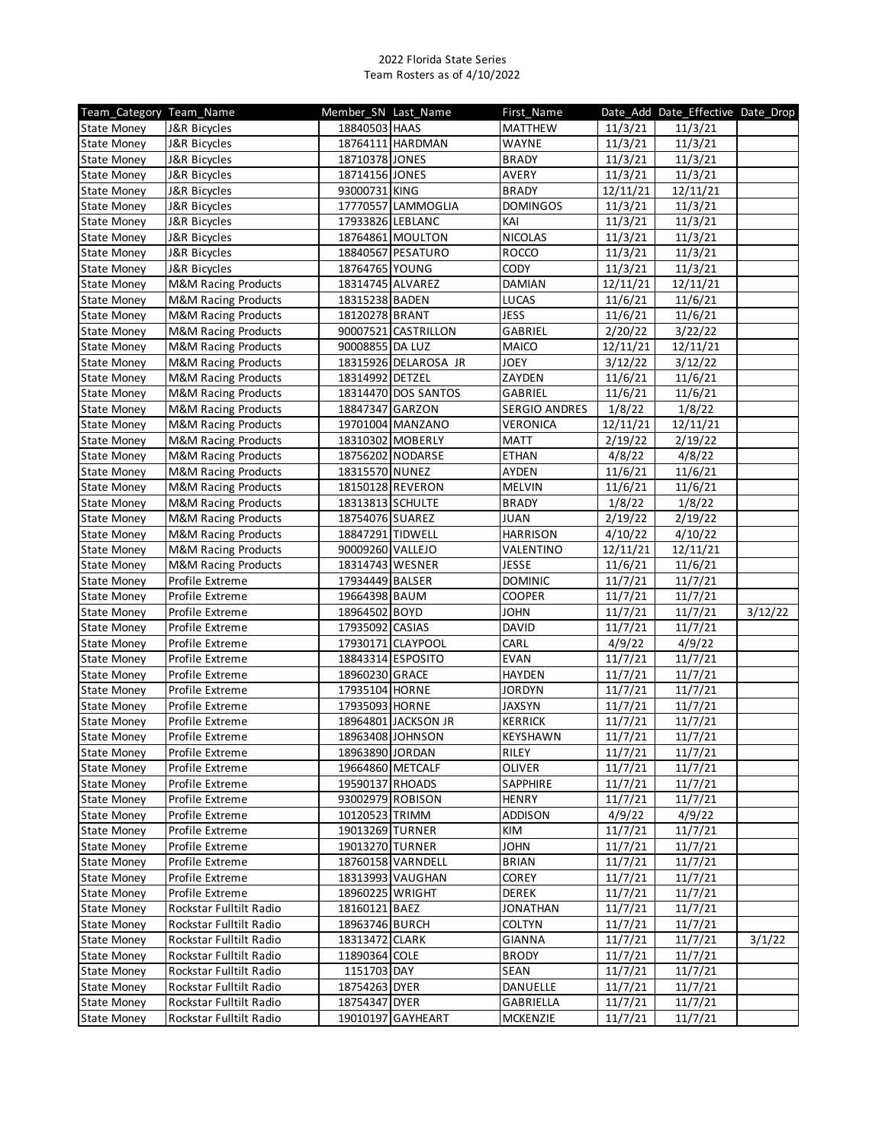| Team Category Team Name |                                | Member_SN_Last_Name |                      | First_Name      |          | Date_Add Date_Effective Date_Drop |         |
|-------------------------|--------------------------------|---------------------|----------------------|-----------------|----------|-----------------------------------|---------|
| <b>State Money</b>      | J&R Bicycles                   | 18840503 HAAS       |                      | <b>MATTHEW</b>  | 11/3/21  | 11/3/21                           |         |
| <b>State Money</b>      | J&R Bicycles                   |                     | 18764111 HARDMAN     | WAYNE           | 11/3/21  | 11/3/21                           |         |
| <b>State Money</b>      | J&R Bicycles                   | 18710378 JONES      |                      | <b>BRADY</b>    | 11/3/21  | 11/3/21                           |         |
| <b>State Money</b>      | J&R Bicycles                   | 18714156 JONES      |                      | AVERY           | 11/3/21  | 11/3/21                           |         |
| <b>State Money</b>      | J&R Bicycles                   | 93000731 KING       |                      | <b>BRADY</b>    | 12/11/21 | 12/11/21                          |         |
| <b>State Money</b>      | J&R Bicycles                   |                     | 17770557 LAMMOGLIA   | <b>DOMINGOS</b> | 11/3/21  | 11/3/21                           |         |
| <b>State Money</b>      | J&R Bicycles                   | 17933826 LEBLANC    |                      | KAI             | 11/3/21  | 11/3/21                           |         |
| <b>State Money</b>      | J&R Bicycles                   |                     | 18764861 MOULTON     | <b>NICOLAS</b>  | 11/3/21  | 11/3/21                           |         |
| <b>State Money</b>      | J&R Bicycles                   |                     | 18840567 PESATURO    | ROCCO           | 11/3/21  | 11/3/21                           |         |
| <b>State Money</b>      | J&R Bicycles                   | 18764765 YOUNG      |                      | <b>CODY</b>     | 11/3/21  | 11/3/21                           |         |
| <b>State Money</b>      | M&M Racing Products            | 18314745 ALVAREZ    |                      | DAMIAN          | 12/11/21 | 12/11/21                          |         |
| <b>State Money</b>      | <b>M&amp;M Racing Products</b> | 18315238 BADEN      |                      | <b>LUCAS</b>    | 11/6/21  | 11/6/21                           |         |
| <b>State Money</b>      | M&M Racing Products            | 18120278 BRANT      |                      | <b>JESS</b>     | 11/6/21  | 11/6/21                           |         |
| <b>State Money</b>      | M&M Racing Products            |                     | 90007521 CASTRILLON  | GABRIEL         | 2/20/22  | 3/22/22                           |         |
| <b>State Money</b>      | M&M Racing Products            | 90008855 DA LUZ     |                      | MAICO           | 12/11/21 | 12/11/21                          |         |
| <b>State Money</b>      | M&M Racing Products            |                     | 18315926 DELAROSA JR | <b>JOEY</b>     | 3/12/22  | 3/12/22                           |         |
| <b>State Money</b>      | <b>M&amp;M Racing Products</b> | 18314992 DETZEL     |                      | ZAYDEN          | 11/6/21  | 11/6/21                           |         |
| <b>State Money</b>      | <b>M&amp;M Racing Products</b> |                     | 18314470 DOS SANTOS  | GABRIEL         | 11/6/21  | 11/6/21                           |         |
| <b>State Money</b>      | <b>M&amp;M Racing Products</b> | 18847347 GARZON     |                      | SERGIO ANDRES   | 1/8/22   | 1/8/22                            |         |
| <b>State Money</b>      | <b>M&amp;M Racing Products</b> |                     | 19701004 MANZANO     | <b>VERONICA</b> | 12/11/21 | 12/11/21                          |         |
| <b>State Money</b>      | M&M Racing Products            | 18310302 MOBERLY    |                      | <b>MATT</b>     | 2/19/22  | 2/19/22                           |         |
| <b>State Money</b>      | <b>M&amp;M Racing Products</b> |                     | 18756202 NODARSE     | <b>ETHAN</b>    | 4/8/22   | 4/8/22                            |         |
| <b>State Money</b>      | <b>M&amp;M Racing Products</b> | 18315570 NUNEZ      |                      | AYDEN           | 11/6/21  | 11/6/21                           |         |
| <b>State Money</b>      | <b>M&amp;M Racing Products</b> | 18150128 REVERON    |                      | <b>MELVIN</b>   | 11/6/21  | 11/6/21                           |         |
| <b>State Money</b>      | M&M Racing Products            | 18313813 SCHULTE    |                      | <b>BRADY</b>    | 1/8/22   | 1/8/22                            |         |
| <b>State Money</b>      | <b>M&amp;M Racing Products</b> | 18754076 SUAREZ     |                      | JUAN            | 2/19/22  | 2/19/22                           |         |
| <b>State Money</b>      | M&M Racing Products            | 18847291 TIDWELL    |                      | <b>HARRISON</b> | 4/10/22  | 4/10/22                           |         |
| <b>State Money</b>      | <b>M&amp;M Racing Products</b> | 90009260 VALLEJO    |                      | VALENTINO       | 12/11/21 | 12/11/21                          |         |
| <b>State Money</b>      | <b>M&amp;M Racing Products</b> | 18314743 WESNER     |                      | <b>JESSE</b>    | 11/6/21  | 11/6/21                           |         |
| <b>State Money</b>      | Profile Extreme                | 17934449 BALSER     |                      | <b>DOMINIC</b>  | 11/7/21  | 11/7/21                           |         |
| <b>State Money</b>      | Profile Extreme                | 19664398 BAUM       |                      | <b>COOPER</b>   | 11/7/21  | 11/7/21                           |         |
| <b>State Money</b>      | Profile Extreme                | 18964502 BOYD       |                      | <b>JOHN</b>     | 11/7/21  | 11/7/21                           | 3/12/22 |
| <b>State Money</b>      | Profile Extreme                | 17935092 CASIAS     |                      | DAVID           | 11/7/21  | 11/7/21                           |         |
| <b>State Money</b>      | Profile Extreme                |                     | 17930171 CLAYPOOL    | CARL            | 4/9/22   | 4/9/22                            |         |
| <b>State Money</b>      | Profile Extreme                |                     | 18843314 ESPOSITO    | <b>EVAN</b>     | 11/7/21  | 11/7/21                           |         |
| <b>State Money</b>      | Profile Extreme                | 18960230 GRACE      |                      | <b>HAYDEN</b>   | 11/7/21  | 11/7/21                           |         |
| <b>State Money</b>      | Profile Extreme                | 17935104 HORNE      |                      | <b>JORDYN</b>   | 11/7/21  | 11/7/21                           |         |
| <b>State Money</b>      | Profile Extreme                | 17935093 HORNE      |                      | <b>JAXSYN</b>   | 11/7/21  | 11/7/21                           |         |
| <b>State Money</b>      | Profile Extreme                |                     | 18964801 JACKSON JR  | <b>KERRICK</b>  | 11/7/21  | 11/7/21                           |         |
| <b>State Money</b>      | Profile Extreme                | 18963408 JOHNSON    |                      | <b>KEYSHAWN</b> | 11/7/21  | 11/7/21                           |         |
| <b>State Money</b>      | Profile Extreme                | 18963890 JORDAN     |                      | RILEY           | 11/7/21  | 11/7/21                           |         |
| <b>State Money</b>      | Profile Extreme                | 19664860 METCALF    |                      | <b>OLIVER</b>   | 11/7/21  | 11/7/21                           |         |
| <b>State Money</b>      | Profile Extreme                | 19590137 RHOADS     |                      | SAPPHIRE        | 11/7/21  | 11/7/21                           |         |
| <b>State Money</b>      | Profile Extreme                | 93002979 ROBISON    |                      | <b>HENRY</b>    | 11/7/21  | 11/7/21                           |         |
| <b>State Money</b>      | Profile Extreme                | 10120523 TRIMM      |                      | <b>ADDISON</b>  | 4/9/22   | 4/9/22                            |         |
| <b>State Money</b>      | Profile Extreme                | 19013269 TURNER     |                      | KIM             | 11/7/21  | 11/7/21                           |         |
| <b>State Money</b>      | Profile Extreme                | 19013270 TURNER     |                      | <b>JOHN</b>     | 11/7/21  | 11/7/21                           |         |
| <b>State Money</b>      | Profile Extreme                |                     | 18760158 VARNDELL    | <b>BRIAN</b>    | 11/7/21  | 11/7/21                           |         |
| <b>State Money</b>      | Profile Extreme                |                     | 18313993 VAUGHAN     | COREY           | 11/7/21  | 11/7/21                           |         |
| <b>State Money</b>      | Profile Extreme                | 18960225 WRIGHT     |                      | DEREK           | 11/7/21  | 11/7/21                           |         |
| <b>State Money</b>      | Rockstar Fulltilt Radio        | 18160121 BAEZ       |                      | <b>JONATHAN</b> | 11/7/21  | 11/7/21                           |         |
| <b>State Money</b>      | Rockstar Fulltilt Radio        | 18963746 BURCH      |                      | <b>COLTYN</b>   | 11/7/21  | 11/7/21                           |         |
| <b>State Money</b>      | Rockstar Fulltilt Radio        | 18313472 CLARK      |                      | GIANNA          | 11/7/21  | 11/7/21                           | 3/1/22  |
| <b>State Money</b>      | Rockstar Fulltilt Radio        | 11890364 COLE       |                      | <b>BRODY</b>    | 11/7/21  | 11/7/21                           |         |
| <b>State Money</b>      | Rockstar Fulltilt Radio        | 1151703 DAY         |                      | SEAN            | 11/7/21  | 11/7/21                           |         |
| <b>State Money</b>      | Rockstar Fulltilt Radio        | 18754263 DYER       |                      | DANUELLE        | 11/7/21  | 11/7/21                           |         |
| <b>State Money</b>      | Rockstar Fulltilt Radio        | 18754347 DYER       |                      | GABRIELLA       | 11/7/21  | 11/7/21                           |         |
| <b>State Money</b>      | Rockstar Fulltilt Radio        |                     | 19010197 GAYHEART    | <b>MCKENZIE</b> | 11/7/21  | 11/7/21                           |         |
|                         |                                |                     |                      |                 |          |                                   |         |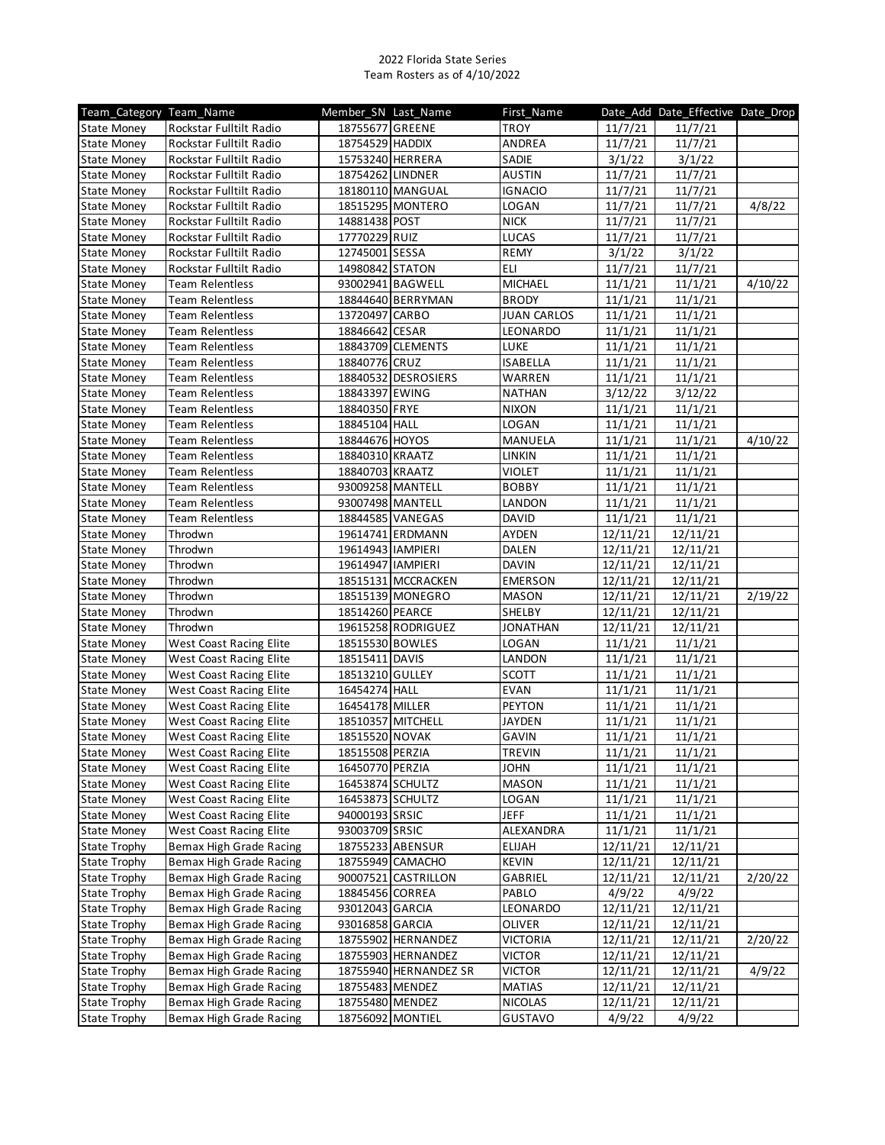| Team Category Team Name |                                | Member SN Last Name |                       | First_Name         |          | Date_Add Date_Effective Date_Drop |         |
|-------------------------|--------------------------------|---------------------|-----------------------|--------------------|----------|-----------------------------------|---------|
| <b>State Money</b>      | Rockstar Fulltilt Radio        | 18755677 GREENE     |                       | <b>TROY</b>        | 11/7/21  | 11/7/21                           |         |
| <b>State Money</b>      | Rockstar Fulltilt Radio        | 18754529 HADDIX     |                       | ANDREA             | 11/7/21  | 11/7/21                           |         |
| <b>State Money</b>      | Rockstar Fulltilt Radio        | 15753240 HERRERA    |                       | SADIE              | 3/1/22   | 3/1/22                            |         |
| State Money             | Rockstar Fulltilt Radio        | 18754262 LINDNER    |                       | <b>AUSTIN</b>      | 11/7/21  | 11/7/21                           |         |
| <b>State Money</b>      | Rockstar Fulltilt Radio        |                     | 18180110 MANGUAL      | <b>IGNACIO</b>     | 11/7/21  | 11/7/21                           |         |
| <b>State Money</b>      | Rockstar Fulltilt Radio        |                     | 18515295 MONTERO      | LOGAN              | 11/7/21  | 11/7/21                           | 4/8/22  |
| <b>State Money</b>      | Rockstar Fulltilt Radio        | 14881438 POST       |                       | <b>NICK</b>        | 11/7/21  | 11/7/21                           |         |
| <b>State Money</b>      | Rockstar Fulltilt Radio        | 17770229 RUIZ       |                       | <b>LUCAS</b>       | 11/7/21  | 11/7/21                           |         |
| <b>State Money</b>      | Rockstar Fulltilt Radio        | 12745001 SESSA      |                       | REMY               | 3/1/22   | 3/1/22                            |         |
| <b>State Money</b>      | Rockstar Fulltilt Radio        | 14980842 STATON     |                       | ELI                | 11/7/21  | 11/7/21                           |         |
| <b>State Money</b>      | <b>Team Relentless</b>         | 93002941 BAGWELL    |                       | MICHAEL            | 11/1/21  | 11/1/21                           | 4/10/22 |
| <b>State Money</b>      | <b>Team Relentless</b>         |                     | 18844640 BERRYMAN     | <b>BRODY</b>       | 11/1/21  | 11/1/21                           |         |
| <b>State Money</b>      | <b>Team Relentless</b>         | 13720497 CARBO      |                       | <b>JUAN CARLOS</b> | 11/1/21  | 11/1/21                           |         |
| <b>State Money</b>      | <b>Team Relentless</b>         | 18846642 CESAR      |                       | LEONARDO           | 11/1/21  | 11/1/21                           |         |
| <b>State Money</b>      | <b>Team Relentless</b>         |                     | 18843709 CLEMENTS     | LUKE               | 11/1/21  | 11/1/21                           |         |
| <b>State Money</b>      | <b>Team Relentless</b>         | 18840776 CRUZ       |                       | <b>ISABELLA</b>    | 11/1/21  | 11/1/21                           |         |
| <b>State Money</b>      | <b>Team Relentless</b>         |                     | 18840532 DESROSIERS   | WARREN             | 11/1/21  | 11/1/21                           |         |
| <b>State Money</b>      | <b>Team Relentless</b>         | 18843397 EWING      |                       | <b>NATHAN</b>      | 3/12/22  | 3/12/22                           |         |
| <b>State Money</b>      | <b>Team Relentless</b>         | 18840350 FRYE       |                       | <b>NIXON</b>       | 11/1/21  | 11/1/21                           |         |
| <b>State Money</b>      | <b>Team Relentless</b>         | 18845104 HALL       |                       | LOGAN              | 11/1/21  | 11/1/21                           |         |
| <b>State Money</b>      | <b>Team Relentless</b>         | 18844676 HOYOS      |                       | MANUELA            | 11/1/21  | 11/1/21                           | 4/10/22 |
| <b>State Money</b>      | <b>Team Relentless</b>         | 18840310 KRAATZ     |                       | LINKIN             | 11/1/21  | 11/1/21                           |         |
| <b>State Money</b>      | <b>Team Relentless</b>         | 18840703 KRAATZ     |                       | VIOLET             | 11/1/21  | 11/1/21                           |         |
| <b>State Money</b>      | <b>Team Relentless</b>         | 93009258 MANTELL    |                       | <b>BOBBY</b>       | 11/1/21  | 11/1/21                           |         |
| <b>State Money</b>      | <b>Team Relentless</b>         | 93007498 MANTELL    |                       | LANDON             | 11/1/21  | 11/1/21                           |         |
| <b>State Money</b>      | <b>Team Relentless</b>         | 18844585 VANEGAS    |                       | <b>DAVID</b>       | 11/1/21  | 11/1/21                           |         |
| <b>State Money</b>      | Throdwn                        |                     | 19614741 ERDMANN      | <b>AYDEN</b>       | 12/11/21 | 12/11/21                          |         |
| <b>State Money</b>      | Throdwn                        | 19614943   IAMPIERI |                       | DALEN              | 12/11/21 | 12/11/21                          |         |
| <b>State Money</b>      | Throdwn                        | 19614947   IAMPIERI |                       | <b>DAVIN</b>       | 12/11/21 | 12/11/21                          |         |
| <b>State Money</b>      | Throdwn                        |                     | 18515131 MCCRACKEN    | <b>EMERSON</b>     | 12/11/21 | 12/11/21                          |         |
| <b>State Money</b>      | Throdwn                        |                     | 18515139 MONEGRO      | <b>MASON</b>       | 12/11/21 | 12/11/21                          | 2/19/22 |
| <b>State Money</b>      | Throdwn                        | 18514260 PEARCE     |                       | <b>SHELBY</b>      | 12/11/21 | 12/11/21                          |         |
| <b>State Money</b>      | Throdwn                        |                     | 19615258 RODRIGUEZ    | <b>JONATHAN</b>    | 12/11/21 | 12/11/21                          |         |
| <b>State Money</b>      | West Coast Racing Elite        | 18515530 BOWLES     |                       | LOGAN              | 11/1/21  | 11/1/21                           |         |
| <b>State Money</b>      | West Coast Racing Elite        | 18515411 DAVIS      |                       | LANDON             | 11/1/21  | 11/1/21                           |         |
| <b>State Money</b>      | West Coast Racing Elite        | 18513210 GULLEY     |                       | <b>SCOTT</b>       | 11/1/21  | 11/1/21                           |         |
| <b>State Money</b>      | West Coast Racing Elite        | 16454274 HALL       |                       | <b>EVAN</b>        | 11/1/21  | 11/1/21                           |         |
| <b>State Money</b>      | <b>West Coast Racing Elite</b> | 16454178 MILLER     |                       | <b>PEYTON</b>      | 11/1/21  | 11/1/21                           |         |
| <b>State Money</b>      | <b>West Coast Racing Elite</b> | 18510357 MITCHELL   |                       | <b>JAYDEN</b>      | 11/1/21  | 11/1/21                           |         |
| <b>State Money</b>      | West Coast Racing Elite        | 18515520 NOVAK      |                       | <b>GAVIN</b>       | 11/1/21  | 11/1/21                           |         |
| <b>State Money</b>      | West Coast Racing Elite        | 18515508 PERZIA     |                       | TREVIN             | 11/1/21  | 11/1/21                           |         |
| <b>State Money</b>      | West Coast Racing Elite        | 16450770 PERZIA     |                       | JOHN               | 11/1/21  | 11/1/21                           |         |
| <b>State Money</b>      | West Coast Racing Elite        | 16453874 SCHULTZ    |                       | <b>MASON</b>       | 11/1/21  | 11/1/21                           |         |
| <b>State Money</b>      | West Coast Racing Elite        | 16453873 SCHULTZ    |                       | LOGAN              | 11/1/21  | 11/1/21                           |         |
| <b>State Money</b>      | West Coast Racing Elite        | 94000193 SRSIC      |                       | <b>JEFF</b>        | 11/1/21  | 11/1/21                           |         |
| <b>State Money</b>      | West Coast Racing Elite        | 93003709 SRSIC      |                       | ALEXANDRA          | 11/1/21  | 11/1/21                           |         |
| <b>State Trophy</b>     | Bemax High Grade Racing        |                     | 18755233 ABENSUR      | <b>ELIJAH</b>      | 12/11/21 | 12/11/21                          |         |
| <b>State Trophy</b>     | Bemax High Grade Racing        |                     | 18755949 CAMACHO      | <b>KEVIN</b>       | 12/11/21 | 12/11/21                          |         |
| <b>State Trophy</b>     | Bemax High Grade Racing        |                     | 90007521 CASTRILLON   | GABRIEL            | 12/11/21 | 12/11/21                          | 2/20/22 |
| <b>State Trophy</b>     | Bemax High Grade Racing        | 18845456 CORREA     |                       | PABLO              | 4/9/22   | 4/9/22                            |         |
| <b>State Trophy</b>     | Bemax High Grade Racing        | 93012043 GARCIA     |                       | LEONARDO           | 12/11/21 | 12/11/21                          |         |
| <b>State Trophy</b>     | Bemax High Grade Racing        | 93016858 GARCIA     |                       | <b>OLIVER</b>      | 12/11/21 | 12/11/21                          |         |
| <b>State Trophy</b>     | Bemax High Grade Racing        |                     | 18755902 HERNANDEZ    | <b>VICTORIA</b>    | 12/11/21 | 12/11/21                          | 2/20/22 |
| <b>State Trophy</b>     | Bemax High Grade Racing        |                     | 18755903 HERNANDEZ    | Victor             | 12/11/21 | 12/11/21                          |         |
| <b>State Trophy</b>     | Bemax High Grade Racing        |                     | 18755940 HERNANDEZ SR | <b>VICTOR</b>      | 12/11/21 | 12/11/21                          | 4/9/22  |
| <b>State Trophy</b>     | Bemax High Grade Racing        | 18755483 MENDEZ     |                       | <b>MATIAS</b>      | 12/11/21 | 12/11/21                          |         |
| <b>State Trophy</b>     | Bemax High Grade Racing        | 18755480 MENDEZ     |                       | NICOLAS            | 12/11/21 | 12/11/21                          |         |
| <b>State Trophy</b>     | Bemax High Grade Racing        | 18756092 MONTIEL    |                       | <b>GUSTAVO</b>     | 4/9/22   | 4/9/22                            |         |
|                         |                                |                     |                       |                    |          |                                   |         |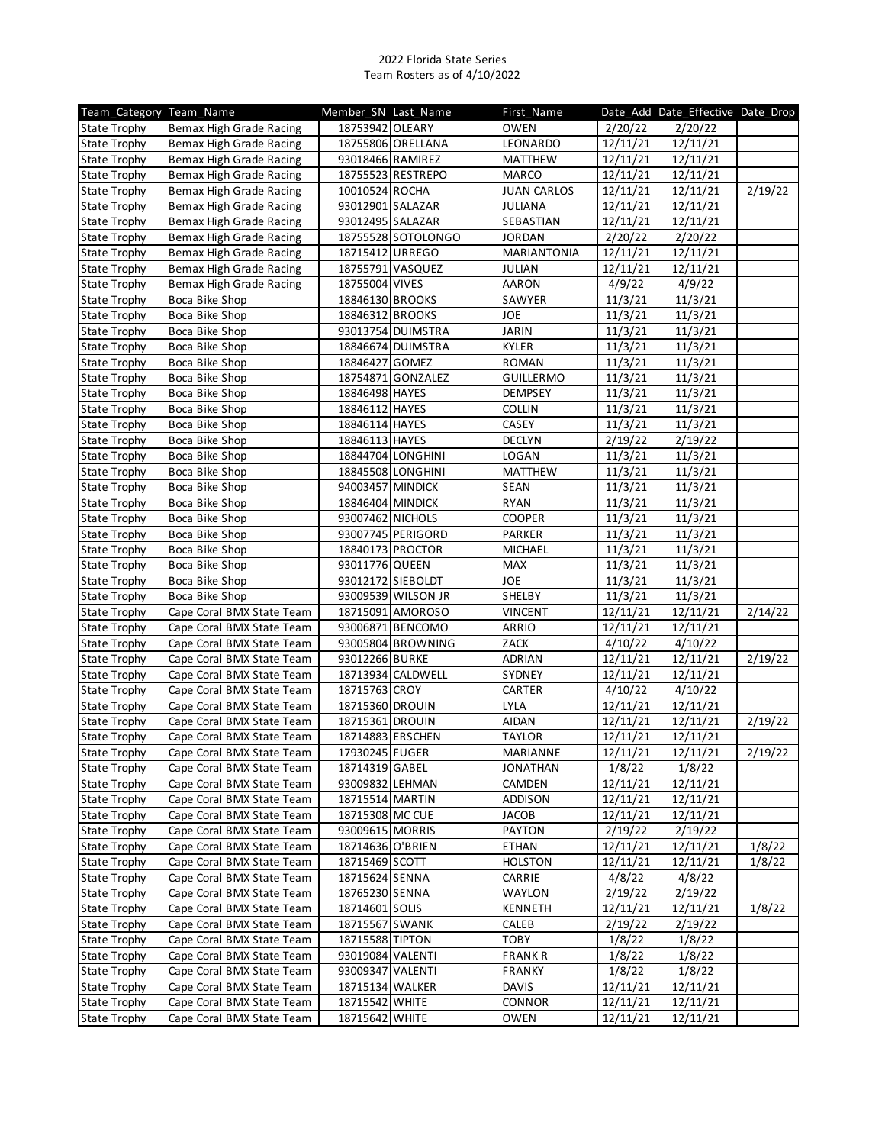| Team Category Team Name |                           | Member_SN_Last_Name |                    | First Name         |          | Date_Add Date_Effective Date_Drop |         |
|-------------------------|---------------------------|---------------------|--------------------|--------------------|----------|-----------------------------------|---------|
| <b>State Trophy</b>     | Bemax High Grade Racing   | 18753942 OLEARY     |                    | <b>OWEN</b>        | 2/20/22  | 2/20/22                           |         |
| <b>State Trophy</b>     | Bemax High Grade Racing   |                     | 18755806 ORELLANA  | LEONARDO           | 12/11/21 | 12/11/21                          |         |
| <b>State Trophy</b>     | Bemax High Grade Racing   | 93018466 RAMIREZ    |                    | MATTHEW            | 12/11/21 | 12/11/21                          |         |
| <b>State Trophy</b>     | Bemax High Grade Racing   |                     | 18755523 RESTREPO  | MARCO              | 12/11/21 | 12/11/21                          |         |
| <b>State Trophy</b>     | Bemax High Grade Racing   | 10010524 ROCHA      |                    | <b>JUAN CARLOS</b> | 12/11/21 | 12/11/21                          | 2/19/22 |
| <b>State Trophy</b>     | Bemax High Grade Racing   | 93012901 SALAZAR    |                    | <b>JULIANA</b>     | 12/11/21 | 12/11/21                          |         |
| <b>State Trophy</b>     | Bemax High Grade Racing   | 93012495 SALAZAR    |                    | SEBASTIAN          | 12/11/21 | 12/11/21                          |         |
| <b>State Trophy</b>     | Bemax High Grade Racing   |                     | 18755528 SOTOLONGO | JORDAN             | 2/20/22  | 2/20/22                           |         |
| <b>State Trophy</b>     | Bemax High Grade Racing   | 18715412 URREGO     |                    | MARIANTONIA        | 12/11/21 | 12/11/21                          |         |
| <b>State Trophy</b>     | Bemax High Grade Racing   | 18755791 VASQUEZ    |                    | JULIAN             | 12/11/21 | 12/11/21                          |         |
| <b>State Trophy</b>     | Bemax High Grade Racing   | 18755004 VIVES      |                    | <b>AARON</b>       | 4/9/22   | 4/9/22                            |         |
| <b>State Trophy</b>     | Boca Bike Shop            | 18846130 BROOKS     |                    | SAWYER             | 11/3/21  | 11/3/21                           |         |
| <b>State Trophy</b>     | Boca Bike Shop            | 18846312 BROOKS     |                    | JOE                | 11/3/21  | 11/3/21                           |         |
| <b>State Trophy</b>     | Boca Bike Shop            |                     | 93013754 DUIMSTRA  | <b>JARIN</b>       | 11/3/21  | 11/3/21                           |         |
| <b>State Trophy</b>     | Boca Bike Shop            |                     | 18846674 DUIMSTRA  | KYLER              | 11/3/21  | 11/3/21                           |         |
| <b>State Trophy</b>     | Boca Bike Shop            | 18846427 GOMEZ      |                    | ROMAN              | 11/3/21  | 11/3/21                           |         |
| <b>State Trophy</b>     | Boca Bike Shop            |                     | 18754871 GONZALEZ  | <b>GUILLERMO</b>   | 11/3/21  | 11/3/21                           |         |
| <b>State Trophy</b>     | Boca Bike Shop            | 18846498 HAYES      |                    | <b>DEMPSEY</b>     |          | 11/3/21                           |         |
|                         |                           |                     |                    |                    | 11/3/21  |                                   |         |
| <b>State Trophy</b>     | Boca Bike Shop            | 18846112 HAYES      |                    | <b>COLLIN</b>      | 11/3/21  | 11/3/21                           |         |
| <b>State Trophy</b>     | Boca Bike Shop            | 18846114 HAYES      |                    | CASEY              | 11/3/21  | 11/3/21                           |         |
| <b>State Trophy</b>     | Boca Bike Shop            | 18846113 HAYES      |                    | <b>DECLYN</b>      | 2/19/22  | 2/19/22                           |         |
| <b>State Trophy</b>     | Boca Bike Shop            |                     | 18844704 LONGHINI  | LOGAN              | 11/3/21  | 11/3/21                           |         |
| <b>State Trophy</b>     | Boca Bike Shop            |                     | 18845508 LONGHINI  | <b>MATTHEW</b>     | 11/3/21  | 11/3/21                           |         |
| <b>State Trophy</b>     | Boca Bike Shop            | 94003457 MINDICK    |                    | SEAN               | 11/3/21  | 11/3/21                           |         |
| <b>State Trophy</b>     | Boca Bike Shop            | 18846404 MINDICK    |                    | <b>RYAN</b>        | 11/3/21  | 11/3/21                           |         |
| <b>State Trophy</b>     | Boca Bike Shop            | 93007462 NICHOLS    |                    | <b>COOPER</b>      | 11/3/21  | 11/3/21                           |         |
| <b>State Trophy</b>     | Boca Bike Shop            |                     | 93007745 PERIGORD  | PARKER             | 11/3/21  | 11/3/21                           |         |
| <b>State Trophy</b>     | Boca Bike Shop            |                     | 18840173 PROCTOR   | MICHAEL            | 11/3/21  | 11/3/21                           |         |
| <b>State Trophy</b>     | Boca Bike Shop            | 93011776 QUEEN      |                    | MAX                | 11/3/21  | 11/3/21                           |         |
| <b>State Trophy</b>     | Boca Bike Shop            | 93012172 SIEBOLDT   |                    | JOE                | 11/3/21  | 11/3/21                           |         |
| <b>State Trophy</b>     | Boca Bike Shop            |                     | 93009539 WILSON JR | SHELBY             | 11/3/21  | 11/3/21                           |         |
| <b>State Trophy</b>     | Cape Coral BMX State Team |                     | 18715091 AMOROSO   | <b>VINCENT</b>     | 12/11/21 | 12/11/21                          | 2/14/22 |
| <b>State Trophy</b>     | Cape Coral BMX State Team |                     | 93006871 BENCOMO   | ARRIO              | 12/11/21 | 12/11/21                          |         |
| <b>State Trophy</b>     | Cape Coral BMX State Team |                     | 93005804 BROWNING  | ZACK               | 4/10/22  | 4/10/22                           |         |
| <b>State Trophy</b>     | Cape Coral BMX State Team | 93012266 BURKE      |                    | ADRIAN             | 12/11/21 | 12/11/21                          | 2/19/22 |
| <b>State Trophy</b>     | Cape Coral BMX State Team |                     | 18713934 CALDWELL  | SYDNEY             | 12/11/21 | 12/11/21                          |         |
| <b>State Trophy</b>     | Cape Coral BMX State Team | 18715763 CROY       |                    | CARTER             | 4/10/22  | 4/10/22                           |         |
| <b>State Trophy</b>     | Cape Coral BMX State Team | 18715360 DROUIN     |                    | LYLA               | 12/11/21 | 12/11/21                          |         |
| <b>State Trophy</b>     | Cape Coral BMX State Team | 18715361 DROUIN     |                    | AIDAN              | 12/11/21 | 12/11/21                          | 2/19/22 |
| <b>State Trophy</b>     | Cape Coral BMX State Team | 18714883 ERSCHEN    |                    | <b>TAYLOR</b>      | 12/11/21 | 12/11/21                          |         |
| <b>State Trophy</b>     | Cape Coral BMX State Team | 17930245 FUGER      |                    | MARIANNE           | 12/11/21 | 12/11/21                          | 2/19/22 |
| <b>State Trophy</b>     | Cape Coral BMX State Team | 18714319 GABEL      |                    | JONATHAN           | 1/8/22   | 1/8/22                            |         |
| <b>State Trophy</b>     | Cape Coral BMX State Team | 93009832 LEHMAN     |                    | CAMDEN             | 12/11/21 | 12/11/21                          |         |
| State Trophy            | Cape Coral BMX State Team | 18715514 MARTIN     |                    | ADDISON            | 12/11/21 | 12/11/21                          |         |
| <b>State Trophy</b>     | Cape Coral BMX State Team | 18715308 MC CUE     |                    | <b>JACOB</b>       | 12/11/21 | 12/11/21                          |         |
| <b>State Trophy</b>     | Cape Coral BMX State Team | 93009615 MORRIS     |                    | <b>PAYTON</b>      | 2/19/22  | 2/19/22                           |         |
| <b>State Trophy</b>     | Cape Coral BMX State Team | 18714636 O'BRIEN    |                    | <b>ETHAN</b>       | 12/11/21 | 12/11/21                          | 1/8/22  |
| <b>State Trophy</b>     | Cape Coral BMX State Team | 18715469 SCOTT      |                    | HOLSTON            | 12/11/21 | 12/11/21                          | 1/8/22  |
| <b>State Trophy</b>     | Cape Coral BMX State Team | 18715624 SENNA      |                    | CARRIE             | 4/8/22   | 4/8/22                            |         |
| <b>State Trophy</b>     | Cape Coral BMX State Team | 18765230 SENNA      |                    | WAYLON             | 2/19/22  | 2/19/22                           |         |
| <b>State Trophy</b>     | Cape Coral BMX State Team | 18714601 SOLIS      |                    | <b>KENNETH</b>     | 12/11/21 | 12/11/21                          | 1/8/22  |
| <b>State Trophy</b>     | Cape Coral BMX State Team | 18715567 SWANK      |                    | CALEB              | 2/19/22  | 2/19/22                           |         |
| <b>State Trophy</b>     | Cape Coral BMX State Team | 18715588 TIPTON     |                    | <b>TOBY</b>        | 1/8/22   | 1/8/22                            |         |
| <b>State Trophy</b>     | Cape Coral BMX State Team | 93019084 VALENTI    |                    | <b>FRANK R</b>     | 1/8/22   | 1/8/22                            |         |
| <b>State Trophy</b>     | Cape Coral BMX State Team | 93009347 VALENTI    |                    | <b>FRANKY</b>      | 1/8/22   | 1/8/22                            |         |
| <b>State Trophy</b>     | Cape Coral BMX State Team | 18715134 WALKER     |                    | <b>DAVIS</b>       | 12/11/21 | 12/11/21                          |         |
|                         |                           |                     |                    |                    |          |                                   |         |
| <b>State Trophy</b>     | Cape Coral BMX State Team | 18715542 WHITE      |                    | <b>CONNOR</b>      | 12/11/21 | 12/11/21                          |         |
| <b>State Trophy</b>     | Cape Coral BMX State Team | 18715642 WHITE      |                    | OWEN               | 12/11/21 | 12/11/21                          |         |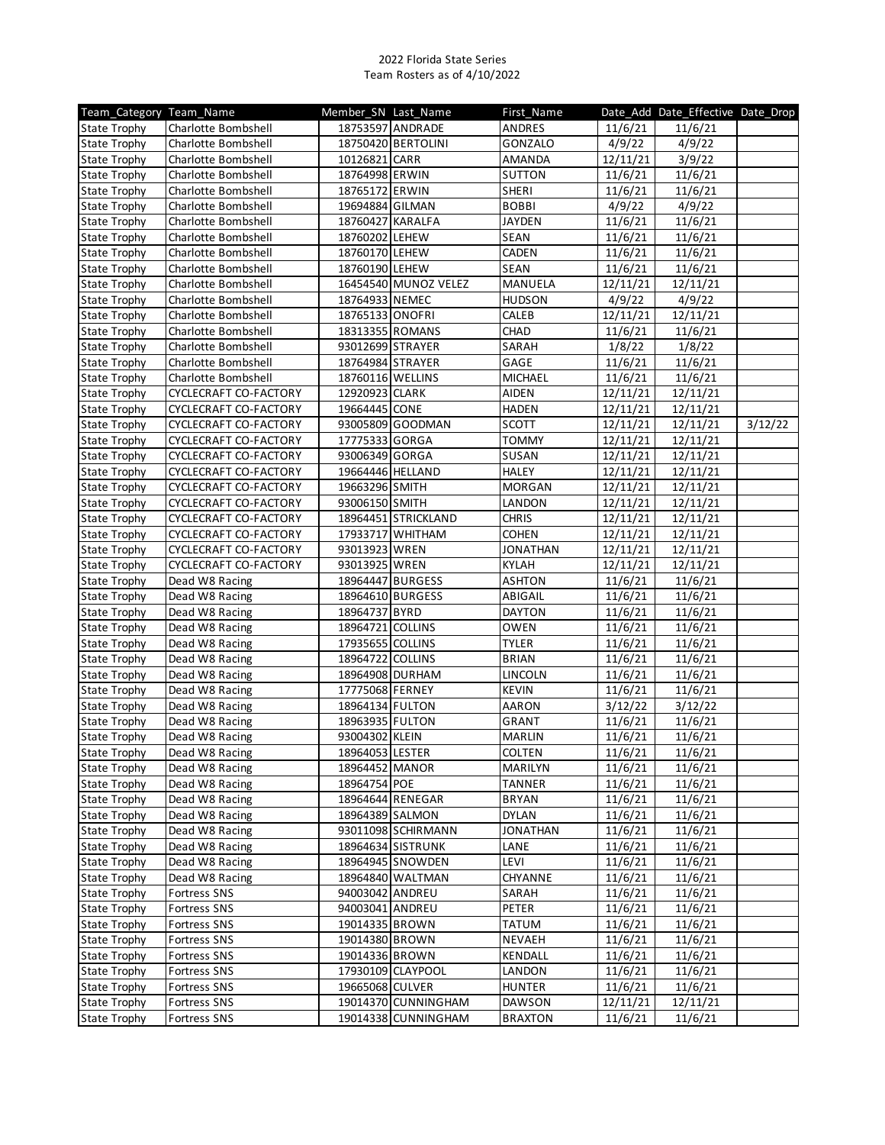| Team Category Team Name |                       | Member SN Last Name |                      | First Name      |          | Date_Add Date_Effective Date_Drop |         |
|-------------------------|-----------------------|---------------------|----------------------|-----------------|----------|-----------------------------------|---------|
| <b>State Trophy</b>     | Charlotte Bombshell   |                     | 18753597 ANDRADE     | ANDRES          | 11/6/21  | 11/6/21                           |         |
| <b>State Trophy</b>     | Charlotte Bombshell   |                     | 18750420 BERTOLINI   | GONZALO         | 4/9/22   | 4/9/22                            |         |
| <b>State Trophy</b>     | Charlotte Bombshell   | 10126821 CARR       |                      | AMANDA          | 12/11/21 | 3/9/22                            |         |
| <b>State Trophy</b>     | Charlotte Bombshell   | 18764998 ERWIN      |                      | <b>SUTTON</b>   | 11/6/21  | 11/6/21                           |         |
| <b>State Trophy</b>     | Charlotte Bombshell   | 18765172 ERWIN      |                      | <b>SHERI</b>    | 11/6/21  | 11/6/21                           |         |
| <b>State Trophy</b>     | Charlotte Bombshell   | 19694884 GILMAN     |                      | <b>BOBBI</b>    | 4/9/22   | 4/9/22                            |         |
| <b>State Trophy</b>     | Charlotte Bombshell   | 18760427 KARALFA    |                      | <b>JAYDEN</b>   | 11/6/21  | 11/6/21                           |         |
| <b>State Trophy</b>     | Charlotte Bombshell   | 18760202 LEHEW      |                      | SEAN            | 11/6/21  | 11/6/21                           |         |
| <b>State Trophy</b>     | Charlotte Bombshell   | 18760170 LEHEW      |                      | CADEN           | 11/6/21  | 11/6/21                           |         |
| <b>State Trophy</b>     | Charlotte Bombshell   | 18760190 LEHEW      |                      | <b>SEAN</b>     | 11/6/21  | 11/6/21                           |         |
| <b>State Trophy</b>     | Charlotte Bombshell   |                     | 16454540 MUNOZ VELEZ | MANUELA         | 12/11/21 | 12/11/21                          |         |
| <b>State Trophy</b>     | Charlotte Bombshell   | 18764933 NEMEC      |                      | <b>HUDSON</b>   | 4/9/22   | 4/9/22                            |         |
| <b>State Trophy</b>     | Charlotte Bombshell   | 18765133 ONOFRI     |                      | CALEB           | 12/11/21 | 12/11/21                          |         |
| <b>State Trophy</b>     | Charlotte Bombshell   | 18313355 ROMANS     |                      | CHAD            | 11/6/21  | 11/6/21                           |         |
| <b>State Trophy</b>     | Charlotte Bombshell   | 93012699 STRAYER    |                      | SARAH           | 1/8/22   | 1/8/22                            |         |
| <b>State Trophy</b>     | Charlotte Bombshell   | 18764984 STRAYER    |                      | GAGE            | 11/6/21  | 11/6/21                           |         |
| <b>State Trophy</b>     | Charlotte Bombshell   | 18760116 WELLINS    |                      | MICHAEL         | 11/6/21  | 11/6/21                           |         |
| <b>State Trophy</b>     | CYCLECRAFT CO-FACTORY | 12920923 CLARK      |                      | <b>AIDEN</b>    | 12/11/21 | 12/11/21                          |         |
| <b>State Trophy</b>     | CYCLECRAFT CO-FACTORY | 19664445 CONE       |                      | <b>HADEN</b>    | 12/11/21 | 12/11/21                          |         |
| <b>State Trophy</b>     | CYCLECRAFT CO-FACTORY |                     | 93005809 GOODMAN     | <b>SCOTT</b>    | 12/11/21 | 12/11/21                          | 3/12/22 |
| <b>State Trophy</b>     | CYCLECRAFT CO-FACTORY | 17775333 GORGA      |                      | <b>TOMMY</b>    | 12/11/21 | 12/11/21                          |         |
| <b>State Trophy</b>     | CYCLECRAFT CO-FACTORY | 93006349 GORGA      |                      | <b>SUSAN</b>    | 12/11/21 | 12/11/21                          |         |
| <b>State Trophy</b>     | CYCLECRAFT CO-FACTORY | 19664446 HELLAND    |                      | <b>HALEY</b>    | 12/11/21 | 12/11/21                          |         |
| <b>State Trophy</b>     | CYCLECRAFT CO-FACTORY | 19663296 SMITH      |                      | <b>MORGAN</b>   | 12/11/21 | 12/11/21                          |         |
| <b>State Trophy</b>     | CYCLECRAFT CO-FACTORY | 93006150 SMITH      |                      | LANDON          | 12/11/21 | 12/11/21                          |         |
| <b>State Trophy</b>     | CYCLECRAFT CO-FACTORY |                     | 18964451 STRICKLAND  | <b>CHRIS</b>    | 12/11/21 | 12/11/21                          |         |
| <b>State Trophy</b>     | CYCLECRAFT CO-FACTORY |                     | 17933717 WHITHAM     | <b>COHEN</b>    | 12/11/21 | $\frac{1}{2}/11/21$               |         |
| <b>State Trophy</b>     | CYCLECRAFT CO-FACTORY | 93013923   WREN     |                      | <b>JONATHAN</b> | 12/11/21 | 12/11/21                          |         |
| <b>State Trophy</b>     | CYCLECRAFT CO-FACTORY | 93013925 WREN       |                      | <b>KYLAH</b>    | 12/11/21 | 12/11/21                          |         |
| <b>State Trophy</b>     | Dead W8 Racing        |                     | 18964447 BURGESS     | <b>ASHTON</b>   | 11/6/21  | 11/6/21                           |         |
| <b>State Trophy</b>     | Dead W8 Racing        | 18964610 BURGESS    |                      | ABIGAIL         | 11/6/21  | 11/6/21                           |         |
| <b>State Trophy</b>     | Dead W8 Racing        | 18964737 BYRD       |                      | <b>DAYTON</b>   | 11/6/21  | 11/6/21                           |         |
| <b>State Trophy</b>     | Dead W8 Racing        | 18964721 COLLINS    |                      | OWEN            | 11/6/21  | 11/6/21                           |         |
| <b>State Trophy</b>     | Dead W8 Racing        | 17935655 COLLINS    |                      | <b>TYLER</b>    | 11/6/21  | 11/6/21                           |         |
| <b>State Trophy</b>     | Dead W8 Racing        | 18964722 COLLINS    |                      | <b>BRIAN</b>    | 11/6/21  | 11/6/21                           |         |
| <b>State Trophy</b>     | Dead W8 Racing        | 18964908 DURHAM     |                      | LINCOLN         | 11/6/21  | 11/6/21                           |         |
| <b>State Trophy</b>     | Dead W8 Racing        | 17775068 FERNEY     |                      | <b>KEVIN</b>    | 11/6/21  | 11/6/21                           |         |
| <b>State Trophy</b>     | Dead W8 Racing        | 18964134 FULTON     |                      | AARON           | 3/12/22  | 3/12/22                           |         |
| <b>State Trophy</b>     | Dead W8 Racing        | 18963935 FULTON     |                      | GRANT           | 11/6/21  | 11/6/21                           |         |
| <b>State Trophy</b>     | Dead W8 Racing        | 93004302 KLEIN      |                      | <b>MARLIN</b>   | 11/6/21  | 11/6/21                           |         |
| <b>State Trophy</b>     | Dead W8 Racing        | 18964053 LESTER     |                      | <b>COLTEN</b>   | 11/6/21  | 11/6/21                           |         |
| <b>State Trophy</b>     | Dead W8 Racing        | 18964452 MANOR      |                      | MARILYN         | 11/6/21  | 11/6/21                           |         |
| <b>State Trophy</b>     | Dead W8 Racing        | 18964754 POE        |                      | TANNER          | 11/6/21  | 11/6/21                           |         |
| <b>State Trophy</b>     | Dead W8 Racing        |                     | 18964644 RENEGAR     | <b>BRYAN</b>    | 11/6/21  | 11/6/21                           |         |
| <b>State Trophy</b>     | Dead W8 Racing        | 18964389 SALMON     |                      | <b>DYLAN</b>    | 11/6/21  | 11/6/21                           |         |
| <b>State Trophy</b>     | Dead W8 Racing        |                     | 93011098 SCHIRMANN   | <b>JONATHAN</b> | 11/6/21  | 11/6/21                           |         |
| <b>State Trophy</b>     | Dead W8 Racing        |                     | 18964634 SISTRUNK    | LANE            | 11/6/21  | 11/6/21                           |         |
| <b>State Trophy</b>     | Dead W8 Racing        |                     | 18964945 SNOWDEN     | LEVI            | 11/6/21  | 11/6/21                           |         |
| <b>State Trophy</b>     | Dead W8 Racing        |                     | 18964840 WALTMAN     | CHYANNE         | 11/6/21  | 11/6/21                           |         |
| <b>State Trophy</b>     | <b>Fortress SNS</b>   | 94003042 ANDREU     |                      | SARAH           | 11/6/21  | 11/6/21                           |         |
| <b>State Trophy</b>     | <b>Fortress SNS</b>   | 94003041 ANDREU     |                      | <b>PETER</b>    | 11/6/21  | 11/6/21                           |         |
| <b>State Trophy</b>     | Fortress SNS          | 19014335 BROWN      |                      | <b>TATUM</b>    | 11/6/21  | 11/6/21                           |         |
| <b>State Trophy</b>     | <b>Fortress SNS</b>   | 19014380 BROWN      |                      | NEVAEH          | 11/6/21  | 11/6/21                           |         |
| <b>State Trophy</b>     | <b>Fortress SNS</b>   | 19014336 BROWN      |                      | KENDALL         | 11/6/21  | 11/6/21                           |         |
| <b>State Trophy</b>     | <b>Fortress SNS</b>   |                     | 17930109 CLAYPOOL    | LANDON          | 11/6/21  | 11/6/21                           |         |
| <b>State Trophy</b>     | <b>Fortress SNS</b>   | 19665068 CULVER     |                      | <b>HUNTER</b>   | 11/6/21  | 11/6/21                           |         |
| <b>State Trophy</b>     | Fortress SNS          |                     | 19014370 CUNNINGHAM  | <b>DAWSON</b>   | 12/11/21 | 12/11/21                          |         |
| <b>State Trophy</b>     | <b>Fortress SNS</b>   |                     | 19014338 CUNNINGHAM  | <b>BRAXTON</b>  | 11/6/21  | 11/6/21                           |         |
|                         |                       |                     |                      |                 |          |                                   |         |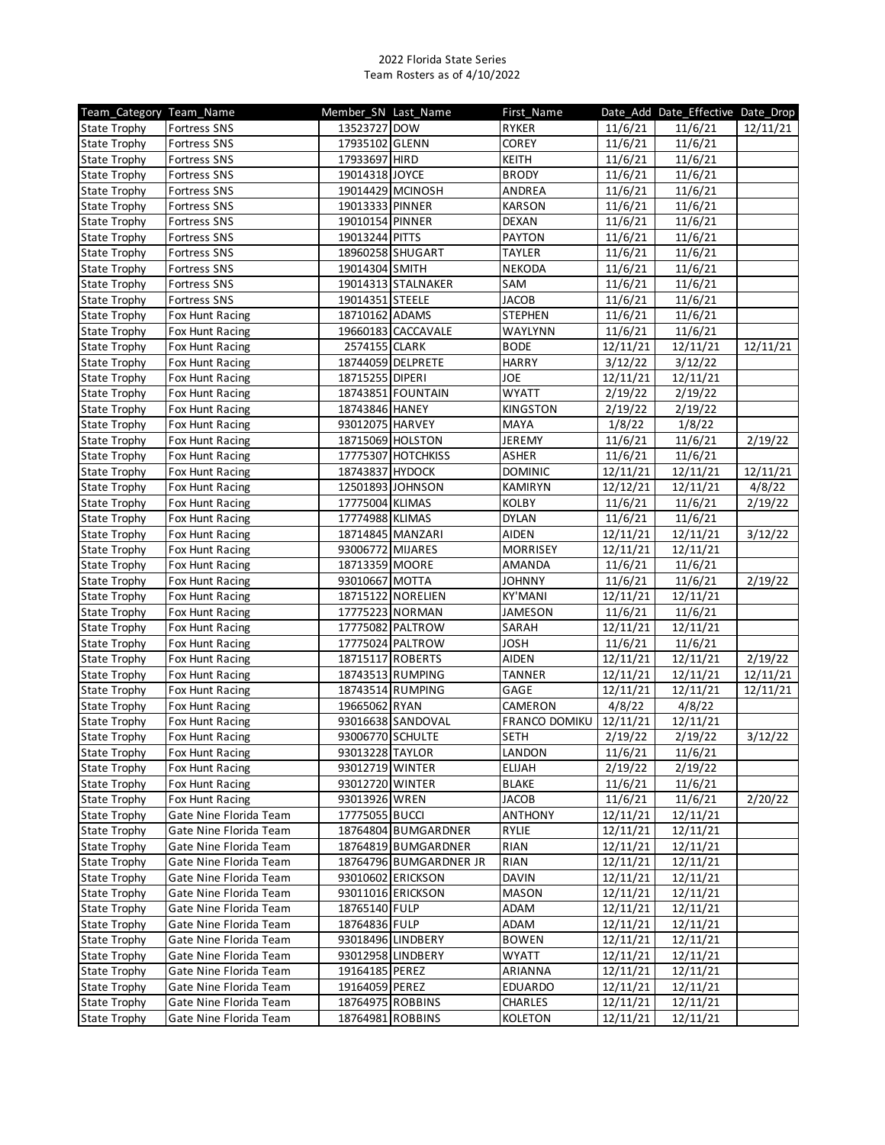| 13523727 DOW<br>11/6/21<br><b>RYKER</b><br>11/6/21<br>12/11/21<br><b>Fortress SNS</b><br>17935102 GLENN<br>COREY<br>11/6/21<br>11/6/21<br>Fortress SNS<br>17933697 HIRD<br>11/6/21<br><b>Fortress SNS</b><br>KEITH<br>11/6/21<br>19014318 JOYCE<br>11/6/21<br><b>BRODY</b><br>11/6/21<br><b>State Trophy</b><br><b>Fortress SNS</b><br><b>Fortress SNS</b><br>19014429 MCINOSH<br>ANDREA<br>11/6/21<br>11/6/21<br><b>State Trophy</b><br>19013333 PINNER<br><b>KARSON</b><br>11/6/21<br>11/6/21<br><b>State Trophy</b><br><b>Fortress SNS</b><br>19010154 PINNER<br><b>DEXAN</b><br>11/6/21<br>11/6/21<br><b>State Trophy</b><br><b>Fortress SNS</b><br>19013244 PITTS<br><b>PAYTON</b><br>11/6/21<br><b>State Trophy</b><br><b>Fortress SNS</b><br>11/6/21<br>11/6/21<br>18960258 SHUGART<br><b>TAYLER</b><br>11/6/21<br><b>State Trophy</b><br><b>Fortress SNS</b><br>19014304 SMITH<br><b>NEKODA</b><br>11/6/21<br>11/6/21<br><b>State Trophy</b><br><b>Fortress SNS</b><br>19014313 STALNAKER<br>11/6/21<br>11/6/21<br><b>State Trophy</b><br><b>Fortress SNS</b><br>SAM<br>19014351 STEELE<br><b>JACOB</b><br>11/6/21<br>11/6/21<br><b>State Trophy</b><br><b>Fortress SNS</b><br><b>STEPHEN</b><br>11/6/21<br><b>State Trophy</b><br>Fox Hunt Racing<br>18710162 ADAMS<br>11/6/21<br>WAYLYNN<br>11/6/21<br>19660183 CACCAVALE<br>11/6/21<br><b>State Trophy</b><br>Fox Hunt Racing<br>2574155 CLARK<br><b>BODE</b><br>12/11/21<br>12/11/21<br><b>State Trophy</b><br>Fox Hunt Racing<br>12/11/21<br>18744059 DELPRETE<br>3/12/22<br>3/12/22<br><b>State Trophy</b><br><b>HARRY</b><br>Fox Hunt Racing<br>18715255 DIPERI<br><b>JOE</b><br>12/11/21<br>12/11/21<br><b>State Trophy</b><br>Fox Hunt Racing<br>18743851 FOUNTAIN<br><b>WYATT</b><br>2/19/22<br>2/19/22<br><b>State Trophy</b><br>Fox Hunt Racing<br>18743846 HANEY<br><b>KINGSTON</b><br>2/19/22<br>2/19/22<br><b>State Trophy</b><br>Fox Hunt Racing<br>93012075 HARVEY<br><b>MAYA</b><br>1/8/22<br>1/8/22<br><b>State Trophy</b><br>Fox Hunt Racing<br>18715069 HOLSTON<br>JEREMY<br>11/6/21<br>11/6/21<br><b>State Trophy</b><br>2/19/22<br>Fox Hunt Racing<br>17775307 HOTCHKISS<br>ASHER<br>11/6/21<br>11/6/21<br><b>State Trophy</b><br>Fox Hunt Racing<br>18743837 HYDOCK<br><b>DOMINIC</b><br>12/11/21<br><b>State Trophy</b><br>Fox Hunt Racing<br>12/11/21<br>12/11/21<br>12/11/21<br>12501893 JOHNSON<br><b>KAMIRYN</b><br>12/12/21<br>4/8/22<br>Fox Hunt Racing<br>17775004 KLIMAS<br><b>KOLBY</b><br>11/6/21<br>11/6/21<br>2/19/22<br><b>State Trophy</b><br>Fox Hunt Racing<br>17774988 KLIMAS<br>11/6/21<br>11/6/21<br><b>DYLAN</b><br>Fox Hunt Racing<br>18714845 MANZARI<br>12/11/21<br>Fox Hunt Racing<br><b>AIDEN</b><br>12/11/21<br>3/12/22<br>93006772 MIJARES<br>MORRISEY<br>12/11/21<br>12/11/21<br><b>State Trophy</b><br>Fox Hunt Racing<br>18713359 MOORE<br>AMANDA<br>11/6/21<br>11/6/21<br>Fox Hunt Racing<br>93010667 MOTTA<br><b>JOHNNY</b><br>11/6/21<br>11/6/21<br>2/19/22<br><b>State Trophy</b><br>Fox Hunt Racing<br>18715122 NORELIEN<br>KY'MANI<br>12/11/21<br>12/11/21<br>Fox Hunt Racing<br>17775223 NORMAN<br>JAMESON<br>11/6/21<br>11/6/21<br>Fox Hunt Racing<br><b>State Trophy</b><br>Fox Hunt Racing<br>17775082 PALTROW<br>SARAH<br>12/11/21<br>12/11/21<br>11/6/21<br>17775024 PALTROW<br><b>JOSH</b><br>11/6/21<br><b>State Trophy</b><br>Fox Hunt Racing<br>18715117 ROBERTS<br><b>AIDEN</b><br>12/11/21<br>12/11/21<br>2/19/22<br><b>State Trophy</b><br>Fox Hunt Racing<br>12/11/21<br>12/11/21<br><b>State Trophy</b><br>Fox Hunt Racing<br>18743513 RUMPING<br><b>TANNER</b><br>12/11/21<br>18743514 RUMPING<br>12/11/21<br><b>State Trophy</b><br>Fox Hunt Racing<br>GAGE<br>12/11/21<br>12/11/21<br>19665062 RYAN<br>CAMERON<br>4/8/22<br>4/8/22<br>Fox Hunt Racing<br><b>State Trophy</b><br>93016638 SANDOVAL<br>12/11/21<br>FRANCO DOMIKU<br>12/11/21<br><b>State Trophy</b><br>Fox Hunt Racing<br>93006770 SCHULTE<br><b>State Trophy</b><br><b>SETH</b><br>2/19/22<br>2/19/22<br>3/12/22<br>Fox Hunt Racing<br>State Trophy<br>93013228 TAYLOR<br>11/6/21<br>11/6/21<br>Fox Hunt Racing<br>LANDON<br>2/19/22<br><b>State Trophy</b><br>93012719 WINTER<br>ELIJAH<br>2/19/22<br>Fox Hunt Racing<br>93012720 WINTER<br><b>BLAKE</b><br>11/6/21<br>11/6/21<br><b>State Trophy</b><br>Fox Hunt Racing<br><b>JACOB</b><br>11/6/21<br>11/6/21<br><b>State Trophy</b><br>Fox Hunt Racing<br>93013926 WREN<br>2/20/22<br><b>State Trophy</b><br>Gate Nine Florida Team<br>17775055 BUCCI<br><b>ANTHONY</b><br>12/11/21<br>12/11/21<br>18764804 BUMGARDNER<br>RYLIE<br>12/11/21<br>12/11/21<br><b>State Trophy</b><br>Gate Nine Florida Team<br>12/11/21<br>12/11/21<br><b>State Trophy</b><br>Gate Nine Florida Team<br>18764819 BUMGARDNER<br>RIAN<br><b>State Trophy</b><br>RIAN<br>12/11/21<br>12/11/21<br>Gate Nine Florida Team<br>18764796 BUMGARDNER JR<br><b>DAVIN</b><br>12/11/21<br><b>State Trophy</b><br>Gate Nine Florida Team<br>93010602 ERICKSON<br>12/11/21<br><b>State Trophy</b><br>Gate Nine Florida Team<br>93011016 ERICKSON<br><b>MASON</b><br>12/11/21<br>12/11/21<br>18765140 FULP<br>12/11/21<br>12/11/21<br>Gate Nine Florida Team<br>ADAM<br><b>State Trophy</b><br>Gate Nine Florida Team<br>18764836 FULP<br>ADAM<br>12/11/21<br>12/11/21<br>93018496 LINDBERY<br><b>BOWEN</b><br>12/11/21<br>12/11/21<br><b>State Trophy</b><br>Gate Nine Florida Team<br><b>WYATT</b><br>Gate Nine Florida Team<br>93012958 LINDBERY<br>12/11/21<br>12/11/21<br><b>State Trophy</b><br>Gate Nine Florida Team<br>19164185 PEREZ<br>ARIANNA<br>12/11/21<br>12/11/21<br>19164059 PEREZ<br>EDUARDO<br>12/11/21<br>12/11/21<br>Gate Nine Florida Team<br>Gate Nine Florida Team<br>18764975 ROBBINS<br><b>CHARLES</b><br>12/11/21<br>12/11/21<br><b>State Trophy</b><br>Gate Nine Florida Team<br>18764981 ROBBINS<br><b>KOLETON</b><br>12/11/21<br>12/11/21 | Team_Category Team_Name | Member SN Last Name | First_Name | Date_Add Date_Effective Date_Drop |  |
|------------------------------------------------------------------------------------------------------------------------------------------------------------------------------------------------------------------------------------------------------------------------------------------------------------------------------------------------------------------------------------------------------------------------------------------------------------------------------------------------------------------------------------------------------------------------------------------------------------------------------------------------------------------------------------------------------------------------------------------------------------------------------------------------------------------------------------------------------------------------------------------------------------------------------------------------------------------------------------------------------------------------------------------------------------------------------------------------------------------------------------------------------------------------------------------------------------------------------------------------------------------------------------------------------------------------------------------------------------------------------------------------------------------------------------------------------------------------------------------------------------------------------------------------------------------------------------------------------------------------------------------------------------------------------------------------------------------------------------------------------------------------------------------------------------------------------------------------------------------------------------------------------------------------------------------------------------------------------------------------------------------------------------------------------------------------------------------------------------------------------------------------------------------------------------------------------------------------------------------------------------------------------------------------------------------------------------------------------------------------------------------------------------------------------------------------------------------------------------------------------------------------------------------------------------------------------------------------------------------------------------------------------------------------------------------------------------------------------------------------------------------------------------------------------------------------------------------------------------------------------------------------------------------------------------------------------------------------------------------------------------------------------------------------------------------------------------------------------------------------------------------------------------------------------------------------------------------------------------------------------------------------------------------------------------------------------------------------------------------------------------------------------------------------------------------------------------------------------------------------------------------------------------------------------------------------------------------------------------------------------------------------------------------------------------------------------------------------------------------------------------------------------------------------------------------------------------------------------------------------------------------------------------------------------------------------------------------------------------------------------------------------------------------------------------------------------------------------------------------------------------------------------------------------------------------------------------------------------------------------------------------------------------------------------------------------------------------------------------------------------------------------------------------------------------------------------------------------------------------------------------------------------------------------------------------------------------------------------------------------------------------------------------------------------------------------------------------------------------------------------------------------------------------------------------------------------------------------------------------------------------------------------------------------------------------------------------------------------------------------------------------------------------------------------------------------------------------------------------------------------------------------------------------------------------------------------------------------------------------------------------------------------------------------------------------------------------------------------------------------------------------------------------------------------------------------------------------------------------------------------------------------------------------------------------------------------------------------------------------------------------------------------------------------------------------------------------------------------------------------------------------------------------------------------------------------------------------------------------------------------------------------|-------------------------|---------------------|------------|-----------------------------------|--|
|                                                                                                                                                                                                                                                                                                                                                                                                                                                                                                                                                                                                                                                                                                                                                                                                                                                                                                                                                                                                                                                                                                                                                                                                                                                                                                                                                                                                                                                                                                                                                                                                                                                                                                                                                                                                                                                                                                                                                                                                                                                                                                                                                                                                                                                                                                                                                                                                                                                                                                                                                                                                                                                                                                                                                                                                                                                                                                                                                                                                                                                                                                                                                                                                                                                                                                                                                                                                                                                                                                                                                                                                                                                                                                                                                                                                                                                                                                                                                                                                                                                                                                                                                                                                                                                                                                                                                                                                                                                                                                                                                                                                                                                                                                                                                                                                                                                                                                                                                                                                                                                                                                                                                                                                                                                                                                                                                                                                                                                                                                                                                                                                                                                                                                                                                                                                                                                                                                | <b>State Trophy</b>     |                     |            |                                   |  |
|                                                                                                                                                                                                                                                                                                                                                                                                                                                                                                                                                                                                                                                                                                                                                                                                                                                                                                                                                                                                                                                                                                                                                                                                                                                                                                                                                                                                                                                                                                                                                                                                                                                                                                                                                                                                                                                                                                                                                                                                                                                                                                                                                                                                                                                                                                                                                                                                                                                                                                                                                                                                                                                                                                                                                                                                                                                                                                                                                                                                                                                                                                                                                                                                                                                                                                                                                                                                                                                                                                                                                                                                                                                                                                                                                                                                                                                                                                                                                                                                                                                                                                                                                                                                                                                                                                                                                                                                                                                                                                                                                                                                                                                                                                                                                                                                                                                                                                                                                                                                                                                                                                                                                                                                                                                                                                                                                                                                                                                                                                                                                                                                                                                                                                                                                                                                                                                                                                | <b>State Trophy</b>     |                     |            |                                   |  |
|                                                                                                                                                                                                                                                                                                                                                                                                                                                                                                                                                                                                                                                                                                                                                                                                                                                                                                                                                                                                                                                                                                                                                                                                                                                                                                                                                                                                                                                                                                                                                                                                                                                                                                                                                                                                                                                                                                                                                                                                                                                                                                                                                                                                                                                                                                                                                                                                                                                                                                                                                                                                                                                                                                                                                                                                                                                                                                                                                                                                                                                                                                                                                                                                                                                                                                                                                                                                                                                                                                                                                                                                                                                                                                                                                                                                                                                                                                                                                                                                                                                                                                                                                                                                                                                                                                                                                                                                                                                                                                                                                                                                                                                                                                                                                                                                                                                                                                                                                                                                                                                                                                                                                                                                                                                                                                                                                                                                                                                                                                                                                                                                                                                                                                                                                                                                                                                                                                | <b>State Trophy</b>     |                     |            |                                   |  |
|                                                                                                                                                                                                                                                                                                                                                                                                                                                                                                                                                                                                                                                                                                                                                                                                                                                                                                                                                                                                                                                                                                                                                                                                                                                                                                                                                                                                                                                                                                                                                                                                                                                                                                                                                                                                                                                                                                                                                                                                                                                                                                                                                                                                                                                                                                                                                                                                                                                                                                                                                                                                                                                                                                                                                                                                                                                                                                                                                                                                                                                                                                                                                                                                                                                                                                                                                                                                                                                                                                                                                                                                                                                                                                                                                                                                                                                                                                                                                                                                                                                                                                                                                                                                                                                                                                                                                                                                                                                                                                                                                                                                                                                                                                                                                                                                                                                                                                                                                                                                                                                                                                                                                                                                                                                                                                                                                                                                                                                                                                                                                                                                                                                                                                                                                                                                                                                                                                |                         |                     |            |                                   |  |
|                                                                                                                                                                                                                                                                                                                                                                                                                                                                                                                                                                                                                                                                                                                                                                                                                                                                                                                                                                                                                                                                                                                                                                                                                                                                                                                                                                                                                                                                                                                                                                                                                                                                                                                                                                                                                                                                                                                                                                                                                                                                                                                                                                                                                                                                                                                                                                                                                                                                                                                                                                                                                                                                                                                                                                                                                                                                                                                                                                                                                                                                                                                                                                                                                                                                                                                                                                                                                                                                                                                                                                                                                                                                                                                                                                                                                                                                                                                                                                                                                                                                                                                                                                                                                                                                                                                                                                                                                                                                                                                                                                                                                                                                                                                                                                                                                                                                                                                                                                                                                                                                                                                                                                                                                                                                                                                                                                                                                                                                                                                                                                                                                                                                                                                                                                                                                                                                                                |                         |                     |            |                                   |  |
|                                                                                                                                                                                                                                                                                                                                                                                                                                                                                                                                                                                                                                                                                                                                                                                                                                                                                                                                                                                                                                                                                                                                                                                                                                                                                                                                                                                                                                                                                                                                                                                                                                                                                                                                                                                                                                                                                                                                                                                                                                                                                                                                                                                                                                                                                                                                                                                                                                                                                                                                                                                                                                                                                                                                                                                                                                                                                                                                                                                                                                                                                                                                                                                                                                                                                                                                                                                                                                                                                                                                                                                                                                                                                                                                                                                                                                                                                                                                                                                                                                                                                                                                                                                                                                                                                                                                                                                                                                                                                                                                                                                                                                                                                                                                                                                                                                                                                                                                                                                                                                                                                                                                                                                                                                                                                                                                                                                                                                                                                                                                                                                                                                                                                                                                                                                                                                                                                                |                         |                     |            |                                   |  |
|                                                                                                                                                                                                                                                                                                                                                                                                                                                                                                                                                                                                                                                                                                                                                                                                                                                                                                                                                                                                                                                                                                                                                                                                                                                                                                                                                                                                                                                                                                                                                                                                                                                                                                                                                                                                                                                                                                                                                                                                                                                                                                                                                                                                                                                                                                                                                                                                                                                                                                                                                                                                                                                                                                                                                                                                                                                                                                                                                                                                                                                                                                                                                                                                                                                                                                                                                                                                                                                                                                                                                                                                                                                                                                                                                                                                                                                                                                                                                                                                                                                                                                                                                                                                                                                                                                                                                                                                                                                                                                                                                                                                                                                                                                                                                                                                                                                                                                                                                                                                                                                                                                                                                                                                                                                                                                                                                                                                                                                                                                                                                                                                                                                                                                                                                                                                                                                                                                |                         |                     |            |                                   |  |
|                                                                                                                                                                                                                                                                                                                                                                                                                                                                                                                                                                                                                                                                                                                                                                                                                                                                                                                                                                                                                                                                                                                                                                                                                                                                                                                                                                                                                                                                                                                                                                                                                                                                                                                                                                                                                                                                                                                                                                                                                                                                                                                                                                                                                                                                                                                                                                                                                                                                                                                                                                                                                                                                                                                                                                                                                                                                                                                                                                                                                                                                                                                                                                                                                                                                                                                                                                                                                                                                                                                                                                                                                                                                                                                                                                                                                                                                                                                                                                                                                                                                                                                                                                                                                                                                                                                                                                                                                                                                                                                                                                                                                                                                                                                                                                                                                                                                                                                                                                                                                                                                                                                                                                                                                                                                                                                                                                                                                                                                                                                                                                                                                                                                                                                                                                                                                                                                                                |                         |                     |            |                                   |  |
|                                                                                                                                                                                                                                                                                                                                                                                                                                                                                                                                                                                                                                                                                                                                                                                                                                                                                                                                                                                                                                                                                                                                                                                                                                                                                                                                                                                                                                                                                                                                                                                                                                                                                                                                                                                                                                                                                                                                                                                                                                                                                                                                                                                                                                                                                                                                                                                                                                                                                                                                                                                                                                                                                                                                                                                                                                                                                                                                                                                                                                                                                                                                                                                                                                                                                                                                                                                                                                                                                                                                                                                                                                                                                                                                                                                                                                                                                                                                                                                                                                                                                                                                                                                                                                                                                                                                                                                                                                                                                                                                                                                                                                                                                                                                                                                                                                                                                                                                                                                                                                                                                                                                                                                                                                                                                                                                                                                                                                                                                                                                                                                                                                                                                                                                                                                                                                                                                                |                         |                     |            |                                   |  |
|                                                                                                                                                                                                                                                                                                                                                                                                                                                                                                                                                                                                                                                                                                                                                                                                                                                                                                                                                                                                                                                                                                                                                                                                                                                                                                                                                                                                                                                                                                                                                                                                                                                                                                                                                                                                                                                                                                                                                                                                                                                                                                                                                                                                                                                                                                                                                                                                                                                                                                                                                                                                                                                                                                                                                                                                                                                                                                                                                                                                                                                                                                                                                                                                                                                                                                                                                                                                                                                                                                                                                                                                                                                                                                                                                                                                                                                                                                                                                                                                                                                                                                                                                                                                                                                                                                                                                                                                                                                                                                                                                                                                                                                                                                                                                                                                                                                                                                                                                                                                                                                                                                                                                                                                                                                                                                                                                                                                                                                                                                                                                                                                                                                                                                                                                                                                                                                                                                |                         |                     |            |                                   |  |
|                                                                                                                                                                                                                                                                                                                                                                                                                                                                                                                                                                                                                                                                                                                                                                                                                                                                                                                                                                                                                                                                                                                                                                                                                                                                                                                                                                                                                                                                                                                                                                                                                                                                                                                                                                                                                                                                                                                                                                                                                                                                                                                                                                                                                                                                                                                                                                                                                                                                                                                                                                                                                                                                                                                                                                                                                                                                                                                                                                                                                                                                                                                                                                                                                                                                                                                                                                                                                                                                                                                                                                                                                                                                                                                                                                                                                                                                                                                                                                                                                                                                                                                                                                                                                                                                                                                                                                                                                                                                                                                                                                                                                                                                                                                                                                                                                                                                                                                                                                                                                                                                                                                                                                                                                                                                                                                                                                                                                                                                                                                                                                                                                                                                                                                                                                                                                                                                                                |                         |                     |            |                                   |  |
|                                                                                                                                                                                                                                                                                                                                                                                                                                                                                                                                                                                                                                                                                                                                                                                                                                                                                                                                                                                                                                                                                                                                                                                                                                                                                                                                                                                                                                                                                                                                                                                                                                                                                                                                                                                                                                                                                                                                                                                                                                                                                                                                                                                                                                                                                                                                                                                                                                                                                                                                                                                                                                                                                                                                                                                                                                                                                                                                                                                                                                                                                                                                                                                                                                                                                                                                                                                                                                                                                                                                                                                                                                                                                                                                                                                                                                                                                                                                                                                                                                                                                                                                                                                                                                                                                                                                                                                                                                                                                                                                                                                                                                                                                                                                                                                                                                                                                                                                                                                                                                                                                                                                                                                                                                                                                                                                                                                                                                                                                                                                                                                                                                                                                                                                                                                                                                                                                                |                         |                     |            |                                   |  |
|                                                                                                                                                                                                                                                                                                                                                                                                                                                                                                                                                                                                                                                                                                                                                                                                                                                                                                                                                                                                                                                                                                                                                                                                                                                                                                                                                                                                                                                                                                                                                                                                                                                                                                                                                                                                                                                                                                                                                                                                                                                                                                                                                                                                                                                                                                                                                                                                                                                                                                                                                                                                                                                                                                                                                                                                                                                                                                                                                                                                                                                                                                                                                                                                                                                                                                                                                                                                                                                                                                                                                                                                                                                                                                                                                                                                                                                                                                                                                                                                                                                                                                                                                                                                                                                                                                                                                                                                                                                                                                                                                                                                                                                                                                                                                                                                                                                                                                                                                                                                                                                                                                                                                                                                                                                                                                                                                                                                                                                                                                                                                                                                                                                                                                                                                                                                                                                                                                |                         |                     |            |                                   |  |
|                                                                                                                                                                                                                                                                                                                                                                                                                                                                                                                                                                                                                                                                                                                                                                                                                                                                                                                                                                                                                                                                                                                                                                                                                                                                                                                                                                                                                                                                                                                                                                                                                                                                                                                                                                                                                                                                                                                                                                                                                                                                                                                                                                                                                                                                                                                                                                                                                                                                                                                                                                                                                                                                                                                                                                                                                                                                                                                                                                                                                                                                                                                                                                                                                                                                                                                                                                                                                                                                                                                                                                                                                                                                                                                                                                                                                                                                                                                                                                                                                                                                                                                                                                                                                                                                                                                                                                                                                                                                                                                                                                                                                                                                                                                                                                                                                                                                                                                                                                                                                                                                                                                                                                                                                                                                                                                                                                                                                                                                                                                                                                                                                                                                                                                                                                                                                                                                                                |                         |                     |            |                                   |  |
|                                                                                                                                                                                                                                                                                                                                                                                                                                                                                                                                                                                                                                                                                                                                                                                                                                                                                                                                                                                                                                                                                                                                                                                                                                                                                                                                                                                                                                                                                                                                                                                                                                                                                                                                                                                                                                                                                                                                                                                                                                                                                                                                                                                                                                                                                                                                                                                                                                                                                                                                                                                                                                                                                                                                                                                                                                                                                                                                                                                                                                                                                                                                                                                                                                                                                                                                                                                                                                                                                                                                                                                                                                                                                                                                                                                                                                                                                                                                                                                                                                                                                                                                                                                                                                                                                                                                                                                                                                                                                                                                                                                                                                                                                                                                                                                                                                                                                                                                                                                                                                                                                                                                                                                                                                                                                                                                                                                                                                                                                                                                                                                                                                                                                                                                                                                                                                                                                                |                         |                     |            |                                   |  |
|                                                                                                                                                                                                                                                                                                                                                                                                                                                                                                                                                                                                                                                                                                                                                                                                                                                                                                                                                                                                                                                                                                                                                                                                                                                                                                                                                                                                                                                                                                                                                                                                                                                                                                                                                                                                                                                                                                                                                                                                                                                                                                                                                                                                                                                                                                                                                                                                                                                                                                                                                                                                                                                                                                                                                                                                                                                                                                                                                                                                                                                                                                                                                                                                                                                                                                                                                                                                                                                                                                                                                                                                                                                                                                                                                                                                                                                                                                                                                                                                                                                                                                                                                                                                                                                                                                                                                                                                                                                                                                                                                                                                                                                                                                                                                                                                                                                                                                                                                                                                                                                                                                                                                                                                                                                                                                                                                                                                                                                                                                                                                                                                                                                                                                                                                                                                                                                                                                |                         |                     |            |                                   |  |
|                                                                                                                                                                                                                                                                                                                                                                                                                                                                                                                                                                                                                                                                                                                                                                                                                                                                                                                                                                                                                                                                                                                                                                                                                                                                                                                                                                                                                                                                                                                                                                                                                                                                                                                                                                                                                                                                                                                                                                                                                                                                                                                                                                                                                                                                                                                                                                                                                                                                                                                                                                                                                                                                                                                                                                                                                                                                                                                                                                                                                                                                                                                                                                                                                                                                                                                                                                                                                                                                                                                                                                                                                                                                                                                                                                                                                                                                                                                                                                                                                                                                                                                                                                                                                                                                                                                                                                                                                                                                                                                                                                                                                                                                                                                                                                                                                                                                                                                                                                                                                                                                                                                                                                                                                                                                                                                                                                                                                                                                                                                                                                                                                                                                                                                                                                                                                                                                                                |                         |                     |            |                                   |  |
|                                                                                                                                                                                                                                                                                                                                                                                                                                                                                                                                                                                                                                                                                                                                                                                                                                                                                                                                                                                                                                                                                                                                                                                                                                                                                                                                                                                                                                                                                                                                                                                                                                                                                                                                                                                                                                                                                                                                                                                                                                                                                                                                                                                                                                                                                                                                                                                                                                                                                                                                                                                                                                                                                                                                                                                                                                                                                                                                                                                                                                                                                                                                                                                                                                                                                                                                                                                                                                                                                                                                                                                                                                                                                                                                                                                                                                                                                                                                                                                                                                                                                                                                                                                                                                                                                                                                                                                                                                                                                                                                                                                                                                                                                                                                                                                                                                                                                                                                                                                                                                                                                                                                                                                                                                                                                                                                                                                                                                                                                                                                                                                                                                                                                                                                                                                                                                                                                                |                         |                     |            |                                   |  |
|                                                                                                                                                                                                                                                                                                                                                                                                                                                                                                                                                                                                                                                                                                                                                                                                                                                                                                                                                                                                                                                                                                                                                                                                                                                                                                                                                                                                                                                                                                                                                                                                                                                                                                                                                                                                                                                                                                                                                                                                                                                                                                                                                                                                                                                                                                                                                                                                                                                                                                                                                                                                                                                                                                                                                                                                                                                                                                                                                                                                                                                                                                                                                                                                                                                                                                                                                                                                                                                                                                                                                                                                                                                                                                                                                                                                                                                                                                                                                                                                                                                                                                                                                                                                                                                                                                                                                                                                                                                                                                                                                                                                                                                                                                                                                                                                                                                                                                                                                                                                                                                                                                                                                                                                                                                                                                                                                                                                                                                                                                                                                                                                                                                                                                                                                                                                                                                                                                |                         |                     |            |                                   |  |
|                                                                                                                                                                                                                                                                                                                                                                                                                                                                                                                                                                                                                                                                                                                                                                                                                                                                                                                                                                                                                                                                                                                                                                                                                                                                                                                                                                                                                                                                                                                                                                                                                                                                                                                                                                                                                                                                                                                                                                                                                                                                                                                                                                                                                                                                                                                                                                                                                                                                                                                                                                                                                                                                                                                                                                                                                                                                                                                                                                                                                                                                                                                                                                                                                                                                                                                                                                                                                                                                                                                                                                                                                                                                                                                                                                                                                                                                                                                                                                                                                                                                                                                                                                                                                                                                                                                                                                                                                                                                                                                                                                                                                                                                                                                                                                                                                                                                                                                                                                                                                                                                                                                                                                                                                                                                                                                                                                                                                                                                                                                                                                                                                                                                                                                                                                                                                                                                                                |                         |                     |            |                                   |  |
|                                                                                                                                                                                                                                                                                                                                                                                                                                                                                                                                                                                                                                                                                                                                                                                                                                                                                                                                                                                                                                                                                                                                                                                                                                                                                                                                                                                                                                                                                                                                                                                                                                                                                                                                                                                                                                                                                                                                                                                                                                                                                                                                                                                                                                                                                                                                                                                                                                                                                                                                                                                                                                                                                                                                                                                                                                                                                                                                                                                                                                                                                                                                                                                                                                                                                                                                                                                                                                                                                                                                                                                                                                                                                                                                                                                                                                                                                                                                                                                                                                                                                                                                                                                                                                                                                                                                                                                                                                                                                                                                                                                                                                                                                                                                                                                                                                                                                                                                                                                                                                                                                                                                                                                                                                                                                                                                                                                                                                                                                                                                                                                                                                                                                                                                                                                                                                                                                                |                         |                     |            |                                   |  |
|                                                                                                                                                                                                                                                                                                                                                                                                                                                                                                                                                                                                                                                                                                                                                                                                                                                                                                                                                                                                                                                                                                                                                                                                                                                                                                                                                                                                                                                                                                                                                                                                                                                                                                                                                                                                                                                                                                                                                                                                                                                                                                                                                                                                                                                                                                                                                                                                                                                                                                                                                                                                                                                                                                                                                                                                                                                                                                                                                                                                                                                                                                                                                                                                                                                                                                                                                                                                                                                                                                                                                                                                                                                                                                                                                                                                                                                                                                                                                                                                                                                                                                                                                                                                                                                                                                                                                                                                                                                                                                                                                                                                                                                                                                                                                                                                                                                                                                                                                                                                                                                                                                                                                                                                                                                                                                                                                                                                                                                                                                                                                                                                                                                                                                                                                                                                                                                                                                |                         |                     |            |                                   |  |
|                                                                                                                                                                                                                                                                                                                                                                                                                                                                                                                                                                                                                                                                                                                                                                                                                                                                                                                                                                                                                                                                                                                                                                                                                                                                                                                                                                                                                                                                                                                                                                                                                                                                                                                                                                                                                                                                                                                                                                                                                                                                                                                                                                                                                                                                                                                                                                                                                                                                                                                                                                                                                                                                                                                                                                                                                                                                                                                                                                                                                                                                                                                                                                                                                                                                                                                                                                                                                                                                                                                                                                                                                                                                                                                                                                                                                                                                                                                                                                                                                                                                                                                                                                                                                                                                                                                                                                                                                                                                                                                                                                                                                                                                                                                                                                                                                                                                                                                                                                                                                                                                                                                                                                                                                                                                                                                                                                                                                                                                                                                                                                                                                                                                                                                                                                                                                                                                                                |                         |                     |            |                                   |  |
|                                                                                                                                                                                                                                                                                                                                                                                                                                                                                                                                                                                                                                                                                                                                                                                                                                                                                                                                                                                                                                                                                                                                                                                                                                                                                                                                                                                                                                                                                                                                                                                                                                                                                                                                                                                                                                                                                                                                                                                                                                                                                                                                                                                                                                                                                                                                                                                                                                                                                                                                                                                                                                                                                                                                                                                                                                                                                                                                                                                                                                                                                                                                                                                                                                                                                                                                                                                                                                                                                                                                                                                                                                                                                                                                                                                                                                                                                                                                                                                                                                                                                                                                                                                                                                                                                                                                                                                                                                                                                                                                                                                                                                                                                                                                                                                                                                                                                                                                                                                                                                                                                                                                                                                                                                                                                                                                                                                                                                                                                                                                                                                                                                                                                                                                                                                                                                                                                                |                         |                     |            |                                   |  |
|                                                                                                                                                                                                                                                                                                                                                                                                                                                                                                                                                                                                                                                                                                                                                                                                                                                                                                                                                                                                                                                                                                                                                                                                                                                                                                                                                                                                                                                                                                                                                                                                                                                                                                                                                                                                                                                                                                                                                                                                                                                                                                                                                                                                                                                                                                                                                                                                                                                                                                                                                                                                                                                                                                                                                                                                                                                                                                                                                                                                                                                                                                                                                                                                                                                                                                                                                                                                                                                                                                                                                                                                                                                                                                                                                                                                                                                                                                                                                                                                                                                                                                                                                                                                                                                                                                                                                                                                                                                                                                                                                                                                                                                                                                                                                                                                                                                                                                                                                                                                                                                                                                                                                                                                                                                                                                                                                                                                                                                                                                                                                                                                                                                                                                                                                                                                                                                                                                | <b>State Trophy</b>     |                     |            |                                   |  |
|                                                                                                                                                                                                                                                                                                                                                                                                                                                                                                                                                                                                                                                                                                                                                                                                                                                                                                                                                                                                                                                                                                                                                                                                                                                                                                                                                                                                                                                                                                                                                                                                                                                                                                                                                                                                                                                                                                                                                                                                                                                                                                                                                                                                                                                                                                                                                                                                                                                                                                                                                                                                                                                                                                                                                                                                                                                                                                                                                                                                                                                                                                                                                                                                                                                                                                                                                                                                                                                                                                                                                                                                                                                                                                                                                                                                                                                                                                                                                                                                                                                                                                                                                                                                                                                                                                                                                                                                                                                                                                                                                                                                                                                                                                                                                                                                                                                                                                                                                                                                                                                                                                                                                                                                                                                                                                                                                                                                                                                                                                                                                                                                                                                                                                                                                                                                                                                                                                |                         |                     |            |                                   |  |
|                                                                                                                                                                                                                                                                                                                                                                                                                                                                                                                                                                                                                                                                                                                                                                                                                                                                                                                                                                                                                                                                                                                                                                                                                                                                                                                                                                                                                                                                                                                                                                                                                                                                                                                                                                                                                                                                                                                                                                                                                                                                                                                                                                                                                                                                                                                                                                                                                                                                                                                                                                                                                                                                                                                                                                                                                                                                                                                                                                                                                                                                                                                                                                                                                                                                                                                                                                                                                                                                                                                                                                                                                                                                                                                                                                                                                                                                                                                                                                                                                                                                                                                                                                                                                                                                                                                                                                                                                                                                                                                                                                                                                                                                                                                                                                                                                                                                                                                                                                                                                                                                                                                                                                                                                                                                                                                                                                                                                                                                                                                                                                                                                                                                                                                                                                                                                                                                                                | <b>State Trophy</b>     |                     |            |                                   |  |
|                                                                                                                                                                                                                                                                                                                                                                                                                                                                                                                                                                                                                                                                                                                                                                                                                                                                                                                                                                                                                                                                                                                                                                                                                                                                                                                                                                                                                                                                                                                                                                                                                                                                                                                                                                                                                                                                                                                                                                                                                                                                                                                                                                                                                                                                                                                                                                                                                                                                                                                                                                                                                                                                                                                                                                                                                                                                                                                                                                                                                                                                                                                                                                                                                                                                                                                                                                                                                                                                                                                                                                                                                                                                                                                                                                                                                                                                                                                                                                                                                                                                                                                                                                                                                                                                                                                                                                                                                                                                                                                                                                                                                                                                                                                                                                                                                                                                                                                                                                                                                                                                                                                                                                                                                                                                                                                                                                                                                                                                                                                                                                                                                                                                                                                                                                                                                                                                                                | <b>State Trophy</b>     |                     |            |                                   |  |
|                                                                                                                                                                                                                                                                                                                                                                                                                                                                                                                                                                                                                                                                                                                                                                                                                                                                                                                                                                                                                                                                                                                                                                                                                                                                                                                                                                                                                                                                                                                                                                                                                                                                                                                                                                                                                                                                                                                                                                                                                                                                                                                                                                                                                                                                                                                                                                                                                                                                                                                                                                                                                                                                                                                                                                                                                                                                                                                                                                                                                                                                                                                                                                                                                                                                                                                                                                                                                                                                                                                                                                                                                                                                                                                                                                                                                                                                                                                                                                                                                                                                                                                                                                                                                                                                                                                                                                                                                                                                                                                                                                                                                                                                                                                                                                                                                                                                                                                                                                                                                                                                                                                                                                                                                                                                                                                                                                                                                                                                                                                                                                                                                                                                                                                                                                                                                                                                                                |                         |                     |            |                                   |  |
|                                                                                                                                                                                                                                                                                                                                                                                                                                                                                                                                                                                                                                                                                                                                                                                                                                                                                                                                                                                                                                                                                                                                                                                                                                                                                                                                                                                                                                                                                                                                                                                                                                                                                                                                                                                                                                                                                                                                                                                                                                                                                                                                                                                                                                                                                                                                                                                                                                                                                                                                                                                                                                                                                                                                                                                                                                                                                                                                                                                                                                                                                                                                                                                                                                                                                                                                                                                                                                                                                                                                                                                                                                                                                                                                                                                                                                                                                                                                                                                                                                                                                                                                                                                                                                                                                                                                                                                                                                                                                                                                                                                                                                                                                                                                                                                                                                                                                                                                                                                                                                                                                                                                                                                                                                                                                                                                                                                                                                                                                                                                                                                                                                                                                                                                                                                                                                                                                                | <b>State Trophy</b>     |                     |            |                                   |  |
|                                                                                                                                                                                                                                                                                                                                                                                                                                                                                                                                                                                                                                                                                                                                                                                                                                                                                                                                                                                                                                                                                                                                                                                                                                                                                                                                                                                                                                                                                                                                                                                                                                                                                                                                                                                                                                                                                                                                                                                                                                                                                                                                                                                                                                                                                                                                                                                                                                                                                                                                                                                                                                                                                                                                                                                                                                                                                                                                                                                                                                                                                                                                                                                                                                                                                                                                                                                                                                                                                                                                                                                                                                                                                                                                                                                                                                                                                                                                                                                                                                                                                                                                                                                                                                                                                                                                                                                                                                                                                                                                                                                                                                                                                                                                                                                                                                                                                                                                                                                                                                                                                                                                                                                                                                                                                                                                                                                                                                                                                                                                                                                                                                                                                                                                                                                                                                                                                                |                         |                     |            |                                   |  |
|                                                                                                                                                                                                                                                                                                                                                                                                                                                                                                                                                                                                                                                                                                                                                                                                                                                                                                                                                                                                                                                                                                                                                                                                                                                                                                                                                                                                                                                                                                                                                                                                                                                                                                                                                                                                                                                                                                                                                                                                                                                                                                                                                                                                                                                                                                                                                                                                                                                                                                                                                                                                                                                                                                                                                                                                                                                                                                                                                                                                                                                                                                                                                                                                                                                                                                                                                                                                                                                                                                                                                                                                                                                                                                                                                                                                                                                                                                                                                                                                                                                                                                                                                                                                                                                                                                                                                                                                                                                                                                                                                                                                                                                                                                                                                                                                                                                                                                                                                                                                                                                                                                                                                                                                                                                                                                                                                                                                                                                                                                                                                                                                                                                                                                                                                                                                                                                                                                | <b>State Trophy</b>     |                     |            |                                   |  |
|                                                                                                                                                                                                                                                                                                                                                                                                                                                                                                                                                                                                                                                                                                                                                                                                                                                                                                                                                                                                                                                                                                                                                                                                                                                                                                                                                                                                                                                                                                                                                                                                                                                                                                                                                                                                                                                                                                                                                                                                                                                                                                                                                                                                                                                                                                                                                                                                                                                                                                                                                                                                                                                                                                                                                                                                                                                                                                                                                                                                                                                                                                                                                                                                                                                                                                                                                                                                                                                                                                                                                                                                                                                                                                                                                                                                                                                                                                                                                                                                                                                                                                                                                                                                                                                                                                                                                                                                                                                                                                                                                                                                                                                                                                                                                                                                                                                                                                                                                                                                                                                                                                                                                                                                                                                                                                                                                                                                                                                                                                                                                                                                                                                                                                                                                                                                                                                                                                | <b>State Trophy</b>     |                     |            |                                   |  |
|                                                                                                                                                                                                                                                                                                                                                                                                                                                                                                                                                                                                                                                                                                                                                                                                                                                                                                                                                                                                                                                                                                                                                                                                                                                                                                                                                                                                                                                                                                                                                                                                                                                                                                                                                                                                                                                                                                                                                                                                                                                                                                                                                                                                                                                                                                                                                                                                                                                                                                                                                                                                                                                                                                                                                                                                                                                                                                                                                                                                                                                                                                                                                                                                                                                                                                                                                                                                                                                                                                                                                                                                                                                                                                                                                                                                                                                                                                                                                                                                                                                                                                                                                                                                                                                                                                                                                                                                                                                                                                                                                                                                                                                                                                                                                                                                                                                                                                                                                                                                                                                                                                                                                                                                                                                                                                                                                                                                                                                                                                                                                                                                                                                                                                                                                                                                                                                                                                |                         |                     |            |                                   |  |
|                                                                                                                                                                                                                                                                                                                                                                                                                                                                                                                                                                                                                                                                                                                                                                                                                                                                                                                                                                                                                                                                                                                                                                                                                                                                                                                                                                                                                                                                                                                                                                                                                                                                                                                                                                                                                                                                                                                                                                                                                                                                                                                                                                                                                                                                                                                                                                                                                                                                                                                                                                                                                                                                                                                                                                                                                                                                                                                                                                                                                                                                                                                                                                                                                                                                                                                                                                                                                                                                                                                                                                                                                                                                                                                                                                                                                                                                                                                                                                                                                                                                                                                                                                                                                                                                                                                                                                                                                                                                                                                                                                                                                                                                                                                                                                                                                                                                                                                                                                                                                                                                                                                                                                                                                                                                                                                                                                                                                                                                                                                                                                                                                                                                                                                                                                                                                                                                                                |                         |                     |            |                                   |  |
|                                                                                                                                                                                                                                                                                                                                                                                                                                                                                                                                                                                                                                                                                                                                                                                                                                                                                                                                                                                                                                                                                                                                                                                                                                                                                                                                                                                                                                                                                                                                                                                                                                                                                                                                                                                                                                                                                                                                                                                                                                                                                                                                                                                                                                                                                                                                                                                                                                                                                                                                                                                                                                                                                                                                                                                                                                                                                                                                                                                                                                                                                                                                                                                                                                                                                                                                                                                                                                                                                                                                                                                                                                                                                                                                                                                                                                                                                                                                                                                                                                                                                                                                                                                                                                                                                                                                                                                                                                                                                                                                                                                                                                                                                                                                                                                                                                                                                                                                                                                                                                                                                                                                                                                                                                                                                                                                                                                                                                                                                                                                                                                                                                                                                                                                                                                                                                                                                                |                         |                     |            |                                   |  |
|                                                                                                                                                                                                                                                                                                                                                                                                                                                                                                                                                                                                                                                                                                                                                                                                                                                                                                                                                                                                                                                                                                                                                                                                                                                                                                                                                                                                                                                                                                                                                                                                                                                                                                                                                                                                                                                                                                                                                                                                                                                                                                                                                                                                                                                                                                                                                                                                                                                                                                                                                                                                                                                                                                                                                                                                                                                                                                                                                                                                                                                                                                                                                                                                                                                                                                                                                                                                                                                                                                                                                                                                                                                                                                                                                                                                                                                                                                                                                                                                                                                                                                                                                                                                                                                                                                                                                                                                                                                                                                                                                                                                                                                                                                                                                                                                                                                                                                                                                                                                                                                                                                                                                                                                                                                                                                                                                                                                                                                                                                                                                                                                                                                                                                                                                                                                                                                                                                |                         |                     |            |                                   |  |
|                                                                                                                                                                                                                                                                                                                                                                                                                                                                                                                                                                                                                                                                                                                                                                                                                                                                                                                                                                                                                                                                                                                                                                                                                                                                                                                                                                                                                                                                                                                                                                                                                                                                                                                                                                                                                                                                                                                                                                                                                                                                                                                                                                                                                                                                                                                                                                                                                                                                                                                                                                                                                                                                                                                                                                                                                                                                                                                                                                                                                                                                                                                                                                                                                                                                                                                                                                                                                                                                                                                                                                                                                                                                                                                                                                                                                                                                                                                                                                                                                                                                                                                                                                                                                                                                                                                                                                                                                                                                                                                                                                                                                                                                                                                                                                                                                                                                                                                                                                                                                                                                                                                                                                                                                                                                                                                                                                                                                                                                                                                                                                                                                                                                                                                                                                                                                                                                                                |                         |                     |            |                                   |  |
|                                                                                                                                                                                                                                                                                                                                                                                                                                                                                                                                                                                                                                                                                                                                                                                                                                                                                                                                                                                                                                                                                                                                                                                                                                                                                                                                                                                                                                                                                                                                                                                                                                                                                                                                                                                                                                                                                                                                                                                                                                                                                                                                                                                                                                                                                                                                                                                                                                                                                                                                                                                                                                                                                                                                                                                                                                                                                                                                                                                                                                                                                                                                                                                                                                                                                                                                                                                                                                                                                                                                                                                                                                                                                                                                                                                                                                                                                                                                                                                                                                                                                                                                                                                                                                                                                                                                                                                                                                                                                                                                                                                                                                                                                                                                                                                                                                                                                                                                                                                                                                                                                                                                                                                                                                                                                                                                                                                                                                                                                                                                                                                                                                                                                                                                                                                                                                                                                                |                         |                     |            |                                   |  |
|                                                                                                                                                                                                                                                                                                                                                                                                                                                                                                                                                                                                                                                                                                                                                                                                                                                                                                                                                                                                                                                                                                                                                                                                                                                                                                                                                                                                                                                                                                                                                                                                                                                                                                                                                                                                                                                                                                                                                                                                                                                                                                                                                                                                                                                                                                                                                                                                                                                                                                                                                                                                                                                                                                                                                                                                                                                                                                                                                                                                                                                                                                                                                                                                                                                                                                                                                                                                                                                                                                                                                                                                                                                                                                                                                                                                                                                                                                                                                                                                                                                                                                                                                                                                                                                                                                                                                                                                                                                                                                                                                                                                                                                                                                                                                                                                                                                                                                                                                                                                                                                                                                                                                                                                                                                                                                                                                                                                                                                                                                                                                                                                                                                                                                                                                                                                                                                                                                |                         |                     |            |                                   |  |
|                                                                                                                                                                                                                                                                                                                                                                                                                                                                                                                                                                                                                                                                                                                                                                                                                                                                                                                                                                                                                                                                                                                                                                                                                                                                                                                                                                                                                                                                                                                                                                                                                                                                                                                                                                                                                                                                                                                                                                                                                                                                                                                                                                                                                                                                                                                                                                                                                                                                                                                                                                                                                                                                                                                                                                                                                                                                                                                                                                                                                                                                                                                                                                                                                                                                                                                                                                                                                                                                                                                                                                                                                                                                                                                                                                                                                                                                                                                                                                                                                                                                                                                                                                                                                                                                                                                                                                                                                                                                                                                                                                                                                                                                                                                                                                                                                                                                                                                                                                                                                                                                                                                                                                                                                                                                                                                                                                                                                                                                                                                                                                                                                                                                                                                                                                                                                                                                                                |                         |                     |            |                                   |  |
|                                                                                                                                                                                                                                                                                                                                                                                                                                                                                                                                                                                                                                                                                                                                                                                                                                                                                                                                                                                                                                                                                                                                                                                                                                                                                                                                                                                                                                                                                                                                                                                                                                                                                                                                                                                                                                                                                                                                                                                                                                                                                                                                                                                                                                                                                                                                                                                                                                                                                                                                                                                                                                                                                                                                                                                                                                                                                                                                                                                                                                                                                                                                                                                                                                                                                                                                                                                                                                                                                                                                                                                                                                                                                                                                                                                                                                                                                                                                                                                                                                                                                                                                                                                                                                                                                                                                                                                                                                                                                                                                                                                                                                                                                                                                                                                                                                                                                                                                                                                                                                                                                                                                                                                                                                                                                                                                                                                                                                                                                                                                                                                                                                                                                                                                                                                                                                                                                                |                         |                     |            |                                   |  |
|                                                                                                                                                                                                                                                                                                                                                                                                                                                                                                                                                                                                                                                                                                                                                                                                                                                                                                                                                                                                                                                                                                                                                                                                                                                                                                                                                                                                                                                                                                                                                                                                                                                                                                                                                                                                                                                                                                                                                                                                                                                                                                                                                                                                                                                                                                                                                                                                                                                                                                                                                                                                                                                                                                                                                                                                                                                                                                                                                                                                                                                                                                                                                                                                                                                                                                                                                                                                                                                                                                                                                                                                                                                                                                                                                                                                                                                                                                                                                                                                                                                                                                                                                                                                                                                                                                                                                                                                                                                                                                                                                                                                                                                                                                                                                                                                                                                                                                                                                                                                                                                                                                                                                                                                                                                                                                                                                                                                                                                                                                                                                                                                                                                                                                                                                                                                                                                                                                |                         |                     |            |                                   |  |
|                                                                                                                                                                                                                                                                                                                                                                                                                                                                                                                                                                                                                                                                                                                                                                                                                                                                                                                                                                                                                                                                                                                                                                                                                                                                                                                                                                                                                                                                                                                                                                                                                                                                                                                                                                                                                                                                                                                                                                                                                                                                                                                                                                                                                                                                                                                                                                                                                                                                                                                                                                                                                                                                                                                                                                                                                                                                                                                                                                                                                                                                                                                                                                                                                                                                                                                                                                                                                                                                                                                                                                                                                                                                                                                                                                                                                                                                                                                                                                                                                                                                                                                                                                                                                                                                                                                                                                                                                                                                                                                                                                                                                                                                                                                                                                                                                                                                                                                                                                                                                                                                                                                                                                                                                                                                                                                                                                                                                                                                                                                                                                                                                                                                                                                                                                                                                                                                                                |                         |                     |            |                                   |  |
|                                                                                                                                                                                                                                                                                                                                                                                                                                                                                                                                                                                                                                                                                                                                                                                                                                                                                                                                                                                                                                                                                                                                                                                                                                                                                                                                                                                                                                                                                                                                                                                                                                                                                                                                                                                                                                                                                                                                                                                                                                                                                                                                                                                                                                                                                                                                                                                                                                                                                                                                                                                                                                                                                                                                                                                                                                                                                                                                                                                                                                                                                                                                                                                                                                                                                                                                                                                                                                                                                                                                                                                                                                                                                                                                                                                                                                                                                                                                                                                                                                                                                                                                                                                                                                                                                                                                                                                                                                                                                                                                                                                                                                                                                                                                                                                                                                                                                                                                                                                                                                                                                                                                                                                                                                                                                                                                                                                                                                                                                                                                                                                                                                                                                                                                                                                                                                                                                                |                         |                     |            |                                   |  |
|                                                                                                                                                                                                                                                                                                                                                                                                                                                                                                                                                                                                                                                                                                                                                                                                                                                                                                                                                                                                                                                                                                                                                                                                                                                                                                                                                                                                                                                                                                                                                                                                                                                                                                                                                                                                                                                                                                                                                                                                                                                                                                                                                                                                                                                                                                                                                                                                                                                                                                                                                                                                                                                                                                                                                                                                                                                                                                                                                                                                                                                                                                                                                                                                                                                                                                                                                                                                                                                                                                                                                                                                                                                                                                                                                                                                                                                                                                                                                                                                                                                                                                                                                                                                                                                                                                                                                                                                                                                                                                                                                                                                                                                                                                                                                                                                                                                                                                                                                                                                                                                                                                                                                                                                                                                                                                                                                                                                                                                                                                                                                                                                                                                                                                                                                                                                                                                                                                |                         |                     |            |                                   |  |
|                                                                                                                                                                                                                                                                                                                                                                                                                                                                                                                                                                                                                                                                                                                                                                                                                                                                                                                                                                                                                                                                                                                                                                                                                                                                                                                                                                                                                                                                                                                                                                                                                                                                                                                                                                                                                                                                                                                                                                                                                                                                                                                                                                                                                                                                                                                                                                                                                                                                                                                                                                                                                                                                                                                                                                                                                                                                                                                                                                                                                                                                                                                                                                                                                                                                                                                                                                                                                                                                                                                                                                                                                                                                                                                                                                                                                                                                                                                                                                                                                                                                                                                                                                                                                                                                                                                                                                                                                                                                                                                                                                                                                                                                                                                                                                                                                                                                                                                                                                                                                                                                                                                                                                                                                                                                                                                                                                                                                                                                                                                                                                                                                                                                                                                                                                                                                                                                                                |                         |                     |            |                                   |  |
|                                                                                                                                                                                                                                                                                                                                                                                                                                                                                                                                                                                                                                                                                                                                                                                                                                                                                                                                                                                                                                                                                                                                                                                                                                                                                                                                                                                                                                                                                                                                                                                                                                                                                                                                                                                                                                                                                                                                                                                                                                                                                                                                                                                                                                                                                                                                                                                                                                                                                                                                                                                                                                                                                                                                                                                                                                                                                                                                                                                                                                                                                                                                                                                                                                                                                                                                                                                                                                                                                                                                                                                                                                                                                                                                                                                                                                                                                                                                                                                                                                                                                                                                                                                                                                                                                                                                                                                                                                                                                                                                                                                                                                                                                                                                                                                                                                                                                                                                                                                                                                                                                                                                                                                                                                                                                                                                                                                                                                                                                                                                                                                                                                                                                                                                                                                                                                                                                                |                         |                     |            |                                   |  |
|                                                                                                                                                                                                                                                                                                                                                                                                                                                                                                                                                                                                                                                                                                                                                                                                                                                                                                                                                                                                                                                                                                                                                                                                                                                                                                                                                                                                                                                                                                                                                                                                                                                                                                                                                                                                                                                                                                                                                                                                                                                                                                                                                                                                                                                                                                                                                                                                                                                                                                                                                                                                                                                                                                                                                                                                                                                                                                                                                                                                                                                                                                                                                                                                                                                                                                                                                                                                                                                                                                                                                                                                                                                                                                                                                                                                                                                                                                                                                                                                                                                                                                                                                                                                                                                                                                                                                                                                                                                                                                                                                                                                                                                                                                                                                                                                                                                                                                                                                                                                                                                                                                                                                                                                                                                                                                                                                                                                                                                                                                                                                                                                                                                                                                                                                                                                                                                                                                |                         |                     |            |                                   |  |
|                                                                                                                                                                                                                                                                                                                                                                                                                                                                                                                                                                                                                                                                                                                                                                                                                                                                                                                                                                                                                                                                                                                                                                                                                                                                                                                                                                                                                                                                                                                                                                                                                                                                                                                                                                                                                                                                                                                                                                                                                                                                                                                                                                                                                                                                                                                                                                                                                                                                                                                                                                                                                                                                                                                                                                                                                                                                                                                                                                                                                                                                                                                                                                                                                                                                                                                                                                                                                                                                                                                                                                                                                                                                                                                                                                                                                                                                                                                                                                                                                                                                                                                                                                                                                                                                                                                                                                                                                                                                                                                                                                                                                                                                                                                                                                                                                                                                                                                                                                                                                                                                                                                                                                                                                                                                                                                                                                                                                                                                                                                                                                                                                                                                                                                                                                                                                                                                                                |                         |                     |            |                                   |  |
|                                                                                                                                                                                                                                                                                                                                                                                                                                                                                                                                                                                                                                                                                                                                                                                                                                                                                                                                                                                                                                                                                                                                                                                                                                                                                                                                                                                                                                                                                                                                                                                                                                                                                                                                                                                                                                                                                                                                                                                                                                                                                                                                                                                                                                                                                                                                                                                                                                                                                                                                                                                                                                                                                                                                                                                                                                                                                                                                                                                                                                                                                                                                                                                                                                                                                                                                                                                                                                                                                                                                                                                                                                                                                                                                                                                                                                                                                                                                                                                                                                                                                                                                                                                                                                                                                                                                                                                                                                                                                                                                                                                                                                                                                                                                                                                                                                                                                                                                                                                                                                                                                                                                                                                                                                                                                                                                                                                                                                                                                                                                                                                                                                                                                                                                                                                                                                                                                                |                         |                     |            |                                   |  |
|                                                                                                                                                                                                                                                                                                                                                                                                                                                                                                                                                                                                                                                                                                                                                                                                                                                                                                                                                                                                                                                                                                                                                                                                                                                                                                                                                                                                                                                                                                                                                                                                                                                                                                                                                                                                                                                                                                                                                                                                                                                                                                                                                                                                                                                                                                                                                                                                                                                                                                                                                                                                                                                                                                                                                                                                                                                                                                                                                                                                                                                                                                                                                                                                                                                                                                                                                                                                                                                                                                                                                                                                                                                                                                                                                                                                                                                                                                                                                                                                                                                                                                                                                                                                                                                                                                                                                                                                                                                                                                                                                                                                                                                                                                                                                                                                                                                                                                                                                                                                                                                                                                                                                                                                                                                                                                                                                                                                                                                                                                                                                                                                                                                                                                                                                                                                                                                                                                |                         |                     |            |                                   |  |
|                                                                                                                                                                                                                                                                                                                                                                                                                                                                                                                                                                                                                                                                                                                                                                                                                                                                                                                                                                                                                                                                                                                                                                                                                                                                                                                                                                                                                                                                                                                                                                                                                                                                                                                                                                                                                                                                                                                                                                                                                                                                                                                                                                                                                                                                                                                                                                                                                                                                                                                                                                                                                                                                                                                                                                                                                                                                                                                                                                                                                                                                                                                                                                                                                                                                                                                                                                                                                                                                                                                                                                                                                                                                                                                                                                                                                                                                                                                                                                                                                                                                                                                                                                                                                                                                                                                                                                                                                                                                                                                                                                                                                                                                                                                                                                                                                                                                                                                                                                                                                                                                                                                                                                                                                                                                                                                                                                                                                                                                                                                                                                                                                                                                                                                                                                                                                                                                                                | <b>State Trophy</b>     |                     |            |                                   |  |
|                                                                                                                                                                                                                                                                                                                                                                                                                                                                                                                                                                                                                                                                                                                                                                                                                                                                                                                                                                                                                                                                                                                                                                                                                                                                                                                                                                                                                                                                                                                                                                                                                                                                                                                                                                                                                                                                                                                                                                                                                                                                                                                                                                                                                                                                                                                                                                                                                                                                                                                                                                                                                                                                                                                                                                                                                                                                                                                                                                                                                                                                                                                                                                                                                                                                                                                                                                                                                                                                                                                                                                                                                                                                                                                                                                                                                                                                                                                                                                                                                                                                                                                                                                                                                                                                                                                                                                                                                                                                                                                                                                                                                                                                                                                                                                                                                                                                                                                                                                                                                                                                                                                                                                                                                                                                                                                                                                                                                                                                                                                                                                                                                                                                                                                                                                                                                                                                                                |                         |                     |            |                                   |  |
|                                                                                                                                                                                                                                                                                                                                                                                                                                                                                                                                                                                                                                                                                                                                                                                                                                                                                                                                                                                                                                                                                                                                                                                                                                                                                                                                                                                                                                                                                                                                                                                                                                                                                                                                                                                                                                                                                                                                                                                                                                                                                                                                                                                                                                                                                                                                                                                                                                                                                                                                                                                                                                                                                                                                                                                                                                                                                                                                                                                                                                                                                                                                                                                                                                                                                                                                                                                                                                                                                                                                                                                                                                                                                                                                                                                                                                                                                                                                                                                                                                                                                                                                                                                                                                                                                                                                                                                                                                                                                                                                                                                                                                                                                                                                                                                                                                                                                                                                                                                                                                                                                                                                                                                                                                                                                                                                                                                                                                                                                                                                                                                                                                                                                                                                                                                                                                                                                                |                         |                     |            |                                   |  |
|                                                                                                                                                                                                                                                                                                                                                                                                                                                                                                                                                                                                                                                                                                                                                                                                                                                                                                                                                                                                                                                                                                                                                                                                                                                                                                                                                                                                                                                                                                                                                                                                                                                                                                                                                                                                                                                                                                                                                                                                                                                                                                                                                                                                                                                                                                                                                                                                                                                                                                                                                                                                                                                                                                                                                                                                                                                                                                                                                                                                                                                                                                                                                                                                                                                                                                                                                                                                                                                                                                                                                                                                                                                                                                                                                                                                                                                                                                                                                                                                                                                                                                                                                                                                                                                                                                                                                                                                                                                                                                                                                                                                                                                                                                                                                                                                                                                                                                                                                                                                                                                                                                                                                                                                                                                                                                                                                                                                                                                                                                                                                                                                                                                                                                                                                                                                                                                                                                | <b>State Trophy</b>     |                     |            |                                   |  |
|                                                                                                                                                                                                                                                                                                                                                                                                                                                                                                                                                                                                                                                                                                                                                                                                                                                                                                                                                                                                                                                                                                                                                                                                                                                                                                                                                                                                                                                                                                                                                                                                                                                                                                                                                                                                                                                                                                                                                                                                                                                                                                                                                                                                                                                                                                                                                                                                                                                                                                                                                                                                                                                                                                                                                                                                                                                                                                                                                                                                                                                                                                                                                                                                                                                                                                                                                                                                                                                                                                                                                                                                                                                                                                                                                                                                                                                                                                                                                                                                                                                                                                                                                                                                                                                                                                                                                                                                                                                                                                                                                                                                                                                                                                                                                                                                                                                                                                                                                                                                                                                                                                                                                                                                                                                                                                                                                                                                                                                                                                                                                                                                                                                                                                                                                                                                                                                                                                |                         |                     |            |                                   |  |
|                                                                                                                                                                                                                                                                                                                                                                                                                                                                                                                                                                                                                                                                                                                                                                                                                                                                                                                                                                                                                                                                                                                                                                                                                                                                                                                                                                                                                                                                                                                                                                                                                                                                                                                                                                                                                                                                                                                                                                                                                                                                                                                                                                                                                                                                                                                                                                                                                                                                                                                                                                                                                                                                                                                                                                                                                                                                                                                                                                                                                                                                                                                                                                                                                                                                                                                                                                                                                                                                                                                                                                                                                                                                                                                                                                                                                                                                                                                                                                                                                                                                                                                                                                                                                                                                                                                                                                                                                                                                                                                                                                                                                                                                                                                                                                                                                                                                                                                                                                                                                                                                                                                                                                                                                                                                                                                                                                                                                                                                                                                                                                                                                                                                                                                                                                                                                                                                                                | <b>State Trophy</b>     |                     |            |                                   |  |
|                                                                                                                                                                                                                                                                                                                                                                                                                                                                                                                                                                                                                                                                                                                                                                                                                                                                                                                                                                                                                                                                                                                                                                                                                                                                                                                                                                                                                                                                                                                                                                                                                                                                                                                                                                                                                                                                                                                                                                                                                                                                                                                                                                                                                                                                                                                                                                                                                                                                                                                                                                                                                                                                                                                                                                                                                                                                                                                                                                                                                                                                                                                                                                                                                                                                                                                                                                                                                                                                                                                                                                                                                                                                                                                                                                                                                                                                                                                                                                                                                                                                                                                                                                                                                                                                                                                                                                                                                                                                                                                                                                                                                                                                                                                                                                                                                                                                                                                                                                                                                                                                                                                                                                                                                                                                                                                                                                                                                                                                                                                                                                                                                                                                                                                                                                                                                                                                                                |                         |                     |            |                                   |  |
|                                                                                                                                                                                                                                                                                                                                                                                                                                                                                                                                                                                                                                                                                                                                                                                                                                                                                                                                                                                                                                                                                                                                                                                                                                                                                                                                                                                                                                                                                                                                                                                                                                                                                                                                                                                                                                                                                                                                                                                                                                                                                                                                                                                                                                                                                                                                                                                                                                                                                                                                                                                                                                                                                                                                                                                                                                                                                                                                                                                                                                                                                                                                                                                                                                                                                                                                                                                                                                                                                                                                                                                                                                                                                                                                                                                                                                                                                                                                                                                                                                                                                                                                                                                                                                                                                                                                                                                                                                                                                                                                                                                                                                                                                                                                                                                                                                                                                                                                                                                                                                                                                                                                                                                                                                                                                                                                                                                                                                                                                                                                                                                                                                                                                                                                                                                                                                                                                                | <b>State Trophy</b>     |                     |            |                                   |  |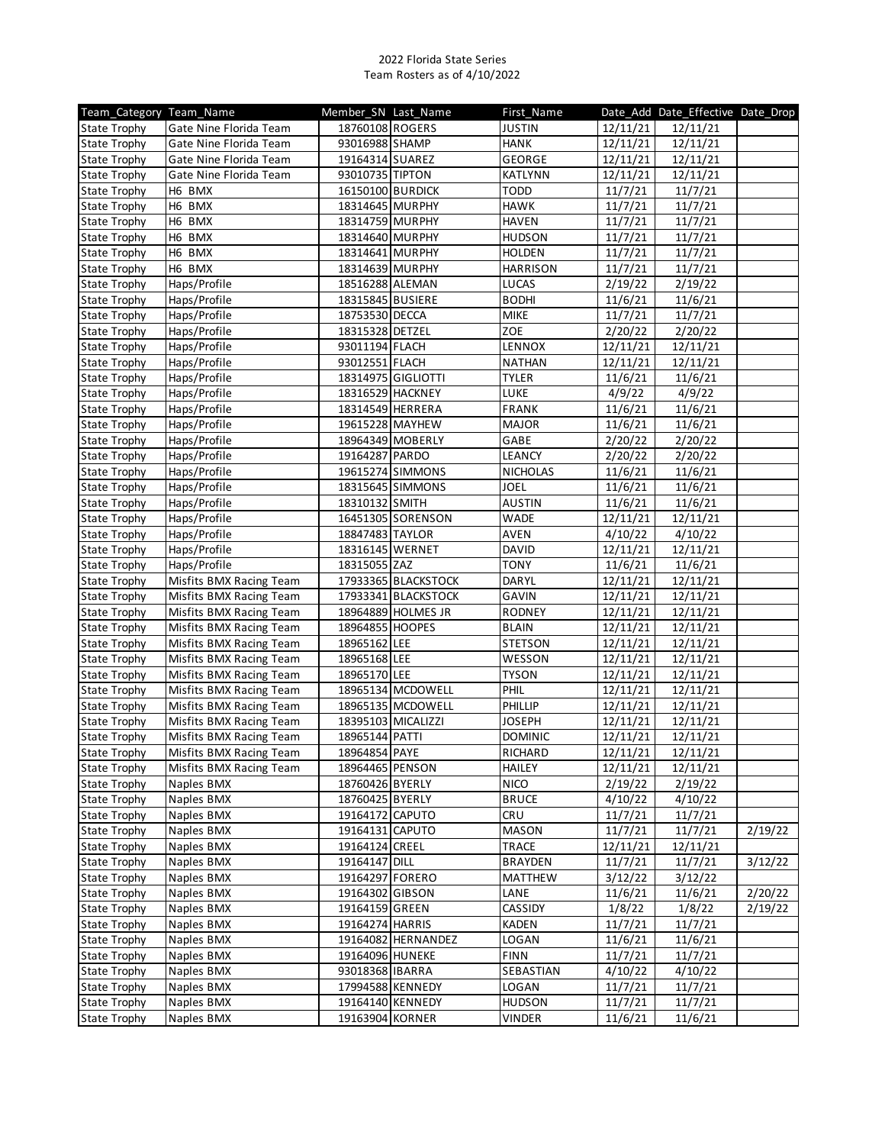| Team Category Team Name |                         | Member SN Last Name |                     | First Name      |                     | Date_Add Date_Effective Date_Drop |         |
|-------------------------|-------------------------|---------------------|---------------------|-----------------|---------------------|-----------------------------------|---------|
| <b>State Trophy</b>     | Gate Nine Florida Team  | 18760108 ROGERS     |                     | <b>JUSTIN</b>   | 12/11/21            | 12/11/21                          |         |
| <b>State Trophy</b>     | Gate Nine Florida Team  | 93016988 SHAMP      |                     | <b>HANK</b>     | 12/11/21            | 12/11/21                          |         |
| <b>State Trophy</b>     | Gate Nine Florida Team  | 19164314 SUAREZ     |                     | <b>GEORGE</b>   | 12/11/21            | 12/11/21                          |         |
| <b>State Trophy</b>     | Gate Nine Florida Team  | 93010735 TIPTON     |                     | KATLYNN         | 12/11/21            | 12/11/21                          |         |
| <b>State Trophy</b>     | H6 BMX                  | 16150100 BURDICK    |                     | <b>TODD</b>     | 11/7/21             | 11/7/21                           |         |
| <b>State Trophy</b>     | H6 BMX                  | 18314645 MURPHY     |                     | <b>HAWK</b>     | 11/7/21             | 11/7/21                           |         |
| <b>State Trophy</b>     | H6 BMX                  | 18314759 MURPHY     |                     | <b>HAVEN</b>    | 11/7/21             | 11/7/21                           |         |
| <b>State Trophy</b>     | H6 BMX                  | 18314640 MURPHY     |                     | <b>HUDSON</b>   | 11/7/21             | 11/7/21                           |         |
| <b>State Trophy</b>     | H6 BMX                  | 18314641 MURPHY     |                     | <b>HOLDEN</b>   | 11/7/21             | 11/7/21                           |         |
| <b>State Trophy</b>     | H6 BMX                  | 18314639 MURPHY     |                     | <b>HARRISON</b> | 11/7/21             | 11/7/21                           |         |
| <b>State Trophy</b>     | Haps/Profile            | 18516288 ALEMAN     |                     | <b>LUCAS</b>    | 2/19/22             | 2/19/22                           |         |
| <b>State Trophy</b>     | Haps/Profile            | 18315845 BUSIERE    |                     | <b>BODHI</b>    | 11/6/21             | 11/6/21                           |         |
| <b>State Trophy</b>     | Haps/Profile            | 18753530 DECCA      |                     | <b>MIKE</b>     | 11/7/21             | 11/7/21                           |         |
| <b>State Trophy</b>     | Haps/Profile            | 18315328 DETZEL     |                     | ZOE             | 2/20/22             | 2/20/22                           |         |
| <b>State Trophy</b>     | Haps/Profile            | 93011194 FLACH      |                     | LENNOX          | 12/11/21            | 12/11/21                          |         |
| <b>State Trophy</b>     | Haps/Profile            | 93012551 FLACH      |                     | <b>NATHAN</b>   | 12/11/21            | 12/11/21                          |         |
| <b>State Trophy</b>     | Haps/Profile            |                     | 18314975 GIGLIOTTI  | <b>TYLER</b>    | 11/6/21             | 11/6/21                           |         |
| <b>State Trophy</b>     | Haps/Profile            | 18316529 HACKNEY    |                     | LUKE            | 4/9/22              | 4/9/22                            |         |
| <b>State Trophy</b>     | Haps/Profile            | 18314549 HERRERA    |                     | <b>FRANK</b>    | 11/6/21             | 11/6/21                           |         |
| <b>State Trophy</b>     | Haps/Profile            | 19615228 MAYHEW     |                     | <b>MAJOR</b>    | 11/6/21             | 11/6/21                           |         |
| <b>State Trophy</b>     | Haps/Profile            |                     | 18964349 MOBERLY    | GABE            | 2/20/22             | 2/20/22                           |         |
| <b>State Trophy</b>     | Haps/Profile            | 19164287 PARDO      |                     | <b>LEANCY</b>   | 2/20/22             | 2/20/22                           |         |
| <b>State Trophy</b>     | Haps/Profile            |                     | 19615274 SIMMONS    | <b>NICHOLAS</b> | 11/6/21             | 11/6/21                           |         |
| <b>State Trophy</b>     | Haps/Profile            |                     | 18315645 SIMMONS    | <b>JOEL</b>     | 11/6/21             | 11/6/21                           |         |
| <b>State Trophy</b>     | Haps/Profile            | 18310132 SMITH      |                     | <b>AUSTIN</b>   | 11/6/21             | 11/6/21                           |         |
| <b>State Trophy</b>     | Haps/Profile            |                     | 16451305 SORENSON   | <b>WADE</b>     | 12/11/21            | 12/11/21                          |         |
| <b>State Trophy</b>     | Haps/Profile            | 18847483 TAYLOR     |                     | AVEN            | 4/10/22             | 4/10/22                           |         |
| <b>State Trophy</b>     | Haps/Profile            | 18316145 WERNET     |                     | DAVID           | 12/11/21            | 12/11/21                          |         |
| <b>State Trophy</b>     | Haps/Profile            | 18315055 ZAZ        |                     | <b>TONY</b>     | 11/6/21             | 11/6/21                           |         |
| <b>State Trophy</b>     | Misfits BMX Racing Team |                     | 17933365 BLACKSTOCK | DARYL           | 12/11/21            | 12/11/21                          |         |
| <b>State Trophy</b>     | Misfits BMX Racing Team |                     | 17933341 BLACKSTOCK | GAVIN           | 12/11/21            | 12/11/21                          |         |
| <b>State Trophy</b>     | Misfits BMX Racing Team |                     | 18964889 HOLMES JR  | RODNEY          | $\frac{1}{2}/11/21$ | 12/11/21                          |         |
| <b>State Trophy</b>     | Misfits BMX Racing Team | 18964855 HOOPES     |                     | <b>BLAIN</b>    | 12/11/21            | 12/11/21                          |         |
| <b>State Trophy</b>     | Misfits BMX Racing Team | 18965162 LEE        |                     | <b>STETSON</b>  | 12/11/21            | 12/11/21                          |         |
| <b>State Trophy</b>     | Misfits BMX Racing Team | 18965168 LEE        |                     | WESSON          | 12/11/21            | 12/11/21                          |         |
| State Trophy            | Misfits BMX Racing Team | 18965170 LEE        |                     | <b>TYSON</b>    | 12/11/21            | 12/11/21                          |         |
| <b>State Trophy</b>     | Misfits BMX Racing Team |                     | 18965134 MCDOWELL   | PHIL            | 12/11/21            | 12/11/21                          |         |
| <b>State Trophy</b>     | Misfits BMX Racing Team |                     | 18965135 MCDOWELL   | PHILLIP         | 12/11/21            | 12/11/21                          |         |
| <b>State Trophy</b>     | Misfits BMX Racing Team |                     | 18395103 MICALIZZI  | <b>JOSEPH</b>   | 12/11/21            | 12/11/21                          |         |
| <b>State Trophy</b>     | Misfits BMX Racing Team | 18965144 PATTI      |                     | <b>DOMINIC</b>  | 12/11/21            | 12/11/21                          |         |
| State Trophy            | Misfits BMX Racing Team | 18964854 PAYE       |                     | RICHARD         | 12/11/21            | 12/11/21                          |         |
| <b>State Trophy</b>     | Misfits BMX Racing Team | 18964465 PENSON     |                     | HAILEY          | 12/11/21            | 12/11/21                          |         |
| <b>State Trophy</b>     | Naples BMX              | 18760426 BYERLY     |                     | <b>NICO</b>     | 2/19/22             | 2/19/22                           |         |
| <b>State Trophy</b>     | Naples BMX              | 18760425 BYERLY     |                     | <b>BRUCE</b>    | 4/10/22             | 4/10/22                           |         |
| <b>State Trophy</b>     | Naples BMX              | 19164172 CAPUTO     |                     | <b>CRU</b>      | 11/7/21             | 11/7/21                           |         |
| <b>State Trophy</b>     | Naples BMX              | 19164131 CAPUTO     |                     | <b>MASON</b>    | 11/7/21             | 11/7/21                           | 2/19/22 |
| <b>State Trophy</b>     | Naples BMX              | 19164124 CREEL      |                     | <b>TRACE</b>    | 12/11/21            | 12/11/21                          |         |
| <b>State Trophy</b>     | Naples BMX              | 19164147 DILL       |                     | <b>BRAYDEN</b>  | 11/7/21             | 11/7/21                           | 3/12/22 |
| <b>State Trophy</b>     | Naples BMX              | 19164297 FORERO     |                     | MATTHEW         | 3/12/22             | 3/12/22                           |         |
| <b>State Trophy</b>     | Naples BMX              | 19164302 GIBSON     |                     | LANE            | 11/6/21             | 11/6/21                           | 2/20/22 |
| <b>State Trophy</b>     | Naples BMX              | 19164159 GREEN      |                     | CASSIDY         | 1/8/22              | 1/8/22                            | 2/19/22 |
| <b>State Trophy</b>     | Naples BMX              | 19164274 HARRIS     |                     | <b>KADEN</b>    | 11/7/21             | 11/7/21                           |         |
| <b>State Trophy</b>     | Naples BMX              |                     | 19164082 HERNANDEZ  | LOGAN           | 11/6/21             | 11/6/21                           |         |
| <b>State Trophy</b>     | Naples BMX              | 19164096 HUNEKE     |                     | <b>FINN</b>     | 11/7/21             | 11/7/21                           |         |
| <b>State Trophy</b>     | Naples BMX              | 93018368 IBARRA     |                     | SEBASTIAN       | 4/10/22             | 4/10/22                           |         |
| <b>State Trophy</b>     | Naples BMX              | 17994588 KENNEDY    |                     | LOGAN           | 11/7/21             | 11/7/21                           |         |
| <b>State Trophy</b>     | Naples BMX              | 19164140 KENNEDY    |                     | <b>HUDSON</b>   | 11/7/21             | 11/7/21                           |         |
|                         |                         | 19163904 KORNER     |                     | <b>VINDER</b>   |                     |                                   |         |
| <b>State Trophy</b>     | Naples BMX              |                     |                     |                 | 11/6/21             | 11/6/21                           |         |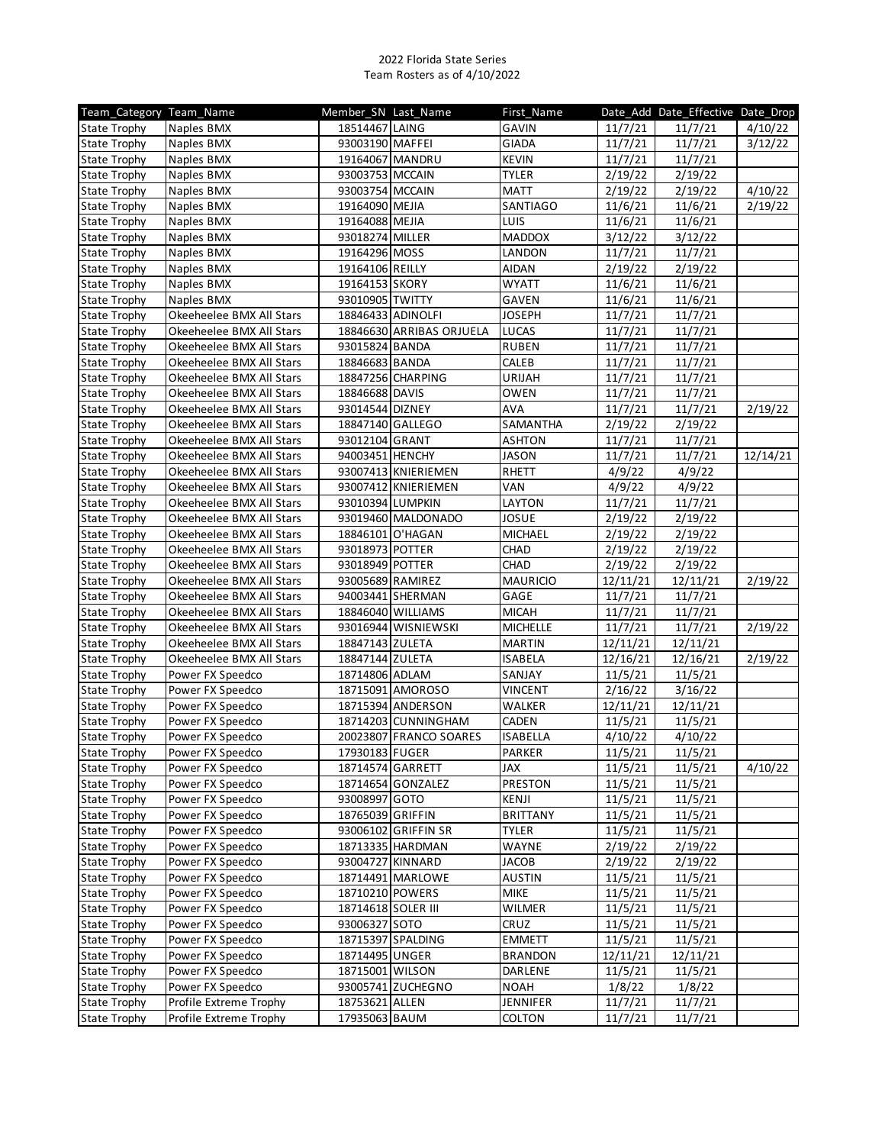| Team Category Team Name |                          | Member_SN_Last_Name |                          | First_Name      |                      | Date_Add Date_Effective Date_Drop |          |
|-------------------------|--------------------------|---------------------|--------------------------|-----------------|----------------------|-----------------------------------|----------|
| <b>State Trophy</b>     | Naples BMX               | 18514467 LAING      |                          | <b>GAVIN</b>    | 11/7/21              | 11/7/21                           | 4/10/22  |
| <b>State Trophy</b>     | Naples BMX               | 93003190 MAFFEI     |                          | GIADA           | 11/7/21              | 11/7/21                           | 3/12/22  |
| <b>State Trophy</b>     | Naples BMX               | 19164067 MANDRU     |                          | <b>KEVIN</b>    | 11/7/21              | 11/7/21                           |          |
| <b>State Trophy</b>     | Naples BMX               | 93003753 MCCAIN     |                          | <b>TYLER</b>    | 2/19/22              | 2/19/22                           |          |
| <b>State Trophy</b>     | Naples BMX               | 93003754 MCCAIN     |                          | <b>MATT</b>     | 2/19/22              | 2/19/22                           | 4/10/22  |
| State Trophy            | Naples BMX               | 19164090 MEJIA      |                          | SANTIAGO        | 11/6/21              | 11/6/21                           | 2/19/22  |
| <b>State Trophy</b>     | Naples BMX               | 19164088 MEJIA      |                          | <b>LUIS</b>     | 11/6/21              | 11/6/21                           |          |
| <b>State Trophy</b>     | Naples BMX               | 93018274 MILLER     |                          | <b>MADDOX</b>   | 3/12/22              | 3/12/22                           |          |
| <b>State Trophy</b>     | Naples BMX               | 19164296 MOSS       |                          | LANDON          | 11/7/21              | 11/7/21                           |          |
| <b>State Trophy</b>     | Naples BMX               | 19164106 REILLY     |                          | <b>AIDAN</b>    | 2/19/22              | 2/19/22                           |          |
| <b>State Trophy</b>     | Naples BMX               | 19164153 SKORY      |                          | <b>WYATT</b>    | 11/6/21              | 11/6/21                           |          |
| <b>State Trophy</b>     | Naples BMX               | 93010905 TWITTY     |                          | GAVEN           | 11/6/21              | 11/6/21                           |          |
| <b>State Trophy</b>     | Okeeheelee BMX All Stars | 18846433 ADINOLFI   |                          | <b>JOSEPH</b>   | 11/7/21              | 11/7/21                           |          |
| <b>State Trophy</b>     | Okeeheelee BMX All Stars |                     | 18846630 ARRIBAS ORJUELA | LUCAS           | 11/7/21              | 11/7/21                           |          |
| <b>State Trophy</b>     | Okeeheelee BMX All Stars | 93015824 BANDA      |                          | <b>RUBEN</b>    | 11/7/21              | 11/7/21                           |          |
| <b>State Trophy</b>     | Okeeheelee BMX All Stars | 18846683 BANDA      |                          | CALEB           | 11/7/21              | 11/7/21                           |          |
| <b>State Trophy</b>     | Okeeheelee BMX All Stars |                     | 18847256 CHARPING        | URIJAH          | 11/7/21              | 11/7/21                           |          |
| <b>State Trophy</b>     | Okeeheelee BMX All Stars | 18846688 DAVIS      |                          | <b>OWEN</b>     | 11/7/21              | 11/7/21                           |          |
| <b>State Trophy</b>     | Okeeheelee BMX All Stars | 93014544 DIZNEY     |                          | <b>AVA</b>      | 11/7/21              | 11/7/21                           | 2/19/22  |
| <b>State Trophy</b>     | Okeeheelee BMX All Stars | 18847140 GALLEGO    |                          | SAMANTHA        | 2/19/22              | 2/19/22                           |          |
| <b>State Trophy</b>     | Okeeheelee BMX All Stars | 93012104 GRANT      |                          | <b>ASHTON</b>   | 11/7/21              | 11/7/21                           |          |
| <b>State Trophy</b>     | Okeeheelee BMX All Stars | 94003451 HENCHY     |                          | <b>JASON</b>    | 11/7/21              | 11/7/21                           | 12/14/21 |
| <b>State Trophy</b>     | Okeeheelee BMX All Stars |                     | 93007413 KNIERIEMEN      | RHETT           | 4/9/22               | 4/9/22                            |          |
| <b>State Trophy</b>     | Okeeheelee BMX All Stars |                     | 93007412 KNIERIEMEN      | VAN             | 4/9/22               | 4/9/22                            |          |
| <b>State Trophy</b>     | Okeeheelee BMX All Stars | 93010394 LUMPKIN    |                          | LAYTON          | 11/7/21              | 11/7/21                           |          |
| State Trophy            | Okeeheelee BMX All Stars |                     | 93019460 MALDONADO       | JOSUE           | 2/19/22              | 2/19/22                           |          |
| <b>State Trophy</b>     | Okeeheelee BMX All Stars | 18846101 O'HAGAN    |                          | MICHAEL         | $\frac{1}{2}$ /19/22 | 2/19/22                           |          |
| <b>State Trophy</b>     | Okeeheelee BMX All Stars | 93018973 POTTER     |                          | CHAD            | 2/19/22              | 2/19/22                           |          |
| <b>State Trophy</b>     | Okeeheelee BMX All Stars | 93018949 POTTER     |                          | CHAD            | 2/19/22              | 2/19/22                           |          |
| <b>State Trophy</b>     | Okeeheelee BMX All Stars | 93005689 RAMIREZ    |                          | <b>MAURICIO</b> | 12/11/21             | 12/11/21                          | 2/19/22  |
| <b>State Trophy</b>     | Okeeheelee BMX All Stars |                     | 94003441 SHERMAN         | GAGE            | 11/7/21              | 11/7/21                           |          |
| <b>State Trophy</b>     | Okeeheelee BMX All Stars |                     | 18846040 WILLIAMS        | <b>MICAH</b>    | 11/7/21              | 11/7/21                           |          |
| <b>State Trophy</b>     | Okeeheelee BMX All Stars |                     | 93016944 WISNIEWSKI      | <b>MICHELLE</b> | 11/7/21              | 11/7/21                           | 2/19/22  |
| <b>State Trophy</b>     | Okeeheelee BMX All Stars | 18847143 ZULETA     |                          | <b>MARTIN</b>   | 12/11/21             | 12/11/21                          |          |
| <b>State Trophy</b>     | Okeeheelee BMX All Stars | 18847144 ZULETA     |                          | <b>ISABELA</b>  | 12/16/21             | 12/16/21                          | 2/19/22  |
| <b>State Trophy</b>     | Power FX Speedco         | 18714806 ADLAM      |                          | SANJAY          | 11/5/21              | 11/5/21                           |          |
| <b>State Trophy</b>     | Power FX Speedco         |                     | 18715091 AMOROSO         | <b>VINCENT</b>  | $\frac{1}{2}$ /16/22 | 3/16/22                           |          |
| <b>State Trophy</b>     | Power FX Speedco         |                     | 18715394 ANDERSON        | WALKER          | 12/11/21             | 12/11/21                          |          |
| <b>State Trophy</b>     | Power FX Speedco         |                     | 18714203 CUNNINGHAM      | CADEN           | 11/5/21              | 11/5/21                           |          |
| <b>State Trophy</b>     | Power FX Speedco         |                     | 20023807 FRANCO SOARES   | <b>ISABELLA</b> | 4/10/22              | 4/10/22                           |          |
| <b>State Trophy</b>     | Power FX Speedco         | 17930183 FUGER      |                          | PARKER          | 11/5/21              | 11/5/21                           |          |
| <b>State Trophy</b>     | Power FX Speedco         | 18714574 GARRETT    |                          | JAX             | 11/5/21              | 11/5/21                           | 4/10/22  |
| <b>State Trophy</b>     | Power FX Speedco         |                     | 18714654 GONZALEZ        | <b>PRESTON</b>  | 11/5/21              | 11/5/21                           |          |
| <b>State Trophy</b>     | Power FX Speedco         | 93008997 GOTO       |                          | KENJI           | 11/5/21              | 11/5/21                           |          |
| <b>State Trophy</b>     | Power FX Speedco         | 18765039 GRIFFIN    |                          | <b>BRITTANY</b> | 11/5/21              | 11/5/21                           |          |
| <b>State Trophy</b>     | Power FX Speedco         |                     | 93006102 GRIFFIN SR      | <b>TYLER</b>    | 11/5/21              | 11/5/21                           |          |
| <b>State Trophy</b>     | Power FX Speedco         |                     | 18713335 HARDMAN         | <b>WAYNE</b>    | 2/19/22              | 2/19/22                           |          |
| <b>State Trophy</b>     | Power FX Speedco         | 93004727 KINNARD    |                          | <b>JACOB</b>    | 2/19/22              | 2/19/22                           |          |
| <b>State Trophy</b>     | Power FX Speedco         |                     | 18714491 MARLOWE         | AUSTIN          | 11/5/21              | 11/5/21                           |          |
| <b>State Trophy</b>     | Power FX Speedco         | 18710210 POWERS     |                          | <b>MIKE</b>     | 11/5/21              | 11/5/21                           |          |
| <b>State Trophy</b>     | Power FX Speedco         | 18714618 SOLER III  |                          | <b>WILMER</b>   | 11/5/21              | 11/5/21                           |          |
| <b>State Trophy</b>     | Power FX Speedco         | 93006327 SOTO       |                          | CRUZ            | 11/5/21              | 11/5/21                           |          |
| <b>State Trophy</b>     | Power FX Speedco         |                     | 18715397 SPALDING        | <b>EMMETT</b>   | 11/5/21              | 11/5/21                           |          |
| <b>State Trophy</b>     | Power FX Speedco         | 18714495 UNGER      |                          | <b>BRANDON</b>  | 12/11/21             | 12/11/21                          |          |
| <b>State Trophy</b>     | Power FX Speedco         | 18715001 WILSON     |                          | DARLENE         | 11/5/21              | 11/5/21                           |          |
| <b>State Trophy</b>     | Power FX Speedco         |                     | 93005741 ZUCHEGNO        | <b>NOAH</b>     | 1/8/22               | 1/8/22                            |          |
| <b>State Trophy</b>     | Profile Extreme Trophy   | 18753621 ALLEN      |                          | <b>JENNIFER</b> | 11/7/21              | 11/7/21                           |          |
| <b>State Trophy</b>     | Profile Extreme Trophy   | 17935063 BAUM       |                          | <b>COLTON</b>   | 11/7/21              | 11/7/21                           |          |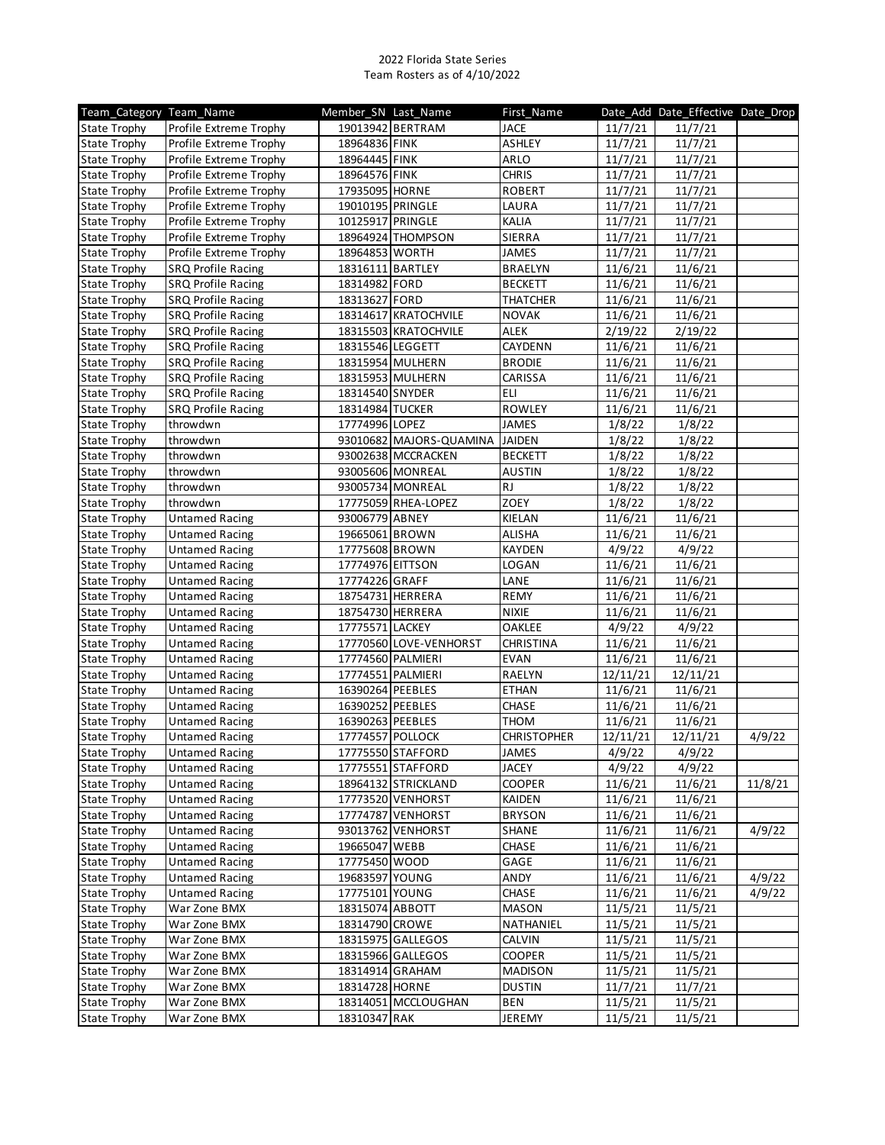| Team Category Team Name |                           | Member_SN Last_Name |                         | First_Name         |          | Date_Add Date_Effective Date_Drop |         |
|-------------------------|---------------------------|---------------------|-------------------------|--------------------|----------|-----------------------------------|---------|
| <b>State Trophy</b>     | Profile Extreme Trophy    |                     | 19013942 BERTRAM        | <b>JACE</b>        | 11/7/21  | 11/7/21                           |         |
| <b>State Trophy</b>     | Profile Extreme Trophy    | 18964836 FINK       |                         | <b>ASHLEY</b>      | 11/7/21  | 11/7/21                           |         |
| <b>State Trophy</b>     | Profile Extreme Trophy    | 18964445 FINK       |                         | ARLO               | 11/7/21  | 11/7/21                           |         |
| <b>State Trophy</b>     | Profile Extreme Trophy    | 18964576 FINK       |                         | <b>CHRIS</b>       | 11/7/21  | 11/7/21                           |         |
| <b>State Trophy</b>     | Profile Extreme Trophy    | 17935095 HORNE      |                         | <b>ROBERT</b>      | 11/7/21  | 11/7/21                           |         |
| <b>State Trophy</b>     | Profile Extreme Trophy    | 19010195 PRINGLE    |                         | LAURA              | 11/7/21  | 11/7/21                           |         |
| <b>State Trophy</b>     | Profile Extreme Trophy    | 10125917 PRINGLE    |                         | <b>KALIA</b>       | 11/7/21  | 11/7/21                           |         |
| <b>State Trophy</b>     | Profile Extreme Trophy    |                     | 18964924 THOMPSON       | <b>SIERRA</b>      | 11/7/21  | 11/7/21                           |         |
| <b>State Trophy</b>     | Profile Extreme Trophy    | 18964853 WORTH      |                         | JAMES              | 11/7/21  | 11/7/21                           |         |
| <b>State Trophy</b>     | <b>SRQ Profile Racing</b> | 18316111 BARTLEY    |                         | <b>BRAELYN</b>     | 11/6/21  | 11/6/21                           |         |
| <b>State Trophy</b>     | <b>SRQ Profile Racing</b> | 18314982 FORD       |                         | <b>BECKETT</b>     | 11/6/21  | 11/6/21                           |         |
| <b>State Trophy</b>     | <b>SRQ Profile Racing</b> | 18313627 FORD       |                         | <b>THATCHER</b>    | 11/6/21  | 11/6/21                           |         |
| <b>State Trophy</b>     | <b>SRQ Profile Racing</b> |                     | 18314617 KRATOCHVILE    | <b>NOVAK</b>       | 11/6/21  | 11/6/21                           |         |
| <b>State Trophy</b>     | <b>SRQ Profile Racing</b> |                     | 18315503 KRATOCHVILE    | ALEK               | 2/19/22  | 2/19/22                           |         |
| <b>State Trophy</b>     | <b>SRQ Profile Racing</b> | 18315546 LEGGETT    |                         | CAYDENN            | 11/6/21  | 11/6/21                           |         |
| <b>State Trophy</b>     | <b>SRQ Profile Racing</b> |                     | 18315954 MULHERN        | <b>BRODIE</b>      | 11/6/21  | 11/6/21                           |         |
| <b>State Trophy</b>     | <b>SRQ Profile Racing</b> |                     | 18315953 MULHERN        | CARISSA            | 11/6/21  | 11/6/21                           |         |
| <b>State Trophy</b>     | <b>SRQ Profile Racing</b> | 18314540 SNYDER     |                         | ELI                | 11/6/21  | 11/6/21                           |         |
| <b>State Trophy</b>     | <b>SRQ Profile Racing</b> | 18314984 TUCKER     |                         | ROWLEY             | 11/6/21  | 11/6/21                           |         |
| <b>State Trophy</b>     | throwdwn                  | 17774996 LOPEZ      |                         | JAMES              | 1/8/22   | 1/8/22                            |         |
| <b>State Trophy</b>     | throwdwn                  |                     | 93010682 MAJORS-QUAMINA | <b>JAIDEN</b>      | 1/8/22   | 1/8/22                            |         |
| <b>State Trophy</b>     | throwdwn                  |                     | 93002638 MCCRACKEN      | <b>BECKETT</b>     | 1/8/22   | 1/8/22                            |         |
| <b>State Trophy</b>     | throwdwn                  |                     | 93005606 MONREAL        | <b>AUSTIN</b>      | 1/8/22   | 1/8/22                            |         |
| <b>State Trophy</b>     | throwdwn                  |                     | 93005734 MONREAL        | <b>RJ</b>          | 1/8/22   | 1/8/22                            |         |
| <b>State Trophy</b>     | throwdwn                  |                     | 17775059 RHEA-LOPEZ     | ZOEY               | 1/8/22   | 1/8/22                            |         |
| <b>State Trophy</b>     | <b>Untamed Racing</b>     | 93006779 ABNEY      |                         | KIELAN             | 11/6/21  | 11/6/21                           |         |
| <b>State Trophy</b>     | <b>Untamed Racing</b>     | 19665061 BROWN      |                         | <b>ALISHA</b>      | 11/6/21  | 11/6/21                           |         |
|                         |                           | 17775608 BROWN      |                         | <b>KAYDEN</b>      |          |                                   |         |
| <b>State Trophy</b>     | <b>Untamed Racing</b>     |                     |                         |                    | 4/9/22   | 4/9/22                            |         |
| <b>State Trophy</b>     | <b>Untamed Racing</b>     | 17774976 EITTSON    |                         | LOGAN              | 11/6/21  | 11/6/21                           |         |
| <b>State Trophy</b>     | <b>Untamed Racing</b>     | 17774226 GRAFF      |                         | LANE               | 11/6/21  | 11/6/21                           |         |
| <b>State Trophy</b>     | <b>Untamed Racing</b>     | 18754731 HERRERA    |                         | <b>REMY</b>        | 11/6/21  | 11/6/21                           |         |
| <b>State Trophy</b>     | <b>Untamed Racing</b>     | 18754730 HERRERA    |                         | <b>NIXIE</b>       | 11/6/21  | 11/6/21                           |         |
| <b>State Trophy</b>     | <b>Untamed Racing</b>     | 17775571 LACKEY     |                         | OAKLEE             | 4/9/22   | 4/9/22                            |         |
| <b>State Trophy</b>     | <b>Untamed Racing</b>     |                     | 17770560 LOVE-VENHORST  | CHRISTINA          | 11/6/21  | 11/6/21                           |         |
| <b>State Trophy</b>     | <b>Untamed Racing</b>     | 17774560 PALMIERI   |                         | <b>EVAN</b>        | 11/6/21  | 11/6/21                           |         |
| <b>State Trophy</b>     | <b>Untamed Racing</b>     | 17774551 PALMIERI   |                         | RAELYN             | 12/11/21 | 12/11/21                          |         |
| <b>State Trophy</b>     | <b>Untamed Racing</b>     | 16390264 PEEBLES    |                         | <b>ETHAN</b>       | 11/6/21  | 11/6/21                           |         |
| <b>State Trophy</b>     | <b>Untamed Racing</b>     | 16390252 PEEBLES    |                         | CHASE              | 11/6/21  | 11/6/21                           |         |
| <b>State Trophy</b>     | <b>Untamed Racing</b>     | 16390263 PEEBLES    |                         | <b>THOM</b>        | 11/6/21  | 11/6/21                           |         |
| <b>State Trophy</b>     | <b>Untamed Racing</b>     | 17774557 POLLOCK    |                         | <b>CHRISTOPHER</b> | 12/11/21 | 12/11/21                          | 4/9/22  |
| <b>State Trophy</b>     | <b>Untamed Racing</b>     |                     | 17775550 STAFFORD       | JAMES              | 4/9/22   | 4/9/22                            |         |
| <b>State Trophy</b>     | <b>Untamed Racing</b>     |                     | 17775551 STAFFORD       | JACEY              | 4/9/22   | 4/9/22                            |         |
| <b>State Trophy</b>     | <b>Untamed Racing</b>     |                     | 18964132 STRICKLAND     | <b>COOPER</b>      | 11/6/21  | 11/6/21                           | 11/8/21 |
| State Trophy            | <b>Untamed Racing</b>     |                     | 17773520 VENHORST       | KAIDEN             | 11/6/21  | 11/6/21                           |         |
| <b>State Trophy</b>     | <b>Untamed Racing</b>     |                     | 17774787 VENHORST       | <b>BRYSON</b>      | 11/6/21  | 11/6/21                           |         |
| <b>State Trophy</b>     | <b>Untamed Racing</b>     |                     | 93013762 VENHORST       | <b>SHANE</b>       | 11/6/21  | 11/6/21                           | 4/9/22  |
| <b>State Trophy</b>     | <b>Untamed Racing</b>     | 19665047 WEBB       |                         | CHASE              | 11/6/21  | 11/6/21                           |         |
| <b>State Trophy</b>     | <b>Untamed Racing</b>     | 17775450 WOOD       |                         | GAGE               | 11/6/21  | 11/6/21                           |         |
| <b>State Trophy</b>     | Untamed Racing            | 19683597 YOUNG      |                         | ANDY               | 11/6/21  | 11/6/21                           | 4/9/22  |
| <b>State Trophy</b>     | <b>Untamed Racing</b>     | 17775101 YOUNG      |                         | CHASE              | 11/6/21  | 11/6/21                           | 4/9/22  |
| <b>State Trophy</b>     | War Zone BMX              | 18315074 ABBOTT     |                         | <b>MASON</b>       | 11/5/21  | 11/5/21                           |         |
| <b>State Trophy</b>     | War Zone BMX              | 18314790 CROWE      |                         | NATHANIEL          | 11/5/21  | 11/5/21                           |         |
| <b>State Trophy</b>     | War Zone BMX              |                     | 18315975 GALLEGOS       | CALVIN             | 11/5/21  | 11/5/21                           |         |
| <b>State Trophy</b>     | War Zone BMX              |                     | 18315966 GALLEGOS       | <b>COOPER</b>      | 11/5/21  | 11/5/21                           |         |
| <b>State Trophy</b>     | War Zone BMX              | 18314914 GRAHAM     |                         | <b>MADISON</b>     | 11/5/21  | 11/5/21                           |         |
| <b>State Trophy</b>     | War Zone BMX              | 18314728 HORNE      |                         | <b>DUSTIN</b>      | 11/7/21  | 11/7/21                           |         |
| <b>State Trophy</b>     | War Zone BMX              |                     | 18314051 MCCLOUGHAN     | <b>BEN</b>         | 11/5/21  | 11/5/21                           |         |
| <b>State Trophy</b>     | War Zone BMX              | 18310347 RAK        |                         | JEREMY             | 11/5/21  | 11/5/21                           |         |